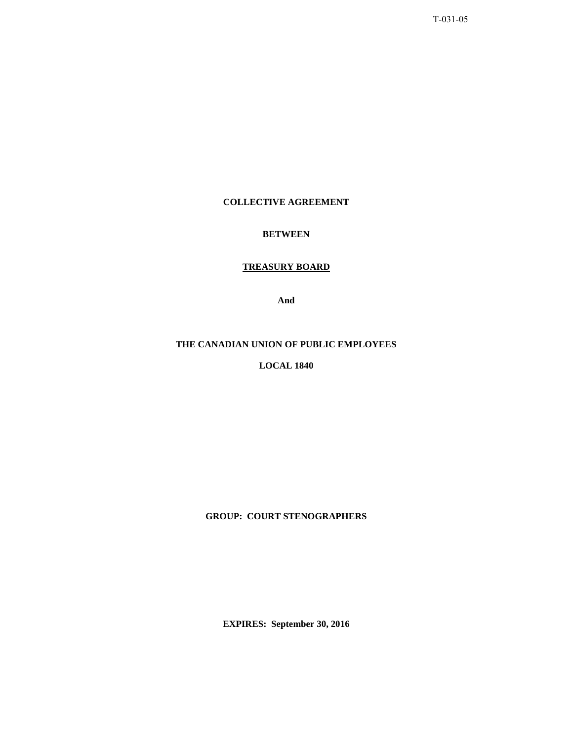T-031-05

# **COLLECTIVE AGREEMENT**

# **BETWEEN**

# **TREASURY BOARD**

**And** 

# **THE CANADIAN UNION OF PUBLIC EMPLOYEES**

**LOCAL 1840** 

**GROUP: COURT STENOGRAPHERS** 

**EXPIRES: September 30, 2016**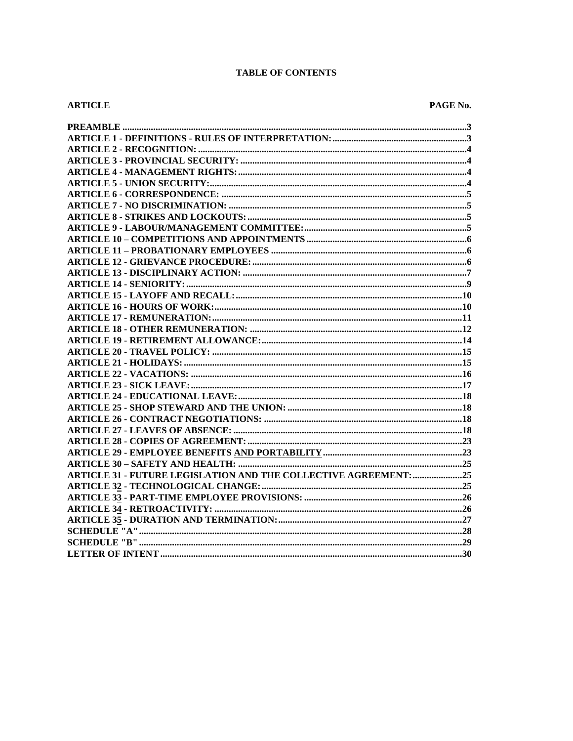# **TABLE OF CONTENTS**

# **ARTICLE**

| ARTICLE 31 - FUTURE LEGISLATION AND THE COLLECTIVE AGREEMENT: 25 |
|------------------------------------------------------------------|
|                                                                  |
|                                                                  |
|                                                                  |
|                                                                  |
|                                                                  |
|                                                                  |
|                                                                  |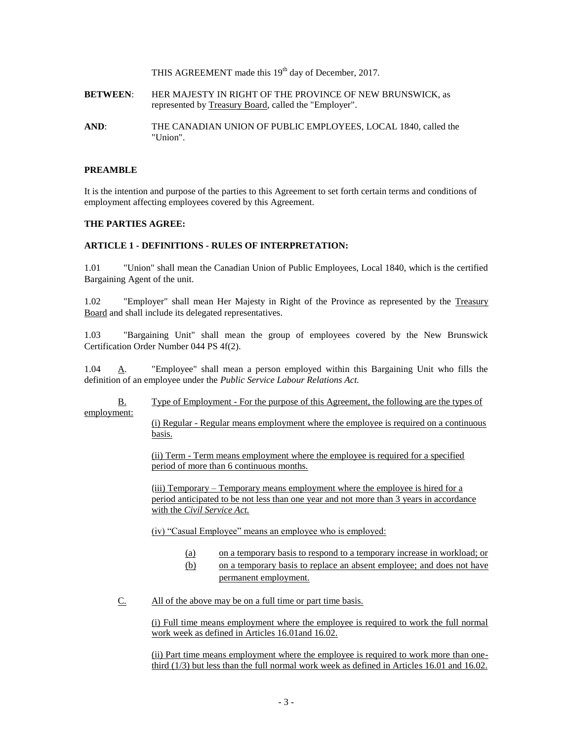THIS AGREEMENT made this 19<sup>th</sup> day of December, 2017.

- **BETWEEN**: HER MAJESTY IN RIGHT OF THE PROVINCE OF NEW BRUNSWICK, as represented by Treasury Board, called the "Employer".
- **AND**: THE CANADIAN UNION OF PUBLIC EMPLOYEES, LOCAL 1840, called the "Union".

### **PREAMBLE**

It is the intention and purpose of the parties to this Agreement to set forth certain terms and conditions of employment affecting employees covered by this Agreement.

### **THE PARTIES AGREE:**

### **ARTICLE 1 - DEFINITIONS - RULES OF INTERPRETATION:**

1.01 "Union" shall mean the Canadian Union of Public Employees, Local 1840, which is the certified Bargaining Agent of the unit.

1.02 "Employer" shall mean Her Majesty in Right of the Province as represented by the Treasury Board and shall include its delegated representatives.

1.03 "Bargaining Unit" shall mean the group of employees covered by the New Brunswick Certification Order Number 044 PS 4f(2).

1.04  $\Delta$ . "Employee" shall mean a person employed within this Bargaining Unit who fills the definition of an employee under the *Public Service Labour Relations Act.*

B. Type of Employment - For the purpose of this Agreement, the following are the types of employment:

> (i) Regular - Regular means employment where the employee is required on a continuous basis.

(ii) Term - Term means employment where the employee is required for a specified period of more than 6 continuous months.

(iii) Temporary – Temporary means employment where the employee is hired for a period anticipated to be not less than one year and not more than 3 years in accordance with the *Civil Service Act.*

(iv) "Casual Employee" means an employee who is employed:

- (a) on a temporary basis to respond to a temporary increase in workload; or
- (b) on a temporary basis to replace an absent employee; and does not have permanent employment.
- C. All of the above may be on a full time or part time basis.

(i) Full time means employment where the employee is required to work the full normal work week as defined in Articles 16.01and 16.02.

(ii) Part time means employment where the employee is required to work more than onethird (1/3) but less than the full normal work week as defined in Articles 16.01 and 16.02.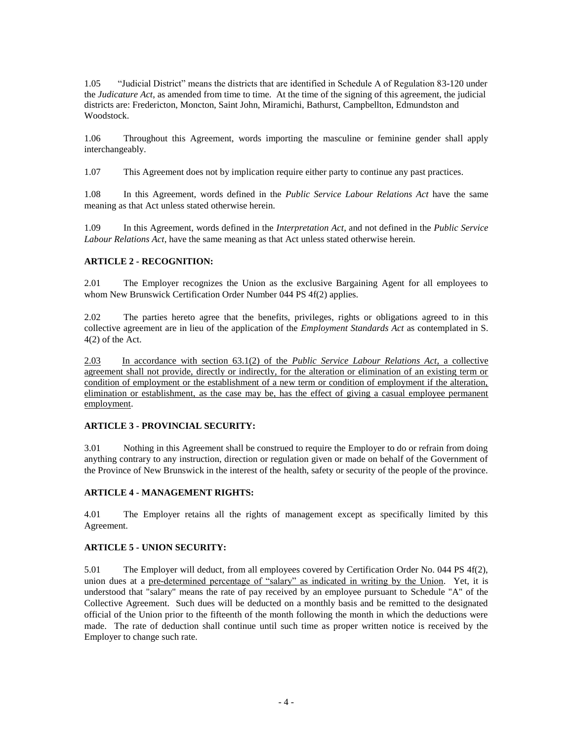1.05 "Judicial District" means the districts that are identified in Schedule A of Regulation 83-120 under the *Judicature Act*, as amended from time to time. At the time of the signing of this agreement, the judicial districts are: Fredericton, Moncton, Saint John, Miramichi, Bathurst, Campbellton, Edmundston and Woodstock.

1.06 Throughout this Agreement, words importing the masculine or feminine gender shall apply interchangeably.

1.07 This Agreement does not by implication require either party to continue any past practices.

1.08 In this Agreement, words defined in the *Public Service Labour Relations Act* have the same meaning as that Act unless stated otherwise herein.

1.09 In this Agreement, words defined in the *Interpretation Act*, and not defined in the *Public Service Labour Relations Act*, have the same meaning as that Act unless stated otherwise herein.

## **ARTICLE 2 - RECOGNITION:**

2.01 The Employer recognizes the Union as the exclusive Bargaining Agent for all employees to whom New Brunswick Certification Order Number 044 PS 4f(2) applies.

2.02 The parties hereto agree that the benefits, privileges, rights or obligations agreed to in this collective agreement are in lieu of the application of the *Employment Standards Act* as contemplated in S. 4(2) of the Act.

2.03 In accordance with section 63.1(2) of the *Public Service Labour Relations Act*, a collective agreement shall not provide, directly or indirectly, for the alteration or elimination of an existing term or condition of employment or the establishment of a new term or condition of employment if the alteration, elimination or establishment, as the case may be, has the effect of giving a casual employee permanent employment.

## **ARTICLE 3 - PROVINCIAL SECURITY:**

3.01 Nothing in this Agreement shall be construed to require the Employer to do or refrain from doing anything contrary to any instruction, direction or regulation given or made on behalf of the Government of the Province of New Brunswick in the interest of the health, safety or security of the people of the province.

## **ARTICLE 4 - MANAGEMENT RIGHTS:**

4.01 The Employer retains all the rights of management except as specifically limited by this Agreement.

## **ARTICLE 5 - UNION SECURITY:**

5.01 The Employer will deduct, from all employees covered by Certification Order No. 044 PS 4f(2), union dues at a pre-determined percentage of "salary" as indicated in writing by the Union. Yet, it is understood that "salary" means the rate of pay received by an employee pursuant to Schedule "A" of the Collective Agreement. Such dues will be deducted on a monthly basis and be remitted to the designated official of the Union prior to the fifteenth of the month following the month in which the deductions were made. The rate of deduction shall continue until such time as proper written notice is received by the Employer to change such rate.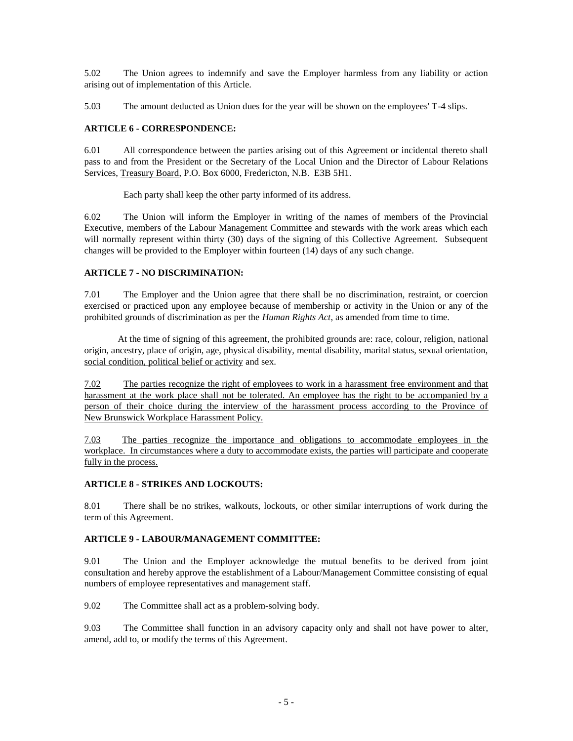5.02 The Union agrees to indemnify and save the Employer harmless from any liability or action arising out of implementation of this Article.

5.03 The amount deducted as Union dues for the year will be shown on the employees' T-4 slips.

# **ARTICLE 6 - CORRESPONDENCE:**

6.01 All correspondence between the parties arising out of this Agreement or incidental thereto shall pass to and from the President or the Secretary of the Local Union and the Director of Labour Relations Services, Treasury Board, P.O. Box 6000, Fredericton, N.B. E3B 5H1.

Each party shall keep the other party informed of its address.

6.02 The Union will inform the Employer in writing of the names of members of the Provincial Executive, members of the Labour Management Committee and stewards with the work areas which each will normally represent within thirty (30) days of the signing of this Collective Agreement. Subsequent changes will be provided to the Employer within fourteen (14) days of any such change.

# **ARTICLE 7 - NO DISCRIMINATION:**

7.01 The Employer and the Union agree that there shall be no discrimination, restraint, or coercion exercised or practiced upon any employee because of membership or activity in the Union or any of the prohibited grounds of discrimination as per the *Human Rights Act*, as amended from time to time.

At the time of signing of this agreement, the prohibited grounds are: race, colour, religion, national origin, ancestry, place of origin, age, physical disability, mental disability, marital status, sexual orientation, social condition, political belief or activity and sex.

7.02 The parties recognize the right of employees to work in a harassment free environment and that harassment at the work place shall not be tolerated. An employee has the right to be accompanied by a person of their choice during the interview of the harassment process according to the Province of New Brunswick Workplace Harassment Policy.

7.03 The parties recognize the importance and obligations to accommodate employees in the workplace. In circumstances where a duty to accommodate exists, the parties will participate and cooperate fully in the process.

# **ARTICLE 8 - STRIKES AND LOCKOUTS:**

8.01 There shall be no strikes, walkouts, lockouts, or other similar interruptions of work during the term of this Agreement.

## **ARTICLE 9 - LABOUR/MANAGEMENT COMMITTEE:**

9.01 The Union and the Employer acknowledge the mutual benefits to be derived from joint consultation and hereby approve the establishment of a Labour/Management Committee consisting of equal numbers of employee representatives and management staff.

9.02 The Committee shall act as a problem-solving body.

9.03 The Committee shall function in an advisory capacity only and shall not have power to alter, amend, add to, or modify the terms of this Agreement.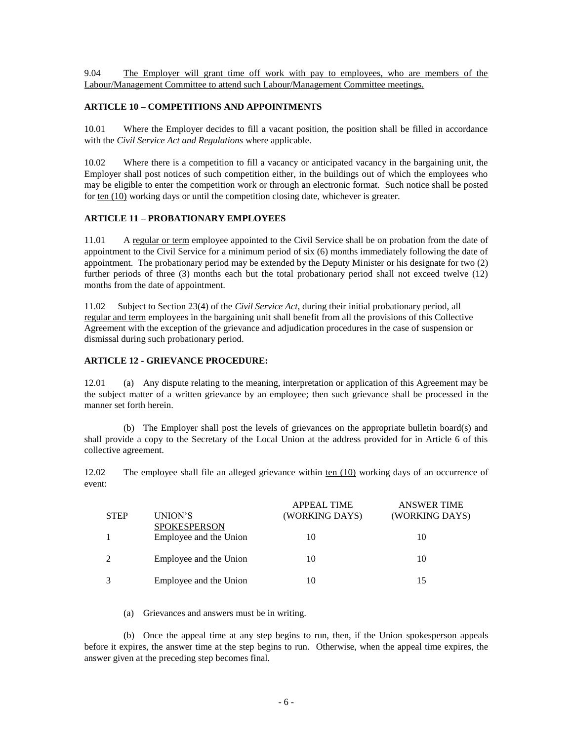9.04 The Employer will grant time off work with pay to employees, who are members of the Labour/Management Committee to attend such Labour/Management Committee meetings.

### **ARTICLE 10 – COMPETITIONS AND APPOINTMENTS**

10.01 Where the Employer decides to fill a vacant position, the position shall be filled in accordance with the *Civil Service Act and Regulations* where applicable.

10.02 Where there is a competition to fill a vacancy or anticipated vacancy in the bargaining unit, the Employer shall post notices of such competition either, in the buildings out of which the employees who may be eligible to enter the competition work or through an electronic format. Such notice shall be posted for ten (10) working days or until the competition closing date, whichever is greater.

### **ARTICLE 11 – PROBATIONARY EMPLOYEES**

11.01 A regular or term employee appointed to the Civil Service shall be on probation from the date of appointment to the Civil Service for a minimum period of six (6) months immediately following the date of appointment. The probationary period may be extended by the Deputy Minister or his designate for two (2) further periods of three (3) months each but the total probationary period shall not exceed twelve (12) months from the date of appointment.

11.02 Subject to Section 23(4) of the *Civil Service Act*, during their initial probationary period, all regular and term employees in the bargaining unit shall benefit from all the provisions of this Collective Agreement with the exception of the grievance and adjudication procedures in the case of suspension or dismissal during such probationary period.

### **ARTICLE 12 - GRIEVANCE PROCEDURE:**

12.01 (a) Any dispute relating to the meaning, interpretation or application of this Agreement may be the subject matter of a written grievance by an employee; then such grievance shall be processed in the manner set forth herein.

(b) The Employer shall post the levels of grievances on the appropriate bulletin board(s) and shall provide a copy to the Secretary of the Local Union at the address provided for in Article 6 of this collective agreement.

12.02 The employee shall file an alleged grievance within ten (10) working days of an occurrence of event:

| <b>STEP</b> | UNION'S                                       | <b>APPEAL TIME</b><br>(WORKING DAYS) | <b>ANSWER TIME</b><br>(WORKING DAYS) |
|-------------|-----------------------------------------------|--------------------------------------|--------------------------------------|
|             | <b>SPOKESPERSON</b><br>Employee and the Union | 10                                   | 10                                   |
| 2           | Employee and the Union                        | 10                                   | 10                                   |
|             | Employee and the Union                        | 10                                   | 15                                   |

(a) Grievances and answers must be in writing.

(b) Once the appeal time at any step begins to run, then, if the Union spokesperson appeals before it expires, the answer time at the step begins to run. Otherwise, when the appeal time expires, the answer given at the preceding step becomes final.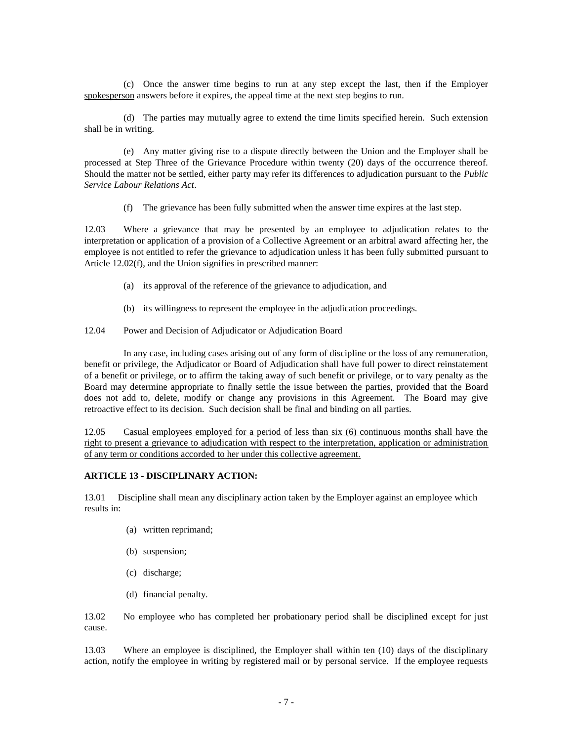(c) Once the answer time begins to run at any step except the last, then if the Employer spokesperson answers before it expires, the appeal time at the next step begins to run.

(d) The parties may mutually agree to extend the time limits specified herein. Such extension shall be in writing.

(e) Any matter giving rise to a dispute directly between the Union and the Employer shall be processed at Step Three of the Grievance Procedure within twenty (20) days of the occurrence thereof. Should the matter not be settled, either party may refer its differences to adjudication pursuant to the *Public Service Labour Relations Act*.

(f) The grievance has been fully submitted when the answer time expires at the last step.

12.03 Where a grievance that may be presented by an employee to adjudication relates to the interpretation or application of a provision of a Collective Agreement or an arbitral award affecting her, the employee is not entitled to refer the grievance to adjudication unless it has been fully submitted pursuant to Article 12.02(f), and the Union signifies in prescribed manner:

- (a) its approval of the reference of the grievance to adjudication, and
- (b) its willingness to represent the employee in the adjudication proceedings.
- 12.04 Power and Decision of Adjudicator or Adjudication Board

In any case, including cases arising out of any form of discipline or the loss of any remuneration, benefit or privilege, the Adjudicator or Board of Adjudication shall have full power to direct reinstatement of a benefit or privilege, or to affirm the taking away of such benefit or privilege, or to vary penalty as the Board may determine appropriate to finally settle the issue between the parties, provided that the Board does not add to, delete, modify or change any provisions in this Agreement. The Board may give retroactive effect to its decision. Such decision shall be final and binding on all parties.

12.05 Casual employees employed for a period of less than six (6) continuous months shall have the right to present a grievance to adjudication with respect to the interpretation, application or administration of any term or conditions accorded to her under this collective agreement.

### **ARTICLE 13 - DISCIPLINARY ACTION:**

13.01 Discipline shall mean any disciplinary action taken by the Employer against an employee which results in:

- (a) written reprimand;
- (b) suspension;
- (c) discharge;
- (d) financial penalty.

13.02 No employee who has completed her probationary period shall be disciplined except for just cause.

13.03 Where an employee is disciplined, the Employer shall within ten (10) days of the disciplinary action, notify the employee in writing by registered mail or by personal service. If the employee requests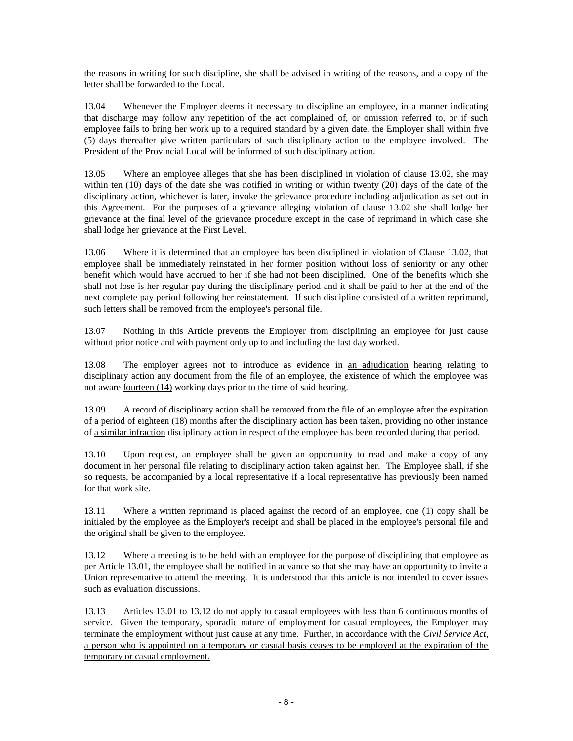the reasons in writing for such discipline, she shall be advised in writing of the reasons, and a copy of the letter shall be forwarded to the Local.

13.04 Whenever the Employer deems it necessary to discipline an employee, in a manner indicating that discharge may follow any repetition of the act complained of, or omission referred to, or if such employee fails to bring her work up to a required standard by a given date, the Employer shall within five (5) days thereafter give written particulars of such disciplinary action to the employee involved. The President of the Provincial Local will be informed of such disciplinary action.

13.05 Where an employee alleges that she has been disciplined in violation of clause 13.02, she may within ten (10) days of the date she was notified in writing or within twenty (20) days of the date of the disciplinary action, whichever is later, invoke the grievance procedure including adjudication as set out in this Agreement. For the purposes of a grievance alleging violation of clause 13.02 she shall lodge her grievance at the final level of the grievance procedure except in the case of reprimand in which case she shall lodge her grievance at the First Level.

13.06 Where it is determined that an employee has been disciplined in violation of Clause 13.02, that employee shall be immediately reinstated in her former position without loss of seniority or any other benefit which would have accrued to her if she had not been disciplined. One of the benefits which she shall not lose is her regular pay during the disciplinary period and it shall be paid to her at the end of the next complete pay period following her reinstatement. If such discipline consisted of a written reprimand, such letters shall be removed from the employee's personal file.

13.07 Nothing in this Article prevents the Employer from disciplining an employee for just cause without prior notice and with payment only up to and including the last day worked.

13.08 The employer agrees not to introduce as evidence in an adjudication hearing relating to disciplinary action any document from the file of an employee, the existence of which the employee was not aware fourteen (14) working days prior to the time of said hearing.

13.09 A record of disciplinary action shall be removed from the file of an employee after the expiration of a period of eighteen (18) months after the disciplinary action has been taken, providing no other instance of a similar infraction disciplinary action in respect of the employee has been recorded during that period.

13.10 Upon request, an employee shall be given an opportunity to read and make a copy of any document in her personal file relating to disciplinary action taken against her. The Employee shall, if she so requests, be accompanied by a local representative if a local representative has previously been named for that work site.

13.11 Where a written reprimand is placed against the record of an employee, one (1) copy shall be initialed by the employee as the Employer's receipt and shall be placed in the employee's personal file and the original shall be given to the employee.

13.12 Where a meeting is to be held with an employee for the purpose of disciplining that employee as per Article 13.01, the employee shall be notified in advance so that she may have an opportunity to invite a Union representative to attend the meeting. It is understood that this article is not intended to cover issues such as evaluation discussions.

13.13 Articles 13.01 to 13.12 do not apply to casual employees with less than 6 continuous months of service. Given the temporary, sporadic nature of employment for casual employees, the Employer may terminate the employment without just cause at any time. Further, in accordance with the *Civil Service Act*, a person who is appointed on a temporary or casual basis ceases to be employed at the expiration of the temporary or casual employment.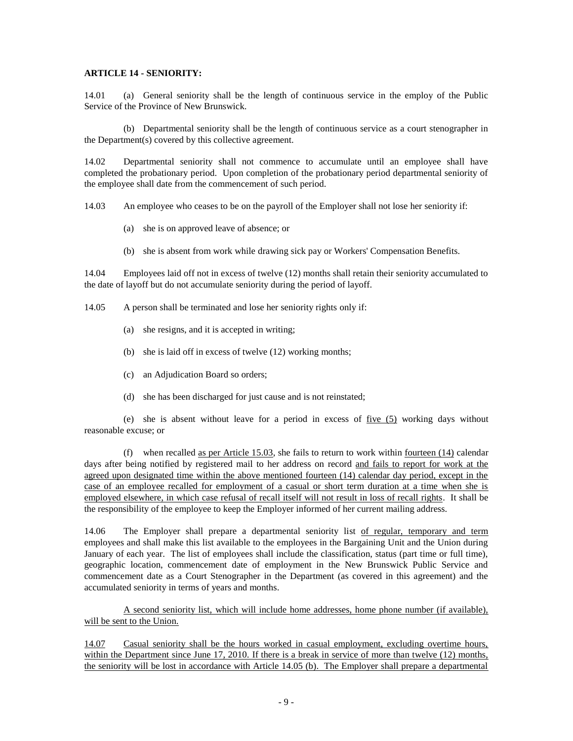### **ARTICLE 14 - SENIORITY:**

14.01 (a) General seniority shall be the length of continuous service in the employ of the Public Service of the Province of New Brunswick.

(b) Departmental seniority shall be the length of continuous service as a court stenographer in the Department(s) covered by this collective agreement.

14.02 Departmental seniority shall not commence to accumulate until an employee shall have completed the probationary period. Upon completion of the probationary period departmental seniority of the employee shall date from the commencement of such period.

14.03 An employee who ceases to be on the payroll of the Employer shall not lose her seniority if:

- (a) she is on approved leave of absence; or
- (b) she is absent from work while drawing sick pay or Workers' Compensation Benefits.

14.04 Employees laid off not in excess of twelve (12) months shall retain their seniority accumulated to the date of layoff but do not accumulate seniority during the period of layoff.

14.05 A person shall be terminated and lose her seniority rights only if:

- (a) she resigns, and it is accepted in writing;
- (b) she is laid off in excess of twelve (12) working months;
- (c) an Adjudication Board so orders;
- (d) she has been discharged for just cause and is not reinstated;

(e) she is absent without leave for a period in excess of five (5) working days without reasonable excuse; or

(f) when recalled as per Article  $15.03$ , she fails to return to work within <u>fourteen  $(14)$ </u> calendar days after being notified by registered mail to her address on record and fails to report for work at the agreed upon designated time within the above mentioned fourteen (14) calendar day period, except in the case of an employee recalled for employment of a casual or short term duration at a time when she is employed elsewhere, in which case refusal of recall itself will not result in loss of recall rights. It shall be the responsibility of the employee to keep the Employer informed of her current mailing address.

14.06 The Employer shall prepare a departmental seniority list of regular, temporary and term employees and shall make this list available to the employees in the Bargaining Unit and the Union during January of each year. The list of employees shall include the classification, status (part time or full time), geographic location, commencement date of employment in the New Brunswick Public Service and commencement date as a Court Stenographer in the Department (as covered in this agreement) and the accumulated seniority in terms of years and months.

A second seniority list, which will include home addresses, home phone number (if available), will be sent to the Union.

14.07 Casual seniority shall be the hours worked in casual employment, excluding overtime hours, within the Department since June 17, 2010. If there is a break in service of more than twelve (12) months, the seniority will be lost in accordance with Article 14.05 (b). The Employer shall prepare a departmental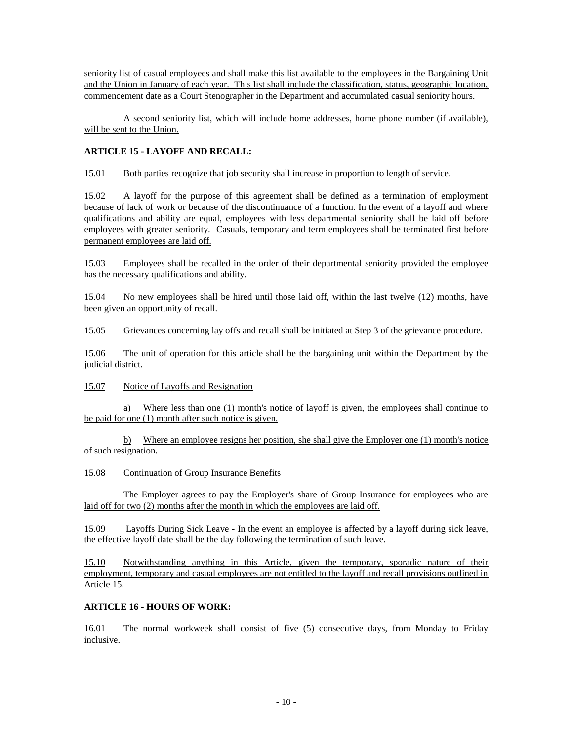seniority list of casual employees and shall make this list available to the employees in the Bargaining Unit and the Union in January of each year. This list shall include the classification, status, geographic location, commencement date as a Court Stenographer in the Department and accumulated casual seniority hours.

A second seniority list, which will include home addresses, home phone number (if available), will be sent to the Union.

# **ARTICLE 15 - LAYOFF AND RECALL:**

15.01 Both parties recognize that job security shall increase in proportion to length of service.

15.02 A layoff for the purpose of this agreement shall be defined as a termination of employment because of lack of work or because of the discontinuance of a function. In the event of a layoff and where qualifications and ability are equal, employees with less departmental seniority shall be laid off before employees with greater seniority. Casuals, temporary and term employees shall be terminated first before permanent employees are laid off.

15.03 Employees shall be recalled in the order of their departmental seniority provided the employee has the necessary qualifications and ability.

15.04 No new employees shall be hired until those laid off, within the last twelve (12) months, have been given an opportunity of recall.

15.05 Grievances concerning lay offs and recall shall be initiated at Step 3 of the grievance procedure.

15.06 The unit of operation for this article shall be the bargaining unit within the Department by the judicial district.

## 15.07 Notice of Layoffs and Resignation

a) Where less than one (1) month's notice of layoff is given, the employees shall continue to be paid for one (1) month after such notice is given.

b) Where an employee resigns her position, she shall give the Employer one (1) month's notice of such resignation**.** 

15.08 Continuation of Group Insurance Benefits

The Employer agrees to pay the Employer's share of Group Insurance for employees who are laid off for two (2) months after the month in which the employees are laid off.

15.09 Layoffs During Sick Leave - In the event an employee is affected by a layoff during sick leave, the effective layoff date shall be the day following the termination of such leave.

15.10 Notwithstanding anything in this Article, given the temporary, sporadic nature of their employment, temporary and casual employees are not entitled to the layoff and recall provisions outlined in Article 15.

## **ARTICLE 16 - HOURS OF WORK:**

16.01 The normal workweek shall consist of five (5) consecutive days, from Monday to Friday inclusive.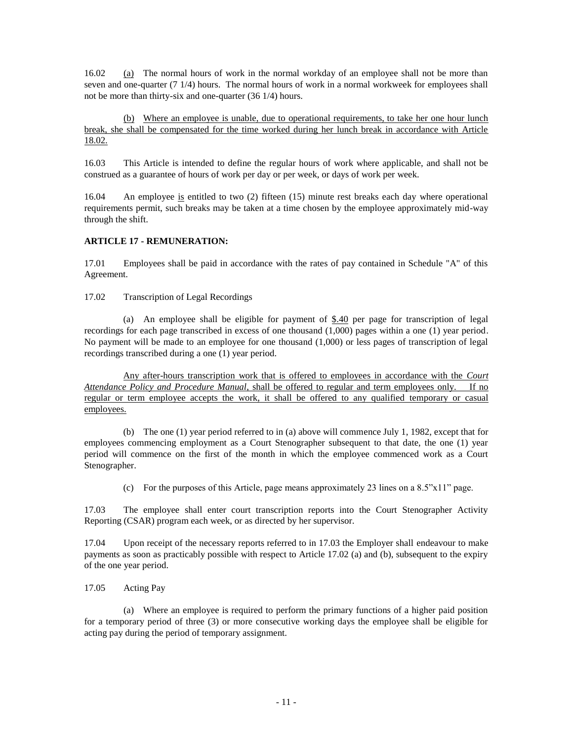16.02 (a) The normal hours of work in the normal workday of an employee shall not be more than seven and one-quarter (7 1/4) hours. The normal hours of work in a normal workweek for employees shall not be more than thirty-six and one-quarter (36 1/4) hours.

(b) Where an employee is unable, due to operational requirements, to take her one hour lunch break, she shall be compensated for the time worked during her lunch break in accordance with Article 18.02.

16.03 This Article is intended to define the regular hours of work where applicable, and shall not be construed as a guarantee of hours of work per day or per week, or days of work per week.

16.04 An employee is entitled to two (2) fifteen (15) minute rest breaks each day where operational requirements permit, such breaks may be taken at a time chosen by the employee approximately mid-way through the shift.

# **ARTICLE 17 - REMUNERATION:**

17.01 Employees shall be paid in accordance with the rates of pay contained in Schedule "A" of this Agreement.

17.02 Transcription of Legal Recordings

(a) An employee shall be eligible for payment of  $\frac{6.40}{2}$  per page for transcription of legal recordings for each page transcribed in excess of one thousand (1,000) pages within a one (1) year period. No payment will be made to an employee for one thousand (1,000) or less pages of transcription of legal recordings transcribed during a one (1) year period.

Any after-hours transcription work that is offered to employees in accordance with the *Court Attendance Policy and Procedure Manual*, shall be offered to regular and term employees only. If no regular or term employee accepts the work, it shall be offered to any qualified temporary or casual employees.

(b) The one (1) year period referred to in (a) above will commence July 1, 1982, except that for employees commencing employment as a Court Stenographer subsequent to that date, the one (1) year period will commence on the first of the month in which the employee commenced work as a Court Stenographer.

(c) For the purposes of this Article, page means approximately 23 lines on a 8.5"x11" page.

17.03 The employee shall enter court transcription reports into the Court Stenographer Activity Reporting (CSAR) program each week, or as directed by her supervisor.

17.04 Upon receipt of the necessary reports referred to in 17.03 the Employer shall endeavour to make payments as soon as practicably possible with respect to Article 17.02 (a) and (b), subsequent to the expiry of the one year period.

## 17.05 Acting Pay

(a) Where an employee is required to perform the primary functions of a higher paid position for a temporary period of three (3) or more consecutive working days the employee shall be eligible for acting pay during the period of temporary assignment.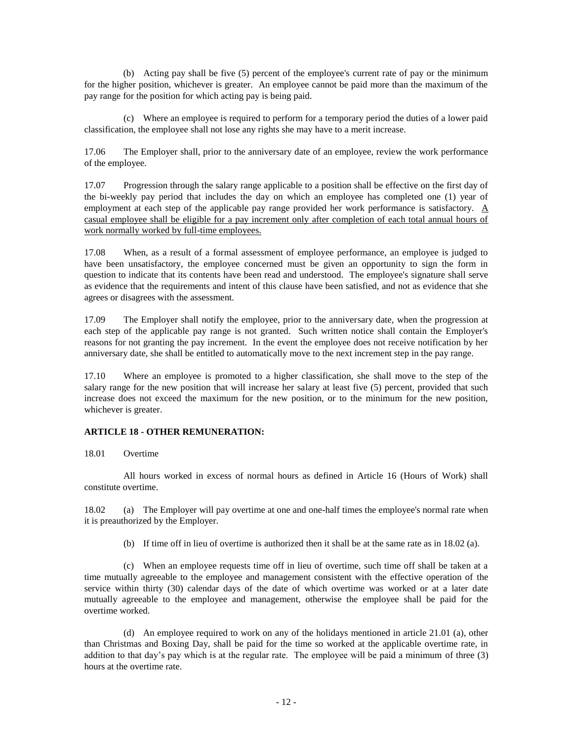(b) Acting pay shall be five (5) percent of the employee's current rate of pay or the minimum for the higher position, whichever is greater. An employee cannot be paid more than the maximum of the pay range for the position for which acting pay is being paid.

(c) Where an employee is required to perform for a temporary period the duties of a lower paid classification, the employee shall not lose any rights she may have to a merit increase.

17.06 The Employer shall, prior to the anniversary date of an employee, review the work performance of the employee.

17.07 Progression through the salary range applicable to a position shall be effective on the first day of the bi-weekly pay period that includes the day on which an employee has completed one (1) year of employment at each step of the applicable pay range provided her work performance is satisfactory. A casual employee shall be eligible for a pay increment only after completion of each total annual hours of work normally worked by full-time employees.

17.08 When, as a result of a formal assessment of employee performance, an employee is judged to have been unsatisfactory, the employee concerned must be given an opportunity to sign the form in question to indicate that its contents have been read and understood. The employee's signature shall serve as evidence that the requirements and intent of this clause have been satisfied, and not as evidence that she agrees or disagrees with the assessment.

17.09 The Employer shall notify the employee, prior to the anniversary date, when the progression at each step of the applicable pay range is not granted. Such written notice shall contain the Employer's reasons for not granting the pay increment. In the event the employee does not receive notification by her anniversary date, she shall be entitled to automatically move to the next increment step in the pay range.

17.10 Where an employee is promoted to a higher classification, she shall move to the step of the salary range for the new position that will increase her salary at least five (5) percent, provided that such increase does not exceed the maximum for the new position, or to the minimum for the new position, whichever is greater.

## **ARTICLE 18 - OTHER REMUNERATION:**

18.01 Overtime

All hours worked in excess of normal hours as defined in Article 16 (Hours of Work) shall constitute overtime.

18.02 (a) The Employer will pay overtime at one and one-half times the employee's normal rate when it is preauthorized by the Employer.

(b) If time off in lieu of overtime is authorized then it shall be at the same rate as in 18.02 (a).

(c) When an employee requests time off in lieu of overtime, such time off shall be taken at a time mutually agreeable to the employee and management consistent with the effective operation of the service within thirty (30) calendar days of the date of which overtime was worked or at a later date mutually agreeable to the employee and management, otherwise the employee shall be paid for the overtime worked.

(d) An employee required to work on any of the holidays mentioned in article 21.01 (a), other than Christmas and Boxing Day, shall be paid for the time so worked at the applicable overtime rate, in addition to that day's pay which is at the regular rate. The employee will be paid a minimum of three (3) hours at the overtime rate.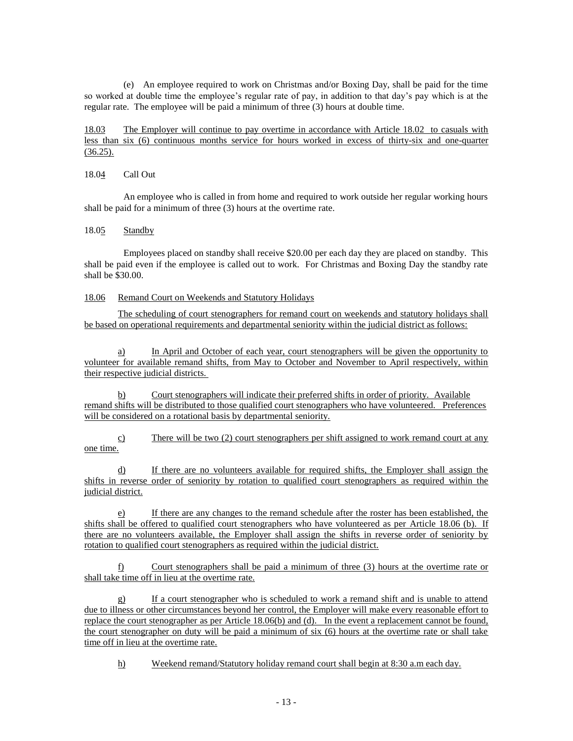(e) An employee required to work on Christmas and/or Boxing Day, shall be paid for the time so worked at double time the employee's regular rate of pay, in addition to that day's pay which is at the regular rate. The employee will be paid a minimum of three (3) hours at double time.

18.03 The Employer will continue to pay overtime in accordance with Article 18.02 to casuals with less than six (6) continuous months service for hours worked in excess of thirty-six and one-quarter  $(36.25).$ 

### 18.04 Call Out

An employee who is called in from home and required to work outside her regular working hours shall be paid for a minimum of three (3) hours at the overtime rate.

### 18.05 Standby

Employees placed on standby shall receive \$20.00 per each day they are placed on standby. This shall be paid even if the employee is called out to work. For Christmas and Boxing Day the standby rate shall be \$30.00.

### 18.06 Remand Court on Weekends and Statutory Holidays

The scheduling of court stenographers for remand court on weekends and statutory holidays shall be based on operational requirements and departmental seniority within the judicial district as follows:

a) In April and October of each year, court stenographers will be given the opportunity to volunteer for available remand shifts, from May to October and November to April respectively, within their respective judicial districts.

b) Court stenographers will indicate their preferred shifts in order of priority. Available remand shifts will be distributed to those qualified court stenographers who have volunteered. Preferences will be considered on a rotational basis by departmental seniority.

c) There will be two  $(2)$  court stenographers per shift assigned to work remand court at any one time.

d) If there are no volunteers available for required shifts, the Employer shall assign the shifts in reverse order of seniority by rotation to qualified court stenographers as required within the judicial district.

e) If there are any changes to the remand schedule after the roster has been established, the shifts shall be offered to qualified court stenographers who have volunteered as per Article 18.06 (b). If there are no volunteers available, the Employer shall assign the shifts in reverse order of seniority by rotation to qualified court stenographers as required within the judicial district.

f) Court stenographers shall be paid a minimum of three (3) hours at the overtime rate or shall take time off in lieu at the overtime rate.

g) If a court stenographer who is scheduled to work a remand shift and is unable to attend due to illness or other circumstances beyond her control, the Employer will make every reasonable effort to replace the court stenographer as per Article 18.06(b) and (d). In the event a replacement cannot be found, the court stenographer on duty will be paid a minimum of six (6) hours at the overtime rate or shall take time off in lieu at the overtime rate.

h) Weekend remand/Statutory holiday remand court shall begin at 8:30 a.m each day.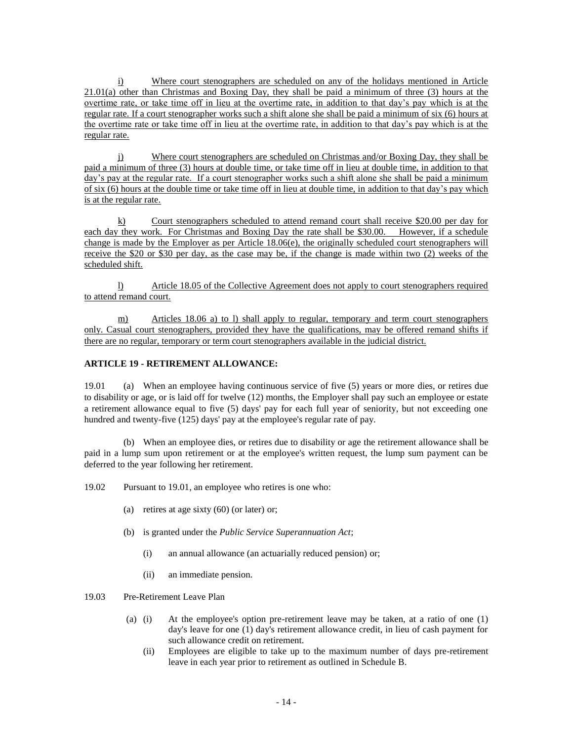i) Where court stenographers are scheduled on any of the holidays mentioned in Article 21.01(a) other than Christmas and Boxing Day, they shall be paid a minimum of three (3) hours at the overtime rate, or take time off in lieu at the overtime rate, in addition to that day's pay which is at the regular rate. If a court stenographer works such a shift alone she shall be paid a minimum of six (6) hours at the overtime rate or take time off in lieu at the overtime rate, in addition to that day's pay which is at the regular rate.

j) Where court stenographers are scheduled on Christmas and/or Boxing Day, they shall be paid a minimum of three (3) hours at double time, or take time off in lieu at double time, in addition to that day's pay at the regular rate. If a court stenographer works such a shift alone she shall be paid a minimum of six (6) hours at the double time or take time off in lieu at double time, in addition to that day's pay which is at the regular rate.

k) Court stenographers scheduled to attend remand court shall receive \$20.00 per day for each day they work. For Christmas and Boxing Day the rate shall be \$30.00. However, if a schedule change is made by the Employer as per Article 18.06(e), the originally scheduled court stenographers will receive the \$20 or \$30 per day, as the case may be, if the change is made within two (2) weeks of the scheduled shift.

l) Article 18.05 of the Collective Agreement does not apply to court stenographers required to attend remand court.

m) Articles 18.06 a) to l) shall apply to regular, temporary and term court stenographers only. Casual court stenographers, provided they have the qualifications, may be offered remand shifts if there are no regular, temporary or term court stenographers available in the judicial district.

# **ARTICLE 19 - RETIREMENT ALLOWANCE:**

19.01 (a) When an employee having continuous service of five (5) years or more dies, or retires due to disability or age, or is laid off for twelve (12) months, the Employer shall pay such an employee or estate a retirement allowance equal to five (5) days' pay for each full year of seniority, but not exceeding one hundred and twenty-five (125) days' pay at the employee's regular rate of pay.

(b) When an employee dies, or retires due to disability or age the retirement allowance shall be paid in a lump sum upon retirement or at the employee's written request, the lump sum payment can be deferred to the year following her retirement.

19.02 Pursuant to 19.01, an employee who retires is one who:

- (a) retires at age sixty  $(60)$  (or later) or;
- (b) is granted under the *Public Service Superannuation Act*;
	- (i) an annual allowance (an actuarially reduced pension) or;
	- (ii) an immediate pension.

19.03 Pre-Retirement Leave Plan

- (a) (i) At the employee's option pre-retirement leave may be taken, at a ratio of one (1) day's leave for one (1) day's retirement allowance credit, in lieu of cash payment for such allowance credit on retirement.
	- (ii) Employees are eligible to take up to the maximum number of days pre-retirement leave in each year prior to retirement as outlined in Schedule B.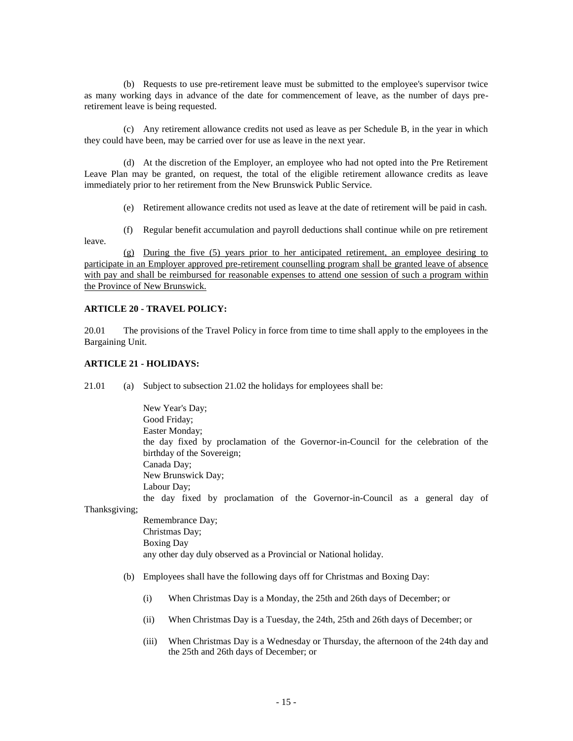(b) Requests to use pre-retirement leave must be submitted to the employee's supervisor twice as many working days in advance of the date for commencement of leave, as the number of days preretirement leave is being requested.

(c) Any retirement allowance credits not used as leave as per Schedule B, in the year in which they could have been, may be carried over for use as leave in the next year.

(d) At the discretion of the Employer, an employee who had not opted into the Pre Retirement Leave Plan may be granted, on request, the total of the eligible retirement allowance credits as leave immediately prior to her retirement from the New Brunswick Public Service.

(e) Retirement allowance credits not used as leave at the date of retirement will be paid in cash.

(f) Regular benefit accumulation and payroll deductions shall continue while on pre retirement leave.

(g) During the five (5) years prior to her anticipated retirement, an employee desiring to participate in an Employer approved pre-retirement counselling program shall be granted leave of absence with pay and shall be reimbursed for reasonable expenses to attend one session of such a program within the Province of New Brunswick.

### **ARTICLE 20 - TRAVEL POLICY:**

20.01 The provisions of the Travel Policy in force from time to time shall apply to the employees in the Bargaining Unit.

### **ARTICLE 21 - HOLIDAYS:**

21.01 (a) Subject to subsection 21.02 the holidays for employees shall be:

New Year's Day; Good Friday; Easter Monday; the day fixed by proclamation of the Governor-in-Council for the celebration of the birthday of the Sovereign; Canada Day; New Brunswick Day; Labour Day; the day fixed by proclamation of the Governor-in-Council as a general day of Remembrance Day;

Thanksgiving;

Christmas Day; Boxing Day any other day duly observed as a Provincial or National holiday.

- (b) Employees shall have the following days off for Christmas and Boxing Day:
	- (i) When Christmas Day is a Monday, the 25th and 26th days of December; or
	- (ii) When Christmas Day is a Tuesday, the 24th, 25th and 26th days of December; or
	- (iii) When Christmas Day is a Wednesday or Thursday, the afternoon of the 24th day and the 25th and 26th days of December; or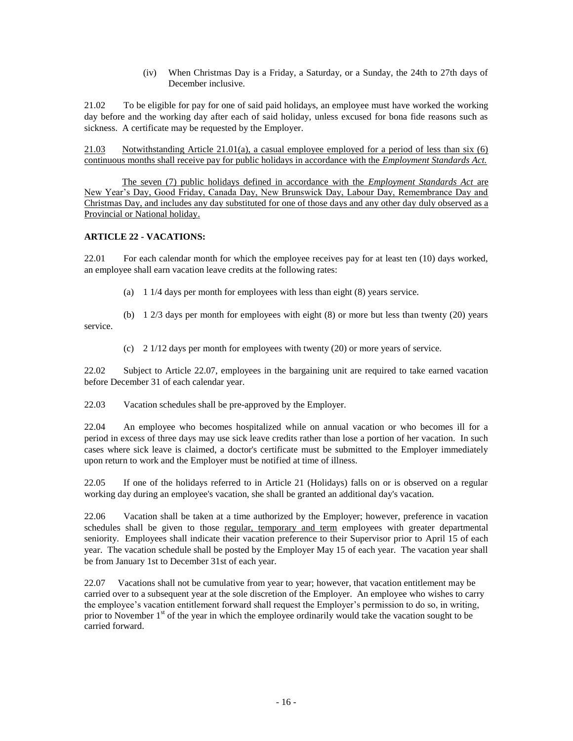(iv) When Christmas Day is a Friday, a Saturday, or a Sunday, the 24th to 27th days of December inclusive.

21.02 To be eligible for pay for one of said paid holidays, an employee must have worked the working day before and the working day after each of said holiday, unless excused for bona fide reasons such as sickness. A certificate may be requested by the Employer.

21.03 Notwithstanding Article 21.01(a), a casual employee employed for a period of less than six  $(6)$ continuous months shall receive pay for public holidays in accordance with the *Employment Standards Act.*

The seven (7) public holidays defined in accordance with the *Employment Standards Act* are New Year's Day, Good Friday, Canada Day, New Brunswick Day, Labour Day, Remembrance Day and Christmas Day, and includes any day substituted for one of those days and any other day duly observed as a Provincial or National holiday.

## **ARTICLE 22 - VACATIONS:**

22.01 For each calendar month for which the employee receives pay for at least ten (10) days worked, an employee shall earn vacation leave credits at the following rates:

(a) 1 1/4 days per month for employees with less than eight (8) years service.

(b) 1 2/3 days per month for employees with eight (8) or more but less than twenty (20) years service.

(c) 2 1/12 days per month for employees with twenty (20) or more years of service.

22.02 Subject to Article 22.07, employees in the bargaining unit are required to take earned vacation before December 31 of each calendar year.

22.03 Vacation schedules shall be pre-approved by the Employer.

22.04 An employee who becomes hospitalized while on annual vacation or who becomes ill for a period in excess of three days may use sick leave credits rather than lose a portion of her vacation. In such cases where sick leave is claimed, a doctor's certificate must be submitted to the Employer immediately upon return to work and the Employer must be notified at time of illness.

22.05 If one of the holidays referred to in Article 21 (Holidays) falls on or is observed on a regular working day during an employee's vacation, she shall be granted an additional day's vacation.

22.06 Vacation shall be taken at a time authorized by the Employer; however, preference in vacation schedules shall be given to those regular, temporary and term employees with greater departmental seniority. Employees shall indicate their vacation preference to their Supervisor prior to April 15 of each year. The vacation schedule shall be posted by the Employer May 15 of each year. The vacation year shall be from January 1st to December 31st of each year.

22.07 Vacations shall not be cumulative from year to year; however, that vacation entitlement may be carried over to a subsequent year at the sole discretion of the Employer. An employee who wishes to carry the employee's vacation entitlement forward shall request the Employer's permission to do so, in writing, prior to November  $1<sup>st</sup>$  of the year in which the employee ordinarily would take the vacation sought to be carried forward.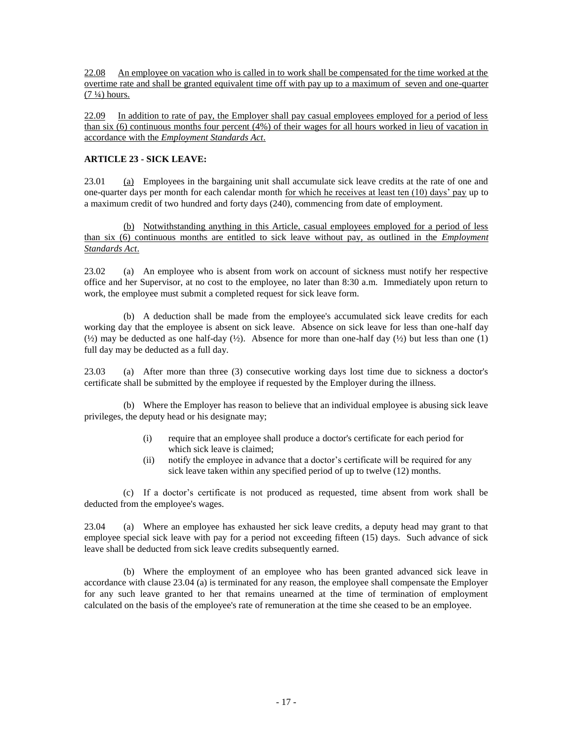22.08 An employee on vacation who is called in to work shall be compensated for the time worked at the overtime rate and shall be granted equivalent time off with pay up to a maximum of seven and one-quarter  $(7 \frac{1}{4})$  hours.

22.09 In addition to rate of pay, the Employer shall pay casual employees employed for a period of less than six (6) continuous months four percent (4%) of their wages for all hours worked in lieu of vacation in accordance with the *Employment Standards Act*.

# **ARTICLE 23 - SICK LEAVE:**

23.01 (a) Employees in the bargaining unit shall accumulate sick leave credits at the rate of one and one-quarter days per month for each calendar month for which he receives at least ten (10) days' pay up to a maximum credit of two hundred and forty days (240), commencing from date of employment.

(b) Notwithstanding anything in this Article, casual employees employed for a period of less than six (6) continuous months are entitled to sick leave without pay, as outlined in the *Employment Standards Act*.

23.02 (a) An employee who is absent from work on account of sickness must notify her respective office and her Supervisor, at no cost to the employee, no later than 8:30 a.m. Immediately upon return to work, the employee must submit a completed request for sick leave form.

(b) A deduction shall be made from the employee's accumulated sick leave credits for each working day that the employee is absent on sick leave. Absence on sick leave for less than one-half day  $(k_2)$  may be deducted as one half-day  $(k_2)$ . Absence for more than one-half day  $(k_2)$  but less than one (1) full day may be deducted as a full day.

23.03 (a) After more than three (3) consecutive working days lost time due to sickness a doctor's certificate shall be submitted by the employee if requested by the Employer during the illness.

(b) Where the Employer has reason to believe that an individual employee is abusing sick leave privileges, the deputy head or his designate may;

- (i) require that an employee shall produce a doctor's certificate for each period for which sick leave is claimed;
- (ii) notify the employee in advance that a doctor's certificate will be required for any sick leave taken within any specified period of up to twelve (12) months.

(c) If a doctor's certificate is not produced as requested, time absent from work shall be deducted from the employee's wages.

23.04 (a) Where an employee has exhausted her sick leave credits, a deputy head may grant to that employee special sick leave with pay for a period not exceeding fifteen (15) days. Such advance of sick leave shall be deducted from sick leave credits subsequently earned.

(b) Where the employment of an employee who has been granted advanced sick leave in accordance with clause 23.04 (a) is terminated for any reason, the employee shall compensate the Employer for any such leave granted to her that remains unearned at the time of termination of employment calculated on the basis of the employee's rate of remuneration at the time she ceased to be an employee.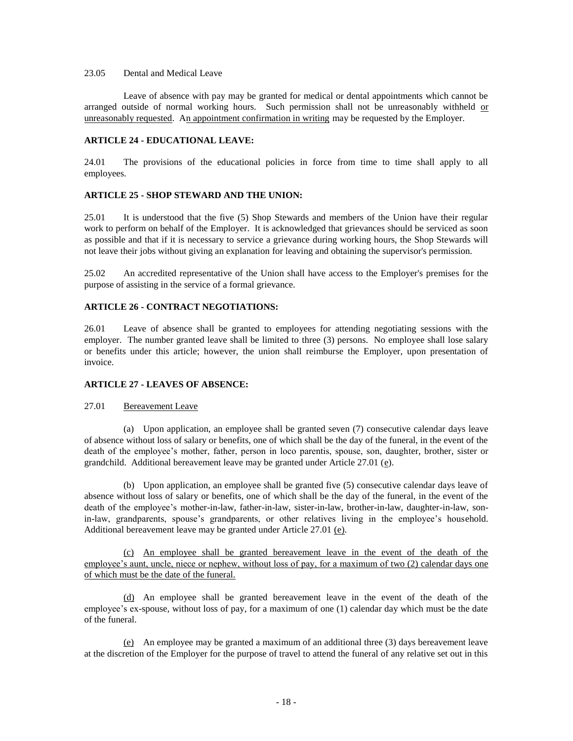## 23.05 Dental and Medical Leave

Leave of absence with pay may be granted for medical or dental appointments which cannot be arranged outside of normal working hours. Such permission shall not be unreasonably withheld or unreasonably requested. An appointment confirmation in writing may be requested by the Employer.

### **ARTICLE 24 - EDUCATIONAL LEAVE:**

24.01 The provisions of the educational policies in force from time to time shall apply to all employees.

### **ARTICLE 25 - SHOP STEWARD AND THE UNION:**

25.01 It is understood that the five (5) Shop Stewards and members of the Union have their regular work to perform on behalf of the Employer. It is acknowledged that grievances should be serviced as soon as possible and that if it is necessary to service a grievance during working hours, the Shop Stewards will not leave their jobs without giving an explanation for leaving and obtaining the supervisor's permission.

25.02 An accredited representative of the Union shall have access to the Employer's premises for the purpose of assisting in the service of a formal grievance.

### **ARTICLE 26 - CONTRACT NEGOTIATIONS:**

26.01 Leave of absence shall be granted to employees for attending negotiating sessions with the employer. The number granted leave shall be limited to three (3) persons. No employee shall lose salary or benefits under this article; however, the union shall reimburse the Employer, upon presentation of invoice.

## **ARTICLE 27 - LEAVES OF ABSENCE:**

### 27.01 Bereavement Leave

(a) Upon application, an employee shall be granted seven (7) consecutive calendar days leave of absence without loss of salary or benefits, one of which shall be the day of the funeral, in the event of the death of the employee's mother, father, person in loco parentis, spouse, son, daughter, brother, sister or grandchild. Additional bereavement leave may be granted under Article  $27.01$  ( $e$ ).

(b) Upon application, an employee shall be granted five (5) consecutive calendar days leave of absence without loss of salary or benefits, one of which shall be the day of the funeral, in the event of the death of the employee's mother-in-law, father-in-law, sister-in-law, brother-in-law, daughter-in-law, sonin-law, grandparents, spouse's grandparents, or other relatives living in the employee's household. Additional bereavement leave may be granted under Article 27.01 (e).

(c) An employee shall be granted bereavement leave in the event of the death of the employee's aunt, uncle, niece or nephew, without loss of pay, for a maximum of two (2) calendar days one of which must be the date of the funeral.

(d) An employee shall be granted bereavement leave in the event of the death of the employee's ex-spouse, without loss of pay, for a maximum of one (1) calendar day which must be the date of the funeral.

(e) An employee may be granted a maximum of an additional three (3) days bereavement leave at the discretion of the Employer for the purpose of travel to attend the funeral of any relative set out in this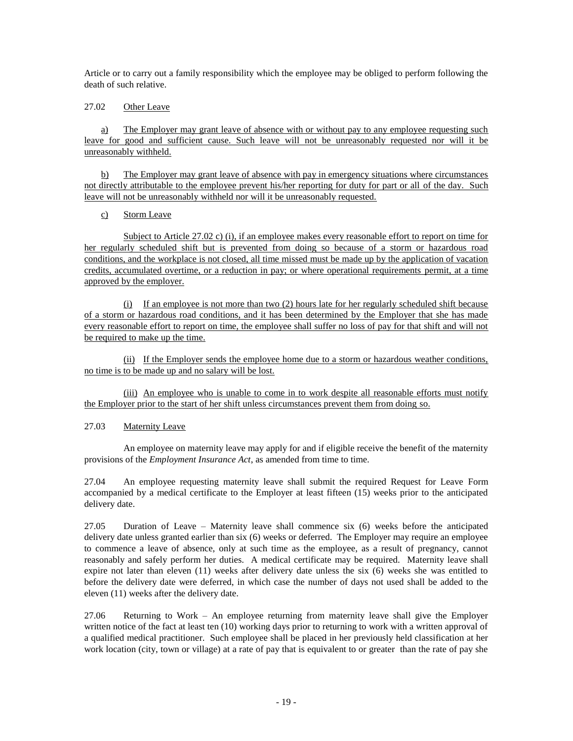Article or to carry out a family responsibility which the employee may be obliged to perform following the death of such relative.

## 27.02 Other Leave

a) The Employer may grant leave of absence with or without pay to any employee requesting such leave for good and sufficient cause. Such leave will not be unreasonably requested nor will it be unreasonably withheld.

b) The Employer may grant leave of absence with pay in emergency situations where circumstances not directly attributable to the employee prevent his/her reporting for duty for part or all of the day. Such leave will not be unreasonably withheld nor will it be unreasonably requested.

# c) Storm Leave

Subject to Article 27.02 c) (i), if an employee makes every reasonable effort to report on time for her regularly scheduled shift but is prevented from doing so because of a storm or hazardous road conditions, and the workplace is not closed, all time missed must be made up by the application of vacation credits, accumulated overtime, or a reduction in pay; or where operational requirements permit, at a time approved by the employer.

(i) If an employee is not more than two (2) hours late for her regularly scheduled shift because of a storm or hazardous road conditions, and it has been determined by the Employer that she has made every reasonable effort to report on time, the employee shall suffer no loss of pay for that shift and will not be required to make up the time.

(ii) If the Employer sends the employee home due to a storm or hazardous weather conditions, no time is to be made up and no salary will be lost.

(iii) An employee who is unable to come in to work despite all reasonable efforts must notify the Employer prior to the start of her shift unless circumstances prevent them from doing so.

# 27.03 Maternity Leave

An employee on maternity leave may apply for and if eligible receive the benefit of the maternity provisions of the *Employment Insurance Act*, as amended from time to time.

27.04 An employee requesting maternity leave shall submit the required Request for Leave Form accompanied by a medical certificate to the Employer at least fifteen (15) weeks prior to the anticipated delivery date.

27.05 Duration of Leave – Maternity leave shall commence six (6) weeks before the anticipated delivery date unless granted earlier than six (6) weeks or deferred. The Employer may require an employee to commence a leave of absence, only at such time as the employee, as a result of pregnancy, cannot reasonably and safely perform her duties. A medical certificate may be required. Maternity leave shall expire not later than eleven (11) weeks after delivery date unless the six (6) weeks she was entitled to before the delivery date were deferred, in which case the number of days not used shall be added to the eleven (11) weeks after the delivery date.

27.06 Returning to Work – An employee returning from maternity leave shall give the Employer written notice of the fact at least ten (10) working days prior to returning to work with a written approval of a qualified medical practitioner. Such employee shall be placed in her previously held classification at her work location (city, town or village) at a rate of pay that is equivalent to or greater than the rate of pay she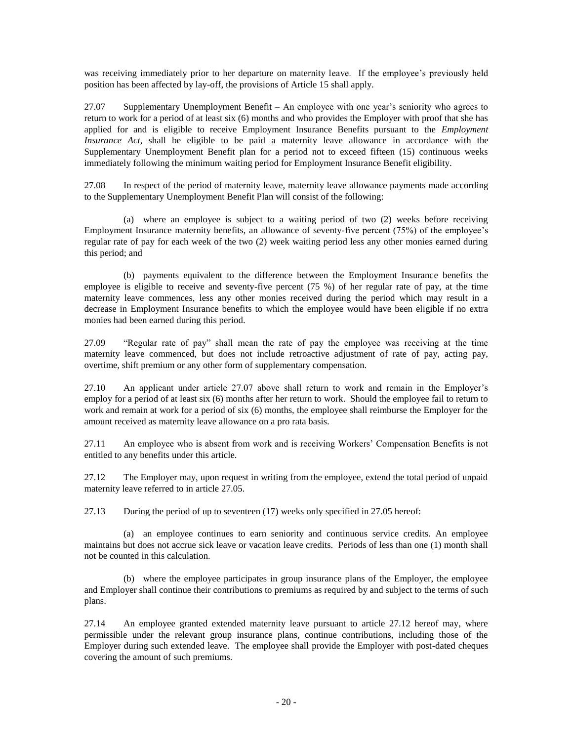was receiving immediately prior to her departure on maternity leave. If the employee's previously held position has been affected by lay-off, the provisions of Article 15 shall apply.

27.07 Supplementary Unemployment Benefit – An employee with one year's seniority who agrees to return to work for a period of at least six (6) months and who provides the Employer with proof that she has applied for and is eligible to receive Employment Insurance Benefits pursuant to the *Employment Insurance Act*, shall be eligible to be paid a maternity leave allowance in accordance with the Supplementary Unemployment Benefit plan for a period not to exceed fifteen (15) continuous weeks immediately following the minimum waiting period for Employment Insurance Benefit eligibility.

27.08 In respect of the period of maternity leave, maternity leave allowance payments made according to the Supplementary Unemployment Benefit Plan will consist of the following:

(a) where an employee is subject to a waiting period of two (2) weeks before receiving Employment Insurance maternity benefits, an allowance of seventy-five percent (75%) of the employee's regular rate of pay for each week of the two (2) week waiting period less any other monies earned during this period; and

(b) payments equivalent to the difference between the Employment Insurance benefits the employee is eligible to receive and seventy-five percent (75 %) of her regular rate of pay, at the time maternity leave commences, less any other monies received during the period which may result in a decrease in Employment Insurance benefits to which the employee would have been eligible if no extra monies had been earned during this period.

27.09 "Regular rate of pay" shall mean the rate of pay the employee was receiving at the time maternity leave commenced, but does not include retroactive adjustment of rate of pay, acting pay, overtime, shift premium or any other form of supplementary compensation.

27.10 An applicant under article 27.07 above shall return to work and remain in the Employer's employ for a period of at least six (6) months after her return to work. Should the employee fail to return to work and remain at work for a period of six (6) months, the employee shall reimburse the Employer for the amount received as maternity leave allowance on a pro rata basis.

27.11 An employee who is absent from work and is receiving Workers' Compensation Benefits is not entitled to any benefits under this article.

27.12 The Employer may, upon request in writing from the employee, extend the total period of unpaid maternity leave referred to in article 27.05.

27.13 During the period of up to seventeen (17) weeks only specified in 27.05 hereof:

(a) an employee continues to earn seniority and continuous service credits. An employee maintains but does not accrue sick leave or vacation leave credits. Periods of less than one (1) month shall not be counted in this calculation.

(b) where the employee participates in group insurance plans of the Employer, the employee and Employer shall continue their contributions to premiums as required by and subject to the terms of such plans.

27.14 An employee granted extended maternity leave pursuant to article 27.12 hereof may, where permissible under the relevant group insurance plans, continue contributions, including those of the Employer during such extended leave. The employee shall provide the Employer with post-dated cheques covering the amount of such premiums.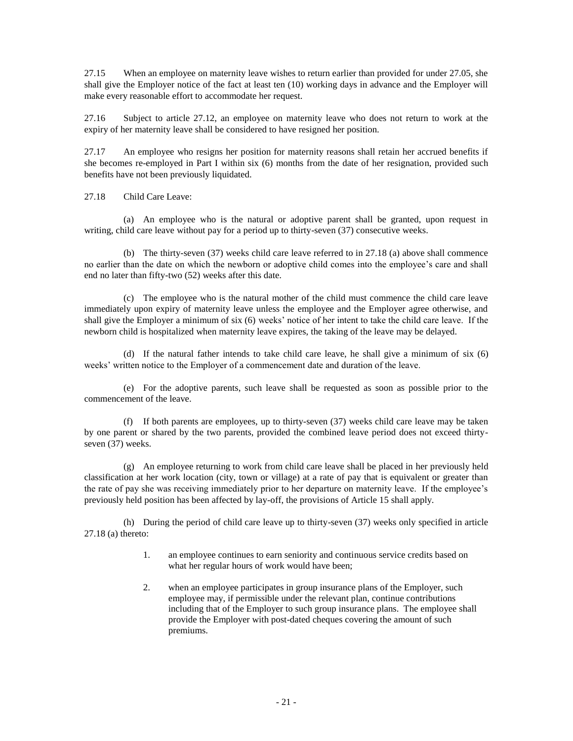27.15 When an employee on maternity leave wishes to return earlier than provided for under 27.05, she shall give the Employer notice of the fact at least ten (10) working days in advance and the Employer will make every reasonable effort to accommodate her request.

27.16 Subject to article 27.12, an employee on maternity leave who does not return to work at the expiry of her maternity leave shall be considered to have resigned her position.

27.17 An employee who resigns her position for maternity reasons shall retain her accrued benefits if she becomes re-employed in Part I within six (6) months from the date of her resignation, provided such benefits have not been previously liquidated.

27.18 Child Care Leave:

(a) An employee who is the natural or adoptive parent shall be granted, upon request in writing, child care leave without pay for a period up to thirty-seven (37) consecutive weeks.

(b) The thirty-seven (37) weeks child care leave referred to in 27.18 (a) above shall commence no earlier than the date on which the newborn or adoptive child comes into the employee's care and shall end no later than fifty-two (52) weeks after this date.

(c) The employee who is the natural mother of the child must commence the child care leave immediately upon expiry of maternity leave unless the employee and the Employer agree otherwise, and shall give the Employer a minimum of six (6) weeks' notice of her intent to take the child care leave. If the newborn child is hospitalized when maternity leave expires, the taking of the leave may be delayed.

(d) If the natural father intends to take child care leave, he shall give a minimum of six (6) weeks' written notice to the Employer of a commencement date and duration of the leave.

(e) For the adoptive parents, such leave shall be requested as soon as possible prior to the commencement of the leave.

(f) If both parents are employees, up to thirty-seven (37) weeks child care leave may be taken by one parent or shared by the two parents, provided the combined leave period does not exceed thirtyseven (37) weeks.

(g) An employee returning to work from child care leave shall be placed in her previously held classification at her work location (city, town or village) at a rate of pay that is equivalent or greater than the rate of pay she was receiving immediately prior to her departure on maternity leave. If the employee's previously held position has been affected by lay-off, the provisions of Article 15 shall apply.

(h) During the period of child care leave up to thirty-seven (37) weeks only specified in article 27.18 (a) thereto:

- 1. an employee continues to earn seniority and continuous service credits based on what her regular hours of work would have been;
- 2. when an employee participates in group insurance plans of the Employer, such employee may, if permissible under the relevant plan, continue contributions including that of the Employer to such group insurance plans. The employee shall provide the Employer with post-dated cheques covering the amount of such premiums.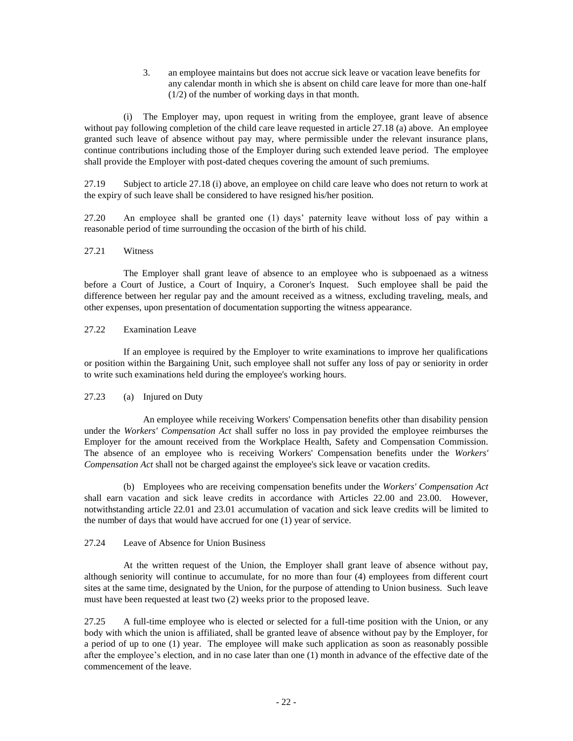3. an employee maintains but does not accrue sick leave or vacation leave benefits for any calendar month in which she is absent on child care leave for more than one-half (1/2) of the number of working days in that month.

(i) The Employer may, upon request in writing from the employee, grant leave of absence without pay following completion of the child care leave requested in article 27.18 (a) above. An employee granted such leave of absence without pay may, where permissible under the relevant insurance plans, continue contributions including those of the Employer during such extended leave period. The employee shall provide the Employer with post-dated cheques covering the amount of such premiums.

27.19 Subject to article 27.18 (i) above, an employee on child care leave who does not return to work at the expiry of such leave shall be considered to have resigned his/her position.

27.20 An employee shall be granted one (1) days' paternity leave without loss of pay within a reasonable period of time surrounding the occasion of the birth of his child.

### 27.21 Witness

The Employer shall grant leave of absence to an employee who is subpoenaed as a witness before a Court of Justice, a Court of Inquiry, a Coroner's Inquest. Such employee shall be paid the difference between her regular pay and the amount received as a witness, excluding traveling, meals, and other expenses, upon presentation of documentation supporting the witness appearance.

## 27.22 Examination Leave

If an employee is required by the Employer to write examinations to improve her qualifications or position within the Bargaining Unit, such employee shall not suffer any loss of pay or seniority in order to write such examinations held during the employee's working hours.

## 27.23 (a) Injured on Duty

An employee while receiving Workers' Compensation benefits other than disability pension under the *Workers' Compensation Act* shall suffer no loss in pay provided the employee reimburses the Employer for the amount received from the Workplace Health, Safety and Compensation Commission. The absence of an employee who is receiving Workers' Compensation benefits under the *Workers' Compensation Act* shall not be charged against the employee's sick leave or vacation credits.

(b) Employees who are receiving compensation benefits under the *Workers' Compensation Act* shall earn vacation and sick leave credits in accordance with Articles 22.00 and 23.00. However, notwithstanding article 22.01 and 23.01 accumulation of vacation and sick leave credits will be limited to the number of days that would have accrued for one (1) year of service.

## 27.24 Leave of Absence for Union Business

At the written request of the Union, the Employer shall grant leave of absence without pay, although seniority will continue to accumulate, for no more than four (4) employees from different court sites at the same time, designated by the Union, for the purpose of attending to Union business. Such leave must have been requested at least two (2) weeks prior to the proposed leave.

27.25 A full-time employee who is elected or selected for a full-time position with the Union, or any body with which the union is affiliated, shall be granted leave of absence without pay by the Employer, for a period of up to one (1) year. The employee will make such application as soon as reasonably possible after the employee's election, and in no case later than one (1) month in advance of the effective date of the commencement of the leave.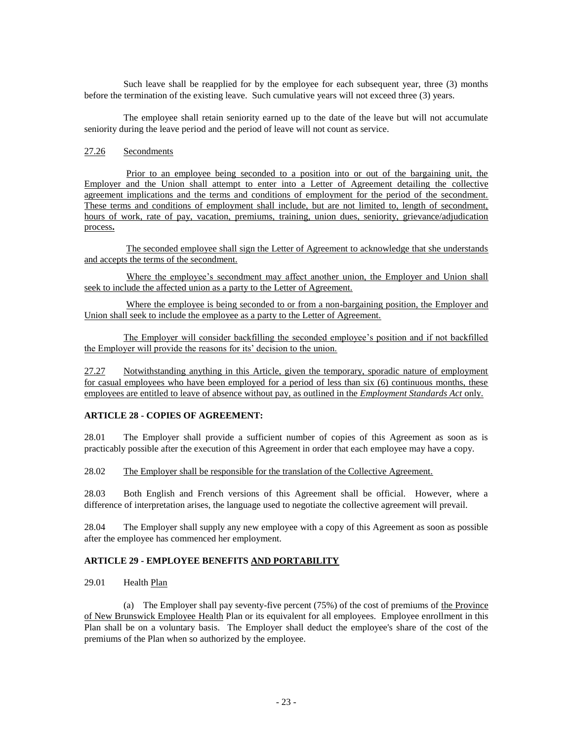Such leave shall be reapplied for by the employee for each subsequent year, three (3) months before the termination of the existing leave. Such cumulative years will not exceed three (3) years.

The employee shall retain seniority earned up to the date of the leave but will not accumulate seniority during the leave period and the period of leave will not count as service.

### 27.26 Secondments

Prior to an employee being seconded to a position into or out of the bargaining unit, the Employer and the Union shall attempt to enter into a Letter of Agreement detailing the collective agreement implications and the terms and conditions of employment for the period of the secondment. These terms and conditions of employment shall include, but are not limited to, length of secondment, hours of work, rate of pay, vacation, premiums, training, union dues, seniority, grievance/adjudication process**.**

The seconded employee shall sign the Letter of Agreement to acknowledge that she understands and accepts the terms of the secondment.

Where the employee's secondment may affect another union, the Employer and Union shall seek to include the affected union as a party to the Letter of Agreement.

Where the employee is being seconded to or from a non-bargaining position, the Employer and Union shall seek to include the employee as a party to the Letter of Agreement.

The Employer will consider backfilling the seconded employee's position and if not backfilled the Employer will provide the reasons for its' decision to the union.

27.27 Notwithstanding anything in this Article, given the temporary, sporadic nature of employment for casual employees who have been employed for a period of less than six (6) continuous months, these employees are entitled to leave of absence without pay, as outlined in the *Employment Standards Act* only.

### **ARTICLE 28 - COPIES OF AGREEMENT:**

28.01 The Employer shall provide a sufficient number of copies of this Agreement as soon as is practicably possible after the execution of this Agreement in order that each employee may have a copy.

28.02 The Employer shall be responsible for the translation of the Collective Agreement.

28.03 Both English and French versions of this Agreement shall be official. However, where a difference of interpretation arises, the language used to negotiate the collective agreement will prevail.

28.04 The Employer shall supply any new employee with a copy of this Agreement as soon as possible after the employee has commenced her employment.

## **ARTICLE 29 - EMPLOYEE BENEFITS AND PORTABILITY**

29.01 Health Plan

(a) The Employer shall pay seventy-five percent (75%) of the cost of premiums of the Province of New Brunswick Employee Health Plan or its equivalent for all employees. Employee enrollment in this Plan shall be on a voluntary basis. The Employer shall deduct the employee's share of the cost of the premiums of the Plan when so authorized by the employee.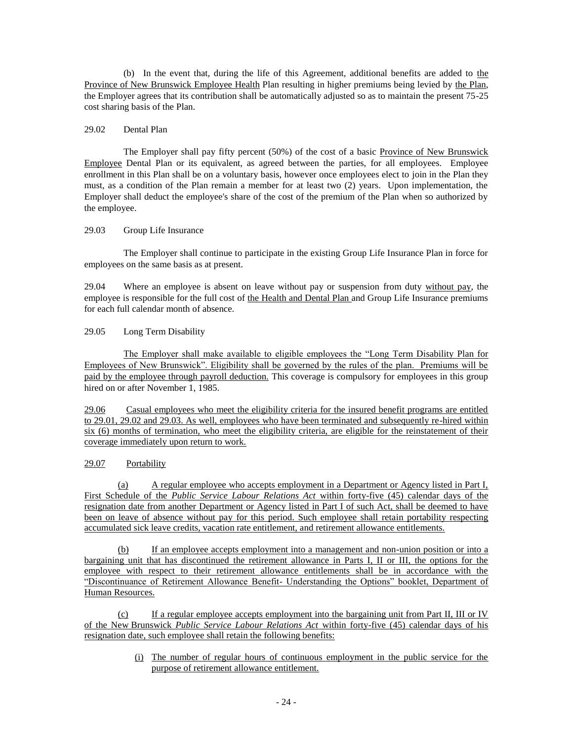(b) In the event that, during the life of this Agreement, additional benefits are added to the Province of New Brunswick Employee Health Plan resulting in higher premiums being levied by the Plan, the Employer agrees that its contribution shall be automatically adjusted so as to maintain the present 75-25 cost sharing basis of the Plan.

### 29.02 Dental Plan

The Employer shall pay fifty percent (50%) of the cost of a basic Province of New Brunswick Employee Dental Plan or its equivalent, as agreed between the parties, for all employees. Employee enrollment in this Plan shall be on a voluntary basis, however once employees elect to join in the Plan they must, as a condition of the Plan remain a member for at least two (2) years. Upon implementation, the Employer shall deduct the employee's share of the cost of the premium of the Plan when so authorized by the employee.

### 29.03 Group Life Insurance

The Employer shall continue to participate in the existing Group Life Insurance Plan in force for employees on the same basis as at present.

29.04 Where an employee is absent on leave without pay or suspension from duty without pay, the employee is responsible for the full cost of the Health and Dental Plan and Group Life Insurance premiums for each full calendar month of absence.

### 29.05 Long Term Disability

The Employer shall make available to eligible employees the "Long Term Disability Plan for Employees of New Brunswick". Eligibility shall be governed by the rules of the plan. Premiums will be paid by the employee through payroll deduction. This coverage is compulsory for employees in this group hired on or after November 1, 1985.

29.06 Casual employees who meet the eligibility criteria for the insured benefit programs are entitled to 29.01, 29.02 and 29.03. As well, employees who have been terminated and subsequently re-hired within six (6) months of termination, who meet the eligibility criteria, are eligible for the reinstatement of their coverage immediately upon return to work.

# 29.07 Portability

(a) A regular employee who accepts employment in a Department or Agency listed in Part I, First Schedule of the *Public Service Labour Relations Act* within forty-five (45) calendar days of the resignation date from another Department or Agency listed in Part I of such Act, shall be deemed to have been on leave of absence without pay for this period. Such employee shall retain portability respecting accumulated sick leave credits, vacation rate entitlement, and retirement allowance entitlements.

(b) If an employee accepts employment into a management and non-union position or into a bargaining unit that has discontinued the retirement allowance in Parts I, II or III, the options for the employee with respect to their retirement allowance entitlements shall be in accordance with the "Discontinuance of Retirement Allowance Benefit- Understanding the Options" booklet, Department of Human Resources.

(c) If a regular employee accepts employment into the bargaining unit from Part II, III or IV of the New Brunswick *Public Service Labour Relations Act* within forty-five (45) calendar days of his resignation date, such employee shall retain the following benefits:

> (i) The number of regular hours of continuous employment in the public service for the purpose of retirement allowance entitlement.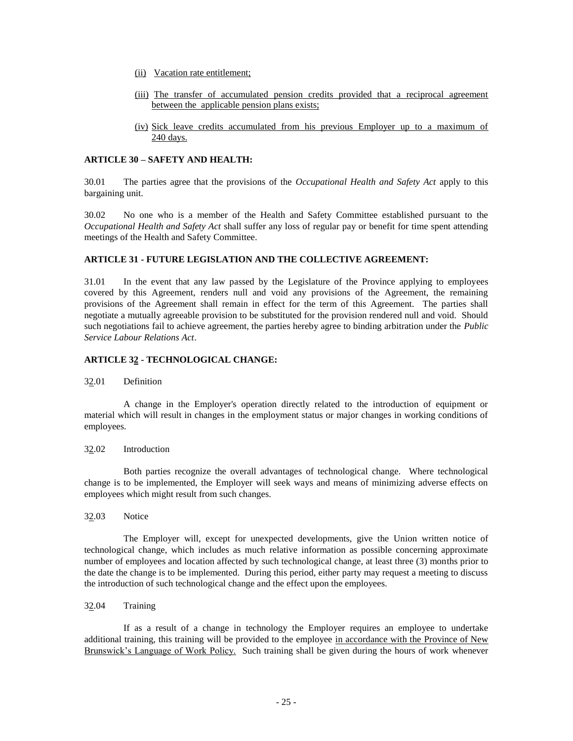- (ii) Vacation rate entitlement;
- (iii) The transfer of accumulated pension credits provided that a reciprocal agreement between the applicable pension plans exists;
- (iv) Sick leave credits accumulated from his previous Employer up to a maximum of 240 days.

### **ARTICLE 30 – SAFETY AND HEALTH:**

30.01 The parties agree that the provisions of the *Occupational Health and Safety Act* apply to this bargaining unit.

30.02 No one who is a member of the Health and Safety Committee established pursuant to the *Occupational Health and Safety Act* shall suffer any loss of regular pay or benefit for time spent attending meetings of the Health and Safety Committee.

### **ARTICLE 31 - FUTURE LEGISLATION AND THE COLLECTIVE AGREEMENT:**

31.01 In the event that any law passed by the Legislature of the Province applying to employees covered by this Agreement, renders null and void any provisions of the Agreement, the remaining provisions of the Agreement shall remain in effect for the term of this Agreement. The parties shall negotiate a mutually agreeable provision to be substituted for the provision rendered null and void. Should such negotiations fail to achieve agreement, the parties hereby agree to binding arbitration under the *Public Service Labour Relations Act*.

### **ARTICLE 32 - TECHNOLOGICAL CHANGE:**

### 32.01 Definition

A change in the Employer's operation directly related to the introduction of equipment or material which will result in changes in the employment status or major changes in working conditions of employees.

### 32.02 Introduction

Both parties recognize the overall advantages of technological change. Where technological change is to be implemented, the Employer will seek ways and means of minimizing adverse effects on employees which might result from such changes.

### 32.03 Notice

The Employer will, except for unexpected developments, give the Union written notice of technological change, which includes as much relative information as possible concerning approximate number of employees and location affected by such technological change, at least three (3) months prior to the date the change is to be implemented. During this period, either party may request a meeting to discuss the introduction of such technological change and the effect upon the employees.

32.04 Training

If as a result of a change in technology the Employer requires an employee to undertake additional training, this training will be provided to the employee in accordance with the Province of New Brunswick's Language of Work Policy. Such training shall be given during the hours of work whenever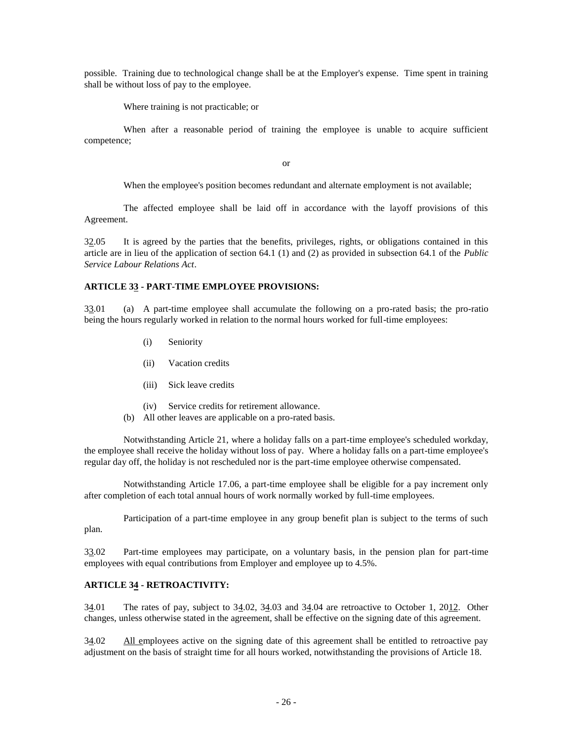possible. Training due to technological change shall be at the Employer's expense. Time spent in training shall be without loss of pay to the employee.

Where training is not practicable; or

When after a reasonable period of training the employee is unable to acquire sufficient competence;

or

When the employee's position becomes redundant and alternate employment is not available;

The affected employee shall be laid off in accordance with the layoff provisions of this Agreement.

 $32.05$  It is agreed by the parties that the benefits, privileges, rights, or obligations contained in this article are in lieu of the application of section 64.1 (1) and (2) as provided in subsection 64.1 of the *Public Service Labour Relations Act*.

### **ARTICLE 33 - PART-TIME EMPLOYEE PROVISIONS:**

33.01 (a) A part-time employee shall accumulate the following on a pro-rated basis; the pro-ratio being the hours regularly worked in relation to the normal hours worked for full-time employees:

- (i) Seniority
- (ii) Vacation credits
- (iii) Sick leave credits
- (iv) Service credits for retirement allowance.
- (b) All other leaves are applicable on a pro-rated basis.

Notwithstanding Article 21, where a holiday falls on a part-time employee's scheduled workday, the employee shall receive the holiday without loss of pay. Where a holiday falls on a part-time employee's regular day off, the holiday is not rescheduled nor is the part-time employee otherwise compensated.

Notwithstanding Article 17.06, a part-time employee shall be eligible for a pay increment only after completion of each total annual hours of work normally worked by full-time employees.

Participation of a part-time employee in any group benefit plan is subject to the terms of such plan.

33.02 Part-time employees may participate, on a voluntary basis, in the pension plan for part-time employees with equal contributions from Employer and employee up to 4.5%.

### **ARTICLE 34 - RETROACTIVITY:**

34.01 The rates of pay, subject to 34.02, 34.03 and 34.04 are retroactive to October 1, 2012. Other changes, unless otherwise stated in the agreement, shall be effective on the signing date of this agreement.

34.02 All employees active on the signing date of this agreement shall be entitled to retroactive pay adjustment on the basis of straight time for all hours worked, notwithstanding the provisions of Article 18.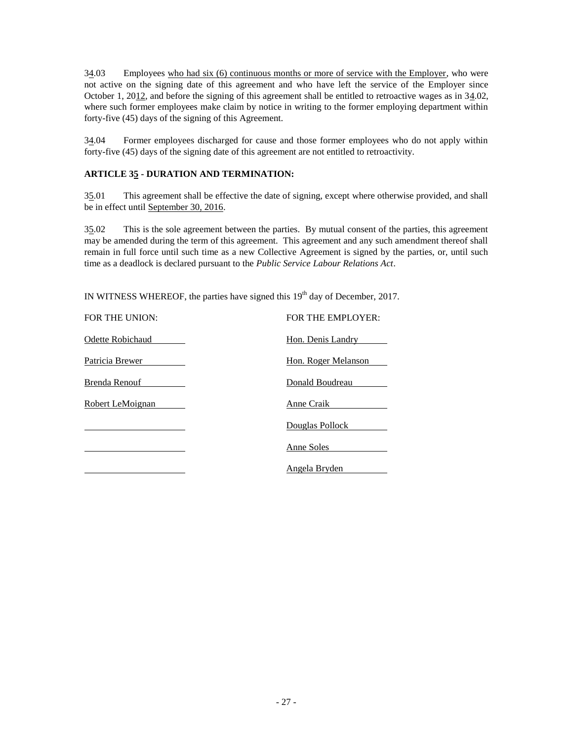34.03 Employees who had six (6) continuous months or more of service with the Employer, who were not active on the signing date of this agreement and who have left the service of the Employer since October 1, 2012, and before the signing of this agreement shall be entitled to retroactive wages as in 34.02, where such former employees make claim by notice in writing to the former employing department within forty-five (45) days of the signing of this Agreement.

34.04 Former employees discharged for cause and those former employees who do not apply within forty-five (45) days of the signing date of this agreement are not entitled to retroactivity.

# **ARTICLE 35 - DURATION AND TERMINATION:**

35.01 This agreement shall be effective the date of signing, except where otherwise provided, and shall be in effect until September 30, 2016.

35.02 This is the sole agreement between the parties. By mutual consent of the parties, this agreement may be amended during the term of this agreement. This agreement and any such amendment thereof shall remain in full force until such time as a new Collective Agreement is signed by the parties, or, until such time as a deadlock is declared pursuant to the *Public Service Labour Relations Act*.

IN WITNESS WHEREOF, the parties have signed this  $19<sup>th</sup>$  day of December, 2017.

| FOR THE UNION:   | FOR THE EMPLOYER:   |
|------------------|---------------------|
| Odette Robichaud | Hon. Denis Landry   |
| Patricia Brewer  | Hon. Roger Melanson |
| Brenda Renouf    | Donald Boudreau     |
| Robert LeMoignan | Anne Craik          |
|                  | Douglas Pollock     |
|                  | Anne Soles          |
|                  | Angela Bryden       |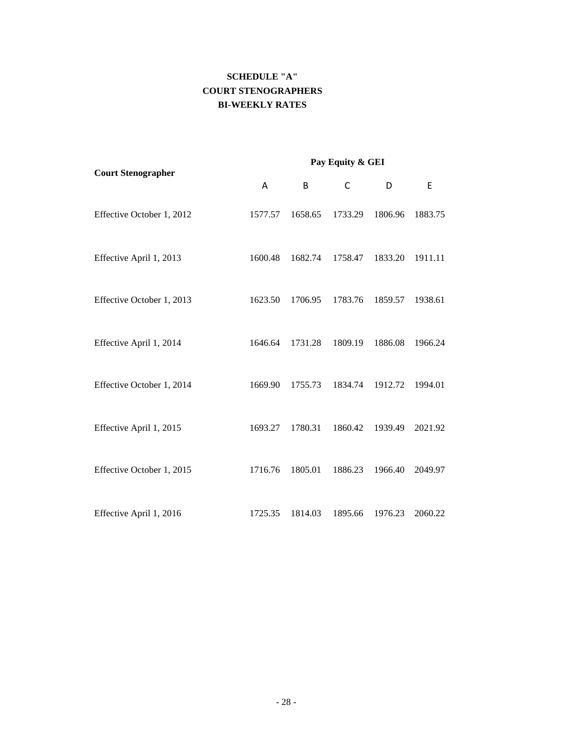# **SCHEDULE "A" COURT STENOGRAPHERS BI-WEEKLY RATES**

|                           | Pay Equity & GEI |         |         |         |         |  |
|---------------------------|------------------|---------|---------|---------|---------|--|
| <b>Court Stenographer</b> | Α                | B       | C       | D       | E       |  |
| Effective October 1, 2012 | 1577.57          | 1658.65 | 1733.29 | 1806.96 | 1883.75 |  |
| Effective April 1, 2013   | 1600.48          | 1682.74 | 1758.47 | 1833.20 | 1911.11 |  |
| Effective October 1, 2013 | 1623.50          | 1706.95 | 1783.76 | 1859.57 | 1938.61 |  |
| Effective April 1, 2014   | 1646.64          | 1731.28 | 1809.19 | 1886.08 | 1966.24 |  |
| Effective October 1, 2014 | 1669.90          | 1755.73 | 1834.74 | 1912.72 | 1994.01 |  |
| Effective April 1, 2015   | 1693.27          | 1780.31 | 1860.42 | 1939.49 | 2021.92 |  |
| Effective October 1, 2015 | 1716.76          | 1805.01 | 1886.23 | 1966.40 | 2049.97 |  |
| Effective April 1, 2016   | 1725.35          | 1814.03 | 1895.66 | 1976.23 | 2060.22 |  |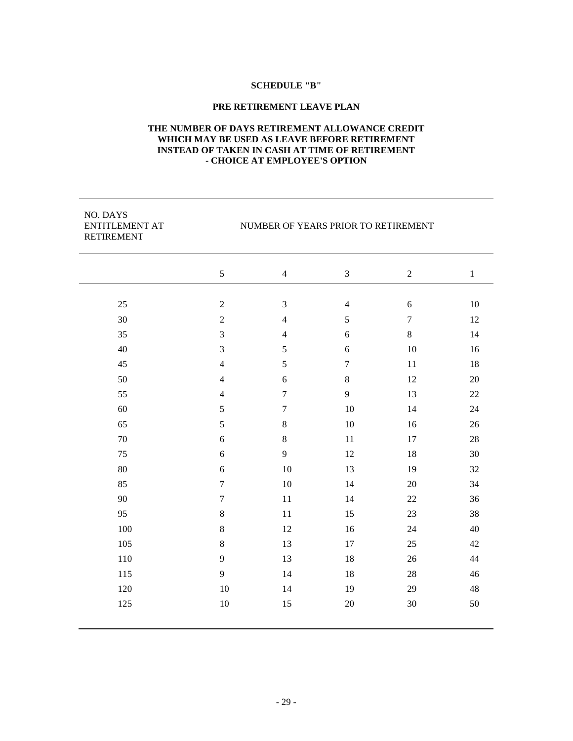## **SCHEDULE "B"**

## **PRE RETIREMENT LEAVE PLAN**

## **THE NUMBER OF DAYS RETIREMENT ALLOWANCE CREDIT WHICH MAY BE USED AS LEAVE BEFORE RETIREMENT INSTEAD OF TAKEN IN CASH AT TIME OF RETIREMENT - CHOICE AT EMPLOYEE'S OPTION**

| NO. DAYS<br><b>ENTITLEMENT AT</b><br><b>RETIREMENT</b> |                  | NUMBER OF YEARS PRIOR TO RETIREMENT |                |                |         |
|--------------------------------------------------------|------------------|-------------------------------------|----------------|----------------|---------|
|                                                        | 5                | $\overline{4}$                      | 3              | $\overline{2}$ | $\,1\,$ |
| 25                                                     | $\sqrt{2}$       | $\mathfrak{Z}$                      | $\overline{4}$ | 6              | 10      |
| 30                                                     | $\overline{2}$   | $\overline{4}$                      | 5              | $\overline{7}$ | 12      |
| 35                                                     | $\mathfrak{Z}$   | $\overline{4}$                      | $\sqrt{6}$     | $\,8\,$        | 14      |
| 40                                                     | $\mathfrak{Z}$   | 5                                   | $\sqrt{6}$     | 10             | 16      |
| 45                                                     | $\overline{4}$   | 5                                   | $\tau$         | 11             | 18      |
| 50                                                     | $\overline{4}$   | 6                                   | $\,8\,$        | 12             | 20      |
| 55                                                     | $\overline{4}$   | $\overline{7}$                      | 9              | 13             | 22      |
| 60                                                     | 5                | $\boldsymbol{7}$                    | 10             | 14             | 24      |
| 65                                                     | 5                | 8                                   | 10             | 16             | 26      |
| 70                                                     | 6                | $8\,$                               | 11             | 17             | $28\,$  |
| 75                                                     | 6                | 9                                   | 12             | 18             | 30      |
| 80                                                     | 6                | 10                                  | 13             | 19             | 32      |
| 85                                                     | $\boldsymbol{7}$ | 10                                  | 14             | 20             | 34      |
| 90                                                     | $\tau$           | 11                                  | 14             | 22             | 36      |
| 95                                                     | $\,8\,$          | 11                                  | 15             | 23             | 38      |
| 100                                                    | $\,8\,$          | 12                                  | 16             | 24             | 40      |
| 105                                                    | $\,8\,$          | 13                                  | 17             | 25             | 42      |
| 110                                                    | 9                | 13                                  | 18             | 26             | 44      |
| 115                                                    | 9                | 14                                  | 18             | 28             | 46      |
| 120                                                    | 10               | 14                                  | 19             | 29             | 48      |
| 125                                                    | 10               | 15                                  | 20             | 30             | 50      |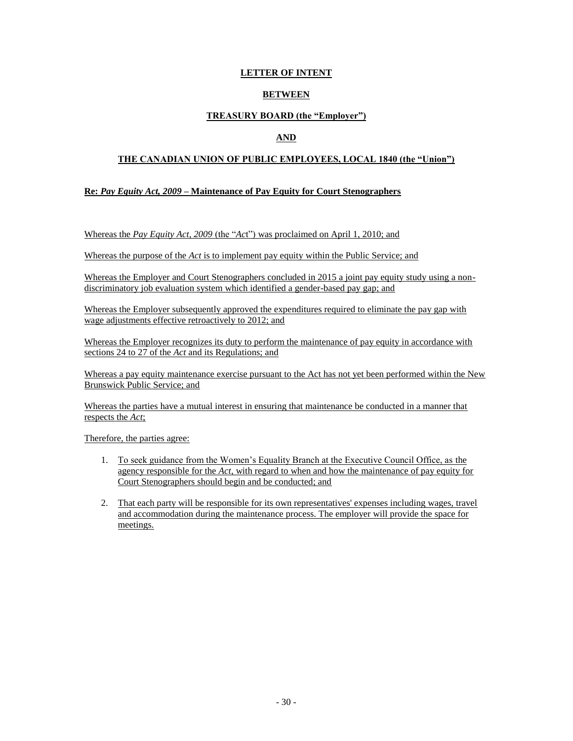# **LETTER OF INTENT**

# **BETWEEN**

# **TREASURY BOARD (the "Employer")**

# **AND**

# **THE CANADIAN UNION OF PUBLIC EMPLOYEES, LOCAL 1840 (the "Union")**

## **Re:** *Pay Equity Act, 2009* **– Maintenance of Pay Equity for Court Stenographers**

Whereas the *Pay Equity Act, 2009* (the "*Ac*t") was proclaimed on April 1, 2010; and

Whereas the purpose of the *Act* is to implement pay equity within the Public Service; and

Whereas the Employer and Court Stenographers concluded in 2015 a joint pay equity study using a nondiscriminatory job evaluation system which identified a gender-based pay gap; and

Whereas the Employer subsequently approved the expenditures required to eliminate the pay gap with wage adjustments effective retroactively to 2012; and

Whereas the Employer recognizes its duty to perform the maintenance of pay equity in accordance with sections 24 to 27 of the *Act* and its Regulations; and

Whereas a pay equity maintenance exercise pursuant to the Act has not yet been performed within the New Brunswick Public Service; and

Whereas the parties have a mutual interest in ensuring that maintenance be conducted in a manner that respects the *Act*;

Therefore, the parties agree:

- 1. To seek guidance from the Women's Equality Branch at the Executive Council Office, as the agency responsible for the *Act*, with regard to when and how the maintenance of pay equity for Court Stenographers should begin and be conducted; and
- 2. That each party will be responsible for its own representatives' expenses including wages, travel and accommodation during the maintenance process. The employer will provide the space for meetings.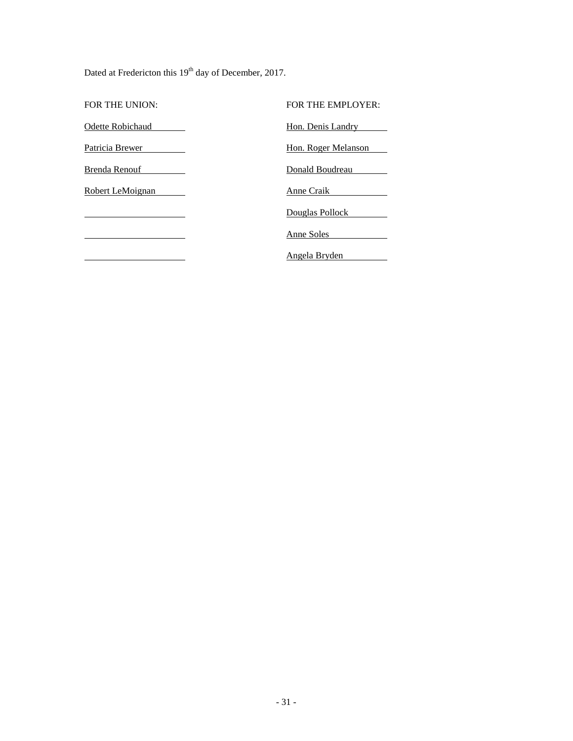Dated at Fredericton this 19<sup>th</sup> day of December, 2017.

FOR THE UNION: FOR THE EMPLOYER: Odette Robichaud **Hon. Denis Landry** Patricia Brewer Hon. Roger Melanson Brenda Renouf **Donald Boudreau** Robert LeMoignan **Anne Craik** Douglas Pollock Anne Soles Angela Bryden $\overline{\phantom{a}}$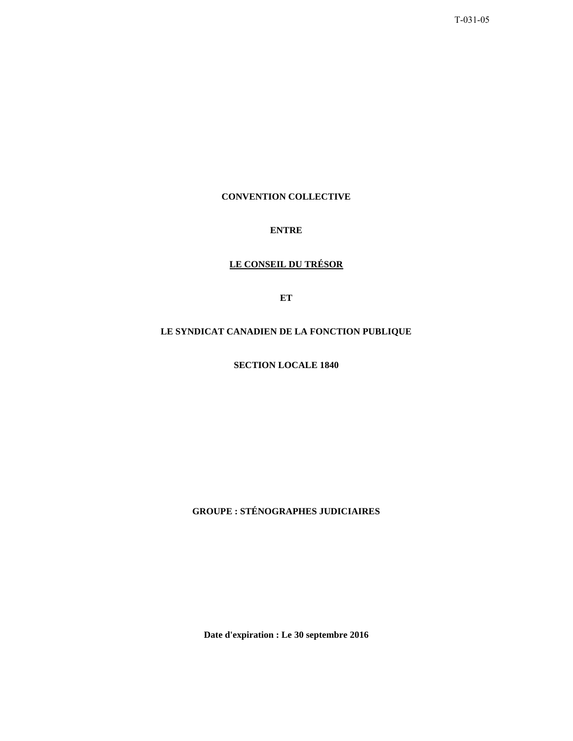T-031-05

# **CONVENTION COLLECTIVE**

# **ENTRE**

# **LE CONSEIL DU TRÉSOR**

**ET**

# **LE SYNDICAT CANADIEN DE LA FONCTION PUBLIQUE**

**SECTION LOCALE 1840** 

**GROUPE : STÉNOGRAPHES JUDICIAIRES** 

**Date d'expiration : Le 30 septembre 2016**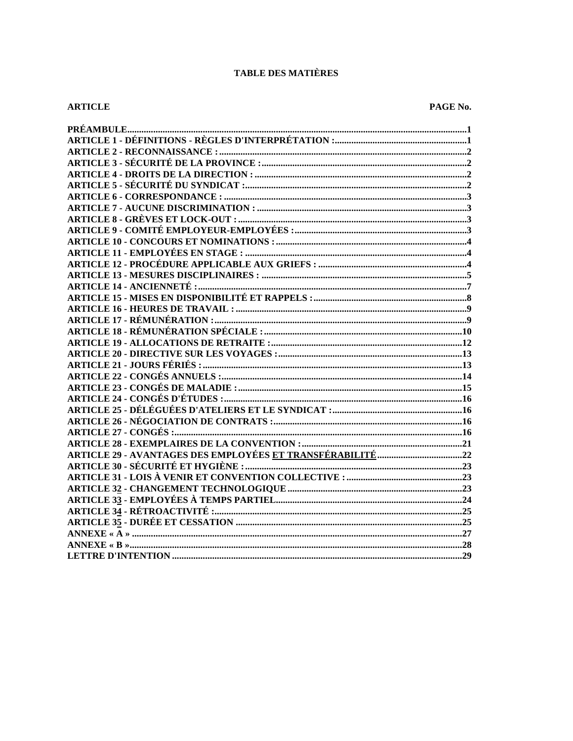# **TABLE DES MATIÈRES**

## **ARTICLE**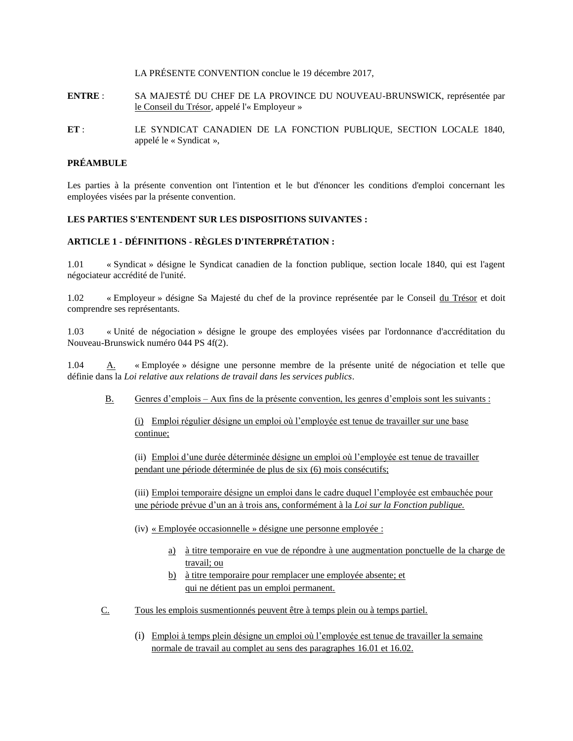LA PRÉSENTE CONVENTION conclue le 19 décembre 2017,

- **ENTRE** : SA MAJESTÉ DU CHEF DE LA PROVINCE DU NOUVEAU-BRUNSWICK, représentée par le Conseil du Trésor, appelé l'« Employeur »
- **ET** : LE SYNDICAT CANADIEN DE LA FONCTION PUBLIQUE, SECTION LOCALE 1840, appelé le « Syndicat »,

# **PRÉAMBULE**

Les parties à la présente convention ont l'intention et le but d'énoncer les conditions d'emploi concernant les employées visées par la présente convention.

# **LES PARTIES S'ENTENDENT SUR LES DISPOSITIONS SUIVANTES :**

# **ARTICLE 1 - DÉFINITIONS - RÈGLES D'INTERPRÉTATION :**

1.01 « Syndicat » désigne le Syndicat canadien de la fonction publique, section locale 1840, qui est l'agent négociateur accrédité de l'unité.

1.02 « Employeur » désigne Sa Majesté du chef de la province représentée par le Conseil du Trésor et doit comprendre ses représentants.

1.03 « Unité de négociation » désigne le groupe des employées visées par l'ordonnance d'accréditation du Nouveau-Brunswick numéro 044 PS 4f(2).

1.04 A. « Employée » désigne une personne membre de la présente unité de négociation et telle que définie dans la *Loi relative aux relations de travail dans les services publics*.

B. Genres d'emplois – Aux fins de la présente convention, les genres d'emplois sont les suivants :

(i) Emploi régulier désigne un emploi où l'employée est tenue de travailler sur une base continue;

(ii) Emploi d'une durée déterminée désigne un emploi où l'employée est tenue de travailler pendant une période déterminée de plus de six (6) mois consécutifs;

(iii) Emploi temporaire désigne un emploi dans le cadre duquel l'employée est embauchée pour une période prévue d'un an à trois ans, conformément à la *Loi sur la Fonction publique.*

- (iv) « Employée occasionnelle » désigne une personne employée :
	- a) à titre temporaire en vue de répondre à une augmentation ponctuelle de la charge de travail; ou
	- b) à titre temporaire pour remplacer une employée absente; et qui ne détient pas un emploi permanent.
- C. Tous les emplois susmentionnés peuvent être à temps plein ou à temps partiel.
	- (i) Emploi à temps plein désigne un emploi où l'employée est tenue de travailler la semaine normale de travail au complet au sens des paragraphes 16.01 et 16.02.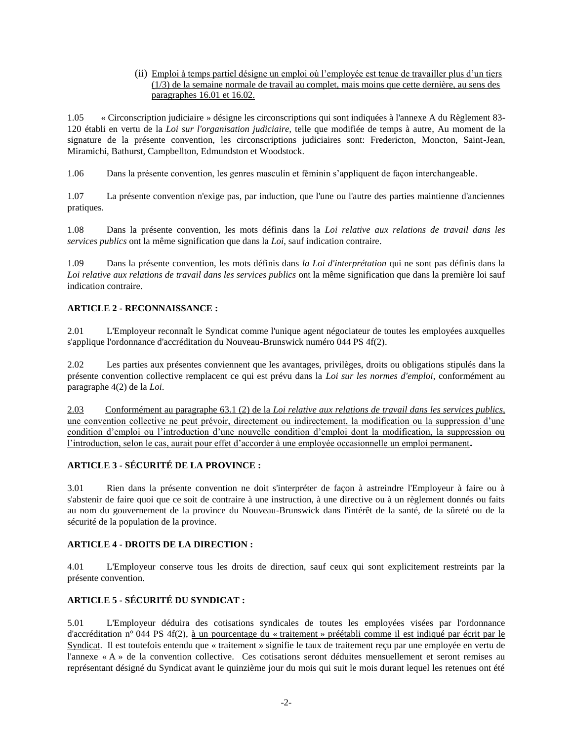(ii) Emploi à temps partiel désigne un emploi où l'employée est tenue de travailler plus d'un tiers (1/3) de la semaine normale de travail au complet, mais moins que cette dernière, au sens des paragraphes 16.01 et 16.02.

1.05 « Circonscription judiciaire » désigne les circonscriptions qui sont indiquées à l'annexe A du Règlement 83- 120 établi en vertu de la *Loi sur l'organisation judiciaire,* telle que modifiée de temps à autre, Au moment de la signature de la présente convention, les circonscriptions judiciaires sont: Fredericton, Moncton, Saint-Jean, Miramichi, Bathurst, Campbellton, Edmundston et Woodstock.

1.06 Dans la présente convention, les genres masculin et féminin s'appliquent de façon interchangeable.

1.07 La présente convention n'exige pas, par induction, que l'une ou l'autre des parties maintienne d'anciennes pratiques.

1.08 Dans la présente convention, les mots définis dans la *Loi relative aux relations de travail dans les services publics* ont la même signification que dans la *Loi*, sauf indication contraire.

1.09 Dans la présente convention, les mots définis dans *la Loi d'interprétation* qui ne sont pas définis dans la *Loi relative aux relations de travail dans les services publics* ont la même signification que dans la première loi sauf indication contraire.

# **ARTICLE 2 - RECONNAISSANCE :**

2.01 L'Employeur reconnaît le Syndicat comme l'unique agent négociateur de toutes les employées auxquelles s'applique l'ordonnance d'accréditation du Nouveau-Brunswick numéro 044 PS 4f(2).

2.02 Les parties aux présentes conviennent que les avantages, privilèges, droits ou obligations stipulés dans la présente convention collective remplacent ce qui est prévu dans la *Loi sur les normes d'emploi*, conformément au paragraphe 4(2) de la *Loi*.

2.03 Conformément au paragraphe 63.1 (2) de la *Loi relative aux relations de travail dans les services publics*, une convention collective ne peut prévoir, directement ou indirectement, la modification ou la suppression d'une condition d'emploi ou l'introduction d'une nouvelle condition d'emploi dont la modification, la suppression ou l'introduction, selon le cas, aurait pour effet d'accorder à une employée occasionnelle un emploi permanent**.**

# **ARTICLE 3 - SÉCURITÉ DE LA PROVINCE :**

3.01 Rien dans la présente convention ne doit s'interpréter de façon à astreindre l'Employeur à faire ou à s'abstenir de faire quoi que ce soit de contraire à une instruction, à une directive ou à un règlement donnés ou faits au nom du gouvernement de la province du Nouveau-Brunswick dans l'intérêt de la santé, de la sûreté ou de la sécurité de la population de la province.

## **ARTICLE 4 - DROITS DE LA DIRECTION :**

4.01 L'Employeur conserve tous les droits de direction, sauf ceux qui sont explicitement restreints par la présente convention.

# **ARTICLE 5 - SÉCURITÉ DU SYNDICAT :**

5.01 L'Employeur déduira des cotisations syndicales de toutes les employées visées par l'ordonnance d'accréditation n° 044 PS 4f(2), à un pourcentage du « traitement » préétabli comme il est indiqué par écrit par le Syndicat. Il est toutefois entendu que « traitement » signifie le taux de traitement reçu par une employée en vertu de l'annexe « A » de la convention collective. Ces cotisations seront déduites mensuellement et seront remises au représentant désigné du Syndicat avant le quinzième jour du mois qui suit le mois durant lequel les retenues ont été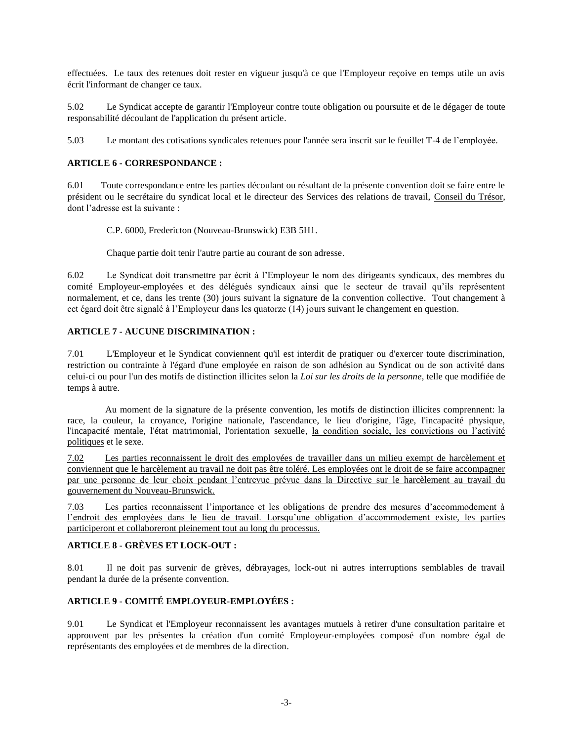effectuées. Le taux des retenues doit rester en vigueur jusqu'à ce que l'Employeur reçoive en temps utile un avis écrit l'informant de changer ce taux.

5.02 Le Syndicat accepte de garantir l'Employeur contre toute obligation ou poursuite et de le dégager de toute responsabilité découlant de l'application du présent article.

5.03 Le montant des cotisations syndicales retenues pour l'année sera inscrit sur le feuillet T-4 de l'employée.

# **ARTICLE 6 - CORRESPONDANCE :**

6.01 Toute correspondance entre les parties découlant ou résultant de la présente convention doit se faire entre le président ou le secrétaire du syndicat local et le directeur des Services des relations de travail, Conseil du Trésor, dont l'adresse est la suivante :

C.P. 6000, Fredericton (Nouveau-Brunswick) E3B 5H1.

Chaque partie doit tenir l'autre partie au courant de son adresse.

6.02 Le Syndicat doit transmettre par écrit à l'Employeur le nom des dirigeants syndicaux, des membres du comité Employeur-employées et des délégués syndicaux ainsi que le secteur de travail qu'ils représentent normalement, et ce, dans les trente (30) jours suivant la signature de la convention collective. Tout changement à cet égard doit être signalé à l'Employeur dans les quatorze (14) jours suivant le changement en question.

# **ARTICLE 7 - AUCUNE DISCRIMINATION :**

7.01 L'Employeur et le Syndicat conviennent qu'il est interdit de pratiquer ou d'exercer toute discrimination, restriction ou contrainte à l'égard d'une employée en raison de son adhésion au Syndicat ou de son activité dans celui-ci ou pour l'un des motifs de distinction illicites selon la *Loi sur les droits de la personne*, telle que modifiée de temps à autre.

Au moment de la signature de la présente convention, les motifs de distinction illicites comprennent: la race, la couleur, la croyance, l'origine nationale, l'ascendance, le lieu d'origine, l'âge, l'incapacité physique, l'incapacité mentale, l'état matrimonial, l'orientation sexuelle, la condition sociale, les convictions ou l'activité politiques et le sexe.

7.02 Les parties reconnaissent le droit des employées de travailler dans un milieu exempt de harcèlement et conviennent que le harcèlement au travail ne doit pas être toléré. Les employées ont le droit de se faire accompagner par une personne de leur choix pendant l'entrevue prévue dans la Directive sur le harcèlement au travail du gouvernement du Nouveau-Brunswick.

7.03 Les parties reconnaissent l'importance et les obligations de prendre des mesures d'accommodement à l'endroit des employées dans le lieu de travail. Lorsqu'une obligation d'accommodement existe, les parties participeront et collaboreront pleinement tout au long du processus.

# **ARTICLE 8 - GRÈVES ET LOCK-OUT :**

8.01 Il ne doit pas survenir de grèves, débrayages, lock-out ni autres interruptions semblables de travail pendant la durée de la présente convention.

# **ARTICLE 9 - COMITÉ EMPLOYEUR-EMPLOYÉES :**

9.01 Le Syndicat et l'Employeur reconnaissent les avantages mutuels à retirer d'une consultation paritaire et approuvent par les présentes la création d'un comité Employeur-employées composé d'un nombre égal de représentants des employées et de membres de la direction.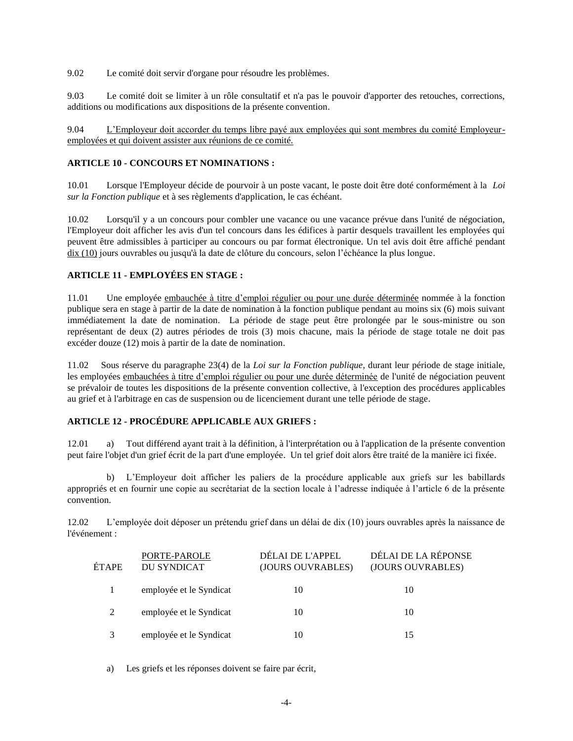9.02 Le comité doit servir d'organe pour résoudre les problèmes.

9.03 Le comité doit se limiter à un rôle consultatif et n'a pas le pouvoir d'apporter des retouches, corrections, additions ou modifications aux dispositions de la présente convention.

9.04 L'Employeur doit accorder du temps libre payé aux employées qui sont membres du comité Employeuremployées et qui doivent assister aux réunions de ce comité.

## **ARTICLE 10 - CONCOURS ET NOMINATIONS :**

10.01 Lorsque l'Employeur décide de pourvoir à un poste vacant, le poste doit être doté conformément à la *Loi sur la Fonction publique* et à ses règlements d'application, le cas échéant.

10.02 Lorsqu'il y a un concours pour combler une vacance ou une vacance prévue dans l'unité de négociation, l'Employeur doit afficher les avis d'un tel concours dans les édifices à partir desquels travaillent les employées qui peuvent être admissibles à participer au concours ou par format électronique. Un tel avis doit être affiché pendant dix (10) jours ouvrables ou jusqu'à la date de clôture du concours, selon l'échéance la plus longue.

# **ARTICLE 11 - EMPLOYÉES EN STAGE :**

11.01 Une employée embauchée à titre d'emploi régulier ou pour une durée déterminée nommée à la fonction publique sera en stage à partir de la date de nomination à la fonction publique pendant au moins six (6) mois suivant immédiatement la date de nomination. La période de stage peut être prolongée par le sous-ministre ou son représentant de deux (2) autres périodes de trois (3) mois chacune, mais la période de stage totale ne doit pas excéder douze (12) mois à partir de la date de nomination.

11.02 Sous réserve du paragraphe 23(4) de la *Loi sur la Fonction publique*, durant leur période de stage initiale, les employées embauchées à titre d'emploi régulier ou pour une durée déterminée de l'unité de négociation peuvent se prévaloir de toutes les dispositions de la présente convention collective, à l'exception des procédures applicables au grief et à l'arbitrage en cas de suspension ou de licenciement durant une telle période de stage.

# **ARTICLE 12 - PROCÉDURE APPLICABLE AUX GRIEFS :**

12.01 a) Tout différend ayant trait à la définition, à l'interprétation ou à l'application de la présente convention peut faire l'objet d'un grief écrit de la part d'une employée. Un tel grief doit alors être traité de la manière ici fixée.

b) L'Employeur doit afficher les paliers de la procédure applicable aux griefs sur les babillards appropriés et en fournir une copie au secrétariat de la section locale à l'adresse indiquée à l'article 6 de la présente convention.

12.02 L'employée doit déposer un prétendu grief dans un délai de dix (10) jours ouvrables après la naissance de l'événement :

| ÉTAPE | PORTE-PAROLE<br><b>DU SYNDICAT</b> | DÉLAI DE L'APPEL<br>(JOURS OUVRABLES) | DÉLAI DE LA RÉPONSE<br>(JOURS OUVRABLES) |
|-------|------------------------------------|---------------------------------------|------------------------------------------|
|       | employée et le Syndicat            | 10                                    | 10                                       |
| 2     | employée et le Syndicat            | 10                                    | 10                                       |
|       | employée et le Syndicat            | 10                                    | 15                                       |

a) Les griefs et les réponses doivent se faire par écrit,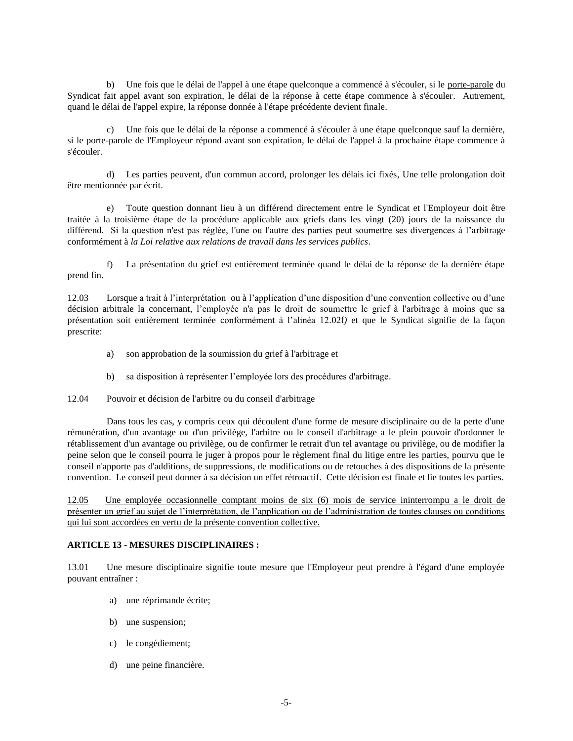b) Une fois que le délai de l'appel à une étape quelconque a commencé à s'écouler, si le porte-parole du Syndicat fait appel avant son expiration, le délai de la réponse à cette étape commence à s'écouler. Autrement, quand le délai de l'appel expire, la réponse donnée à l'étape précédente devient finale.

c) Une fois que le délai de la réponse a commencé à s'écouler à une étape quelconque sauf la dernière, si le porte-parole de l'Employeur répond avant son expiration, le délai de l'appel à la prochaine étape commence à s'écouler.

d) Les parties peuvent, d'un commun accord, prolonger les délais ici fixés, Une telle prolongation doit être mentionnée par écrit.

e) Toute question donnant lieu à un différend directement entre le Syndicat et l'Employeur doit être traitée à la troisième étape de la procédure applicable aux griefs dans les vingt (20) jours de la naissance du différend. Si la question n'est pas réglée, l'une ou l'autre des parties peut soumettre ses divergences à l'arbitrage conformément à *la Loi relative aux relations de travail dans les services publics*.

f) La présentation du grief est entièrement terminée quand le délai de la réponse de la dernière étape prend fin.

12.03 Lorsque a trait à l'interprétation ou à l'application d'une disposition d'une convention collective ou d'une décision arbitrale la concernant, l'employée n'a pas le droit de soumettre le grief à l'arbitrage à moins que sa présentation soit entièrement terminée conformément à l'alinéa 12.02f*)* et que le Syndicat signifie de la façon prescrite:

- a) son approbation de la soumission du grief à l'arbitrage et
- b) sa disposition à représenter l'employée lors des procédures d'arbitrage.

12.04 Pouvoir et décision de l'arbitre ou du conseil d'arbitrage

Dans tous les cas, y compris ceux qui découlent d'une forme de mesure disciplinaire ou de la perte d'une rémunération, d'un avantage ou d'un privilège, l'arbitre ou le conseil d'arbitrage a le plein pouvoir d'ordonner le rétablissement d'un avantage ou privilège, ou de confirmer le retrait d'un tel avantage ou privilège, ou de modifier la peine selon que le conseil pourra le juger à propos pour le règlement final du litige entre les parties, pourvu que le conseil n'apporte pas d'additions, de suppressions, de modifications ou de retouches à des dispositions de la présente convention. Le conseil peut donner à sa décision un effet rétroactif. Cette décision est finale et lie toutes les parties.

12.05 Une employée occasionnelle comptant moins de six (6) mois de service ininterrompu a le droit de présenter un grief au sujet de l'interprétation, de l'application ou de l'administration de toutes clauses ou conditions qui lui sont accordées en vertu de la présente convention collective.

## **ARTICLE 13 - MESURES DISCIPLINAIRES :**

13.01 Une mesure disciplinaire signifie toute mesure que l'Employeur peut prendre à l'égard d'une employée pouvant entraîner :

- a) une réprimande écrite;
- b) une suspension;
- c) le congédiement;
- d) une peine financière.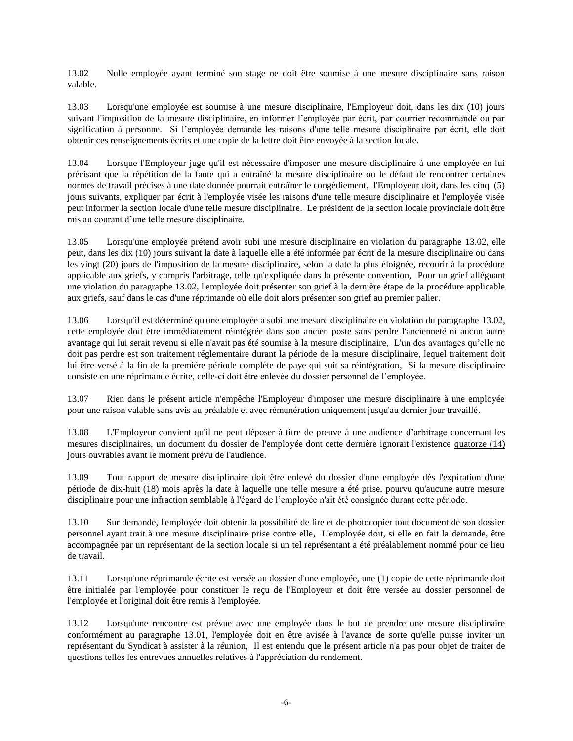13.02 Nulle employée ayant terminé son stage ne doit être soumise à une mesure disciplinaire sans raison valable.

13.03 Lorsqu'une employée est soumise à une mesure disciplinaire, l'Employeur doit, dans les dix (10) jours suivant l'imposition de la mesure disciplinaire, en informer l'employée par écrit, par courrier recommandé ou par signification à personne. Si l'employée demande les raisons d'une telle mesure disciplinaire par écrit, elle doit obtenir ces renseignements écrits et une copie de la lettre doit être envoyée à la section locale.

13.04 Lorsque l'Employeur juge qu'il est nécessaire d'imposer une mesure disciplinaire à une employée en lui précisant que la répétition de la faute qui a entraîné la mesure disciplinaire ou le défaut de rencontrer certaines normes de travail précises à une date donnée pourrait entraîner le congédiement, l'Employeur doit, dans les cinq (5) jours suivants, expliquer par écrit à l'employée visée les raisons d'une telle mesure disciplinaire et l'employée visée peut informer la section locale d'une telle mesure disciplinaire. Le président de la section locale provinciale doit être mis au courant d'une telle mesure disciplinaire.

13.05 Lorsqu'une employée prétend avoir subi une mesure disciplinaire en violation du paragraphe 13.02, elle peut, dans les dix (10) jours suivant la date à laquelle elle a été informée par écrit de la mesure disciplinaire ou dans les vingt (20) jours de l'imposition de la mesure disciplinaire, selon la date la plus éloignée, recourir à la procédure applicable aux griefs, y compris l'arbitrage, telle qu'expliquée dans la présente convention, Pour un grief alléguant une violation du paragraphe 13.02, l'employée doit présenter son grief à la dernière étape de la procédure applicable aux griefs, sauf dans le cas d'une réprimande où elle doit alors présenter son grief au premier palier.

13.06 Lorsqu'il est déterminé qu'une employée a subi une mesure disciplinaire en violation du paragraphe 13.02, cette employée doit être immédiatement réintégrée dans son ancien poste sans perdre l'ancienneté ni aucun autre avantage qui lui serait revenu si elle n'avait pas été soumise à la mesure disciplinaire, L'un des avantages qu'elle ne doit pas perdre est son traitement réglementaire durant la période de la mesure disciplinaire, lequel traitement doit lui être versé à la fin de la première période complète de paye qui suit sa réintégration, Si la mesure disciplinaire consiste en une réprimande écrite, celle-ci doit être enlevée du dossier personnel de l'employée.

13.07 Rien dans le présent article n'empêche l'Employeur d'imposer une mesure disciplinaire à une employée pour une raison valable sans avis au préalable et avec rémunération uniquement jusqu'au dernier jour travaillé.

13.08 L'Employeur convient qu'il ne peut déposer à titre de preuve à une audience <u>d'arbitrage</u> concernant les mesures disciplinaires, un document du dossier de l'employée dont cette dernière ignorait l'existence quatorze (14) jours ouvrables avant le moment prévu de l'audience.

13.09 Tout rapport de mesure disciplinaire doit être enlevé du dossier d'une employée dès l'expiration d'une période de dix-huit (18) mois après la date à laquelle une telle mesure a été prise, pourvu qu'aucune autre mesure disciplinaire pour une infraction semblable à l'égard de l'employée n'ait été consignée durant cette période.

13.10 Sur demande, l'employée doit obtenir la possibilité de lire et de photocopier tout document de son dossier personnel ayant trait à une mesure disciplinaire prise contre elle, L'employée doit, si elle en fait la demande, être accompagnée par un représentant de la section locale si un tel représentant a été préalablement nommé pour ce lieu de travail.

13.11 Lorsqu'une réprimande écrite est versée au dossier d'une employée, une (1) copie de cette réprimande doit être initialée par l'employée pour constituer le reçu de l'Employeur et doit être versée au dossier personnel de l'employée et l'original doit être remis à l'employée.

13.12 Lorsqu'une rencontre est prévue avec une employée dans le but de prendre une mesure disciplinaire conformément au paragraphe 13.01, l'employée doit en être avisée à l'avance de sorte qu'elle puisse inviter un représentant du Syndicat à assister à la réunion, Il est entendu que le présent article n'a pas pour objet de traiter de questions telles les entrevues annuelles relatives à l'appréciation du rendement.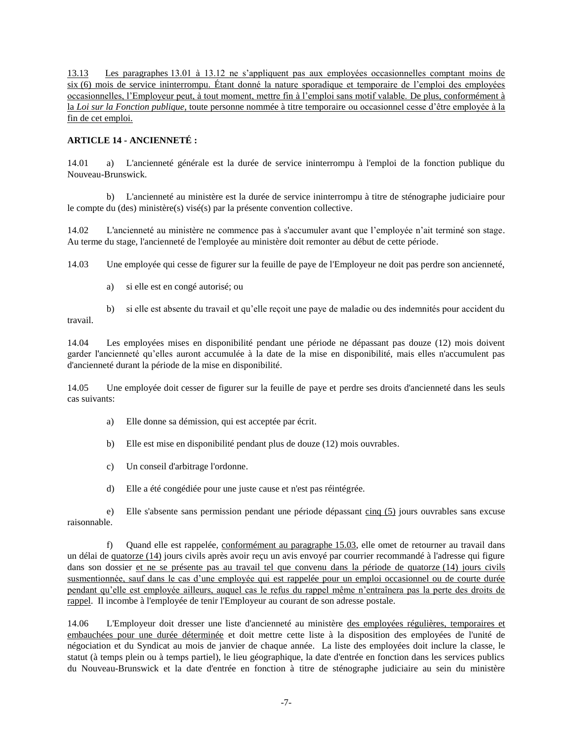13.13 Les paragraphes 13.01 à 13.12 ne s'appliquent pas aux employées occasionnelles comptant moins de six (6) mois de service ininterrompu. Étant donné la nature sporadique et temporaire de l'emploi des employées occasionnelles, l'Employeur peut, à tout moment, mettre fin à l'emploi sans motif valable. De plus, conformément à la *Loi sur la Fonction publique*, toute personne nommée à titre temporaire ou occasionnel cesse d'être employée à la fin de cet emploi.

## **ARTICLE 14 - ANCIENNETÉ :**

14.01 a) L'ancienneté générale est la durée de service ininterrompu à l'emploi de la fonction publique du Nouveau-Brunswick.

b) L'ancienneté au ministère est la durée de service ininterrompu à titre de sténographe judiciaire pour le compte du (des) ministère(s) visé(s) par la présente convention collective.

14.02 L'ancienneté au ministère ne commence pas à s'accumuler avant que l'employée n'ait terminé son stage. Au terme du stage, l'ancienneté de l'employée au ministère doit remonter au début de cette période.

14.03 Une employée qui cesse de figurer sur la feuille de paye de l'Employeur ne doit pas perdre son ancienneté,

a) si elle est en congé autorisé; ou

b) si elle est absente du travail et qu'elle reçoit une paye de maladie ou des indemnités pour accident du travail.

14.04 Les employées mises en disponibilité pendant une période ne dépassant pas douze (12) mois doivent garder l'ancienneté qu'elles auront accumulée à la date de la mise en disponibilité, mais elles n'accumulent pas d'ancienneté durant la période de la mise en disponibilité.

14.05 Une employée doit cesser de figurer sur la feuille de paye et perdre ses droits d'ancienneté dans les seuls cas suivants:

- a) Elle donne sa démission, qui est acceptée par écrit.
- b) Elle est mise en disponibilité pendant plus de douze (12) mois ouvrables.
- c) Un conseil d'arbitrage l'ordonne.
- d) Elle a été congédiée pour une juste cause et n'est pas réintégrée.

e) Elle s'absente sans permission pendant une période dépassant cinq (5) jours ouvrables sans excuse raisonnable.

f) Quand elle est rappelée, conformément au paragraphe 15.03, elle omet de retourner au travail dans un délai de quatorze (14) jours civils après avoir reçu un avis envoyé par courrier recommandé à l'adresse qui figure dans son dossier et ne se présente pas au travail tel que convenu dans la période de quatorze (14) jours civils susmentionnée, sauf dans le cas d'une employée qui est rappelée pour un emploi occasionnel ou de courte durée pendant qu'elle est employée ailleurs, auquel cas le refus du rappel même n'entraînera pas la perte des droits de rappel. Il incombe à l'employée de tenir l'Employeur au courant de son adresse postale.

14.06 L'Employeur doit dresser une liste d'ancienneté au ministère des employées régulières, temporaires et embauchées pour une durée déterminée et doit mettre cette liste à la disposition des employées de l'unité de négociation et du Syndicat au mois de janvier de chaque année. La liste des employées doit inclure la classe, le statut (à temps plein ou à temps partiel), le lieu géographique, la date d'entrée en fonction dans les services publics du Nouveau-Brunswick et la date d'entrée en fonction à titre de sténographe judiciaire au sein du ministère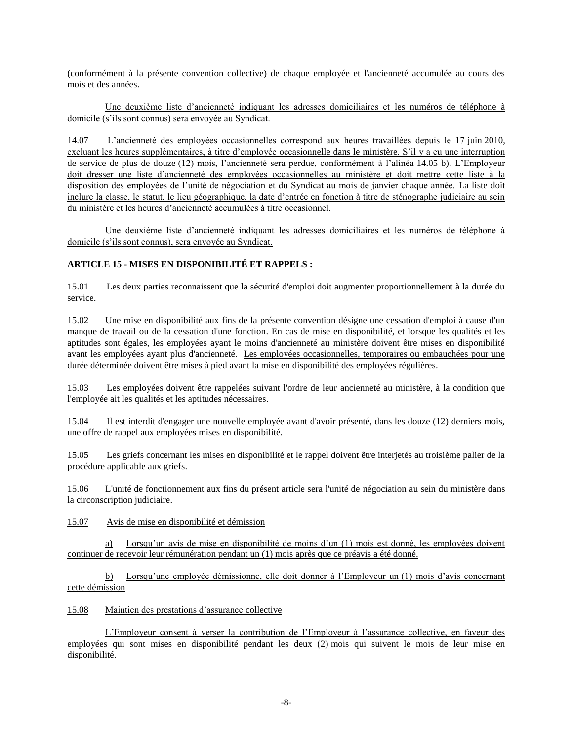(conformément à la présente convention collective) de chaque employée et l'ancienneté accumulée au cours des mois et des années.

Une deuxième liste d'ancienneté indiquant les adresses domiciliaires et les numéros de téléphone à domicile (s'ils sont connus) sera envoyée au Syndicat.

14.07 L'ancienneté des employées occasionnelles correspond aux heures travaillées depuis le 17 juin 2010, excluant les heures supplémentaires, à titre d'employée occasionnelle dans le ministère. S'il y a eu une interruption de service de plus de douze (12) mois, l'ancienneté sera perdue, conformément à l'alinéa 14.05 b). L'Employeur doit dresser une liste d'ancienneté des employées occasionnelles au ministère et doit mettre cette liste à la disposition des employées de l'unité de négociation et du Syndicat au mois de janvier chaque année. La liste doit inclure la classe, le statut, le lieu géographique, la date d'entrée en fonction à titre de sténographe judiciaire au sein du ministère et les heures d'ancienneté accumulées à titre occasionnel.

Une deuxième liste d'ancienneté indiquant les adresses domiciliaires et les numéros de téléphone à domicile (s'ils sont connus), sera envoyée au Syndicat.

# **ARTICLE 15 - MISES EN DISPONIBILITÉ ET RAPPELS :**

15.01 Les deux parties reconnaissent que la sécurité d'emploi doit augmenter proportionnellement à la durée du service.

15.02 Une mise en disponibilité aux fins de la présente convention désigne une cessation d'emploi à cause d'un manque de travail ou de la cessation d'une fonction. En cas de mise en disponibilité, et lorsque les qualités et les aptitudes sont égales, les employées ayant le moins d'ancienneté au ministère doivent être mises en disponibilité avant les employées ayant plus d'ancienneté. Les employées occasionnelles, temporaires ou embauchées pour une durée déterminée doivent être mises à pied avant la mise en disponibilité des employées régulières.

15.03 Les employées doivent être rappelées suivant l'ordre de leur ancienneté au ministère, à la condition que l'employée ait les qualités et les aptitudes nécessaires.

15.04 Il est interdit d'engager une nouvelle employée avant d'avoir présenté, dans les douze (12) derniers mois, une offre de rappel aux employées mises en disponibilité.

15.05 Les griefs concernant les mises en disponibilité et le rappel doivent être interjetés au troisième palier de la procédure applicable aux griefs.

15.06 L'unité de fonctionnement aux fins du présent article sera l'unité de négociation au sein du ministère dans la circonscription judiciaire.

15.07 Avis de mise en disponibilité et démission

a) Lorsqu'un avis de mise en disponibilité de moins d'un (1) mois est donné, les employées doivent continuer de recevoir leur rémunération pendant un (1) mois après que ce préavis a été donné.

b) Lorsqu'une employée démissionne, elle doit donner à l'Employeur un (1) mois d'avis concernant cette démission

## 15.08 Maintien des prestations d'assurance collective

L'Employeur consent à verser la contribution de l'Employeur à l'assurance collective, en faveur des employées qui sont mises en disponibilité pendant les deux (2) mois qui suivent le mois de leur mise en disponibilité.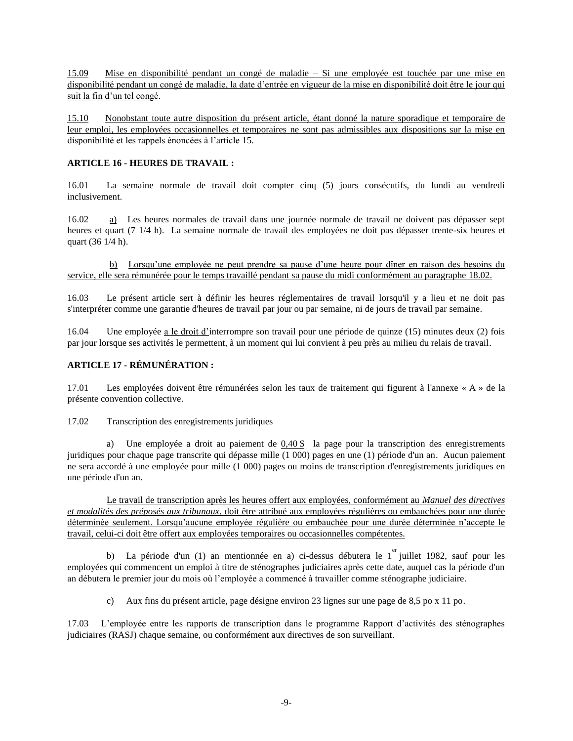15.09 Mise en disponibilité pendant un congé de maladie – Si une employée est touchée par une mise en disponibilité pendant un congé de maladie, la date d'entrée en vigueur de la mise en disponibilité doit être le jour qui suit la fin d'un tel congé.

15.10 Nonobstant toute autre disposition du présent article, étant donné la nature sporadique et temporaire de leur emploi, les employées occasionnelles et temporaires ne sont pas admissibles aux dispositions sur la mise en disponibilité et les rappels énoncées à l'article 15.

## **ARTICLE 16 - HEURES DE TRAVAIL :**

16.01 La semaine normale de travail doit compter cinq (5) jours consécutifs, du lundi au vendredi inclusivement.

16.02 a) Les heures normales de travail dans une journée normale de travail ne doivent pas dépasser sept heures et quart (7 1/4 h). La semaine normale de travail des employées ne doit pas dépasser trente-six heures et quart (36 1/4 h).

b) Lorsqu'une employée ne peut prendre sa pause d'une heure pour dîner en raison des besoins du service, elle sera rémunérée pour le temps travaillé pendant sa pause du midi conformément au paragraphe 18.02.

16.03 Le présent article sert à définir les heures réglementaires de travail lorsqu'il y a lieu et ne doit pas s'interpréter comme une garantie d'heures de travail par jour ou par semaine, ni de jours de travail par semaine.

16.04 Une employée a le droit d'interrompre son travail pour une période de quinze (15) minutes deux (2) fois par jour lorsque ses activités le permettent, à un moment qui lui convient à peu près au milieu du relais de travail.

# **ARTICLE 17 - RÉMUNÉRATION :**

17.01 Les employées doivent être rémunérées selon les taux de traitement qui figurent à l'annexe « A » de la présente convention collective.

17.02 Transcription des enregistrements juridiques

a) Une employée a droit au paiement de 0,40 \$ la page pour la transcription des enregistrements juridiques pour chaque page transcrite qui dépasse mille (1 000) pages en une (1) période d'un an. Aucun paiement ne sera accordé à une employée pour mille (1 000) pages ou moins de transcription d'enregistrements juridiques en une période d'un an.

Le travail de transcription après les heures offert aux employées, conformément au *Manuel des directives et modalités des préposés aux tribunaux*, doit être attribué aux employées régulières ou embauchées pour une durée déterminée seulement. Lorsqu'aucune employée régulière ou embauchée pour une durée déterminée n'accepte le travail, celui-ci doit être offert aux employées temporaires ou occasionnelles compétentes.

b) La période d'un (1) an mentionnée en a) ci-dessus débutera le 1<sup>er</sup> juillet 1982, sauf pour les employées qui commencent un emploi à titre de sténographes judiciaires après cette date, auquel cas la période d'un an débutera le premier jour du mois où l'employée a commencé à travailler comme sténographe judiciaire.

c) Aux fins du présent article, page désigne environ 23 lignes sur une page de 8,5 po x 11 po.

17.03 L'employée entre les rapports de transcription dans le programme Rapport d'activités des sténographes judiciaires (RASJ) chaque semaine, ou conformément aux directives de son surveillant.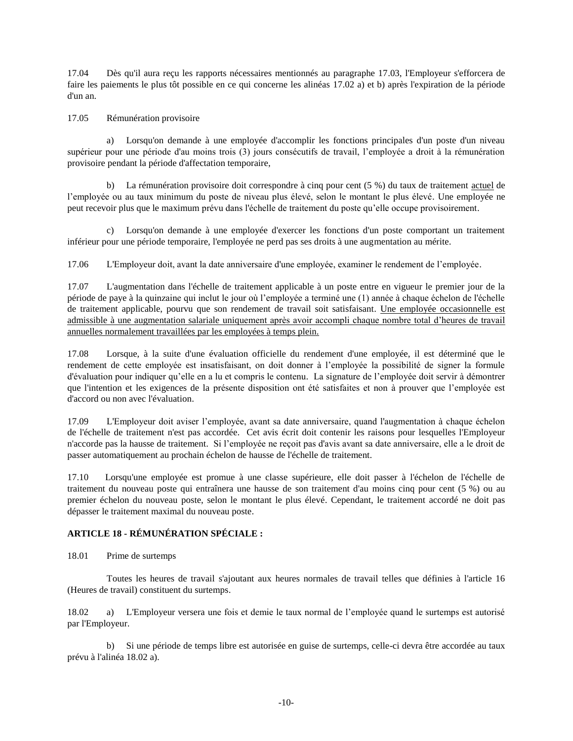17.04 Dès qu'il aura reçu les rapports nécessaires mentionnés au paragraphe 17.03, l'Employeur s'efforcera de faire les paiements le plus tôt possible en ce qui concerne les alinéas 17.02 a) et b) après l'expiration de la période d'un an.

### 17.05 Rémunération provisoire

a) Lorsqu'on demande à une employée d'accomplir les fonctions principales d'un poste d'un niveau supérieur pour une période d'au moins trois (3) jours consécutifs de travail, l'employée a droit à la rémunération provisoire pendant la période d'affectation temporaire,

b) La rémunération provisoire doit correspondre à cinq pour cent (5 %) du taux de traitement actuel de l'employée ou au taux minimum du poste de niveau plus élevé, selon le montant le plus élevé. Une employée ne peut recevoir plus que le maximum prévu dans l'échelle de traitement du poste qu'elle occupe provisoirement.

c) Lorsqu'on demande à une employée d'exercer les fonctions d'un poste comportant un traitement inférieur pour une période temporaire, l'employée ne perd pas ses droits à une augmentation au mérite.

17.06 L'Employeur doit, avant la date anniversaire d'une employée, examiner le rendement de l'employée.

17.07 L'augmentation dans l'échelle de traitement applicable à un poste entre en vigueur le premier jour de la période de paye à la quinzaine qui inclut le jour où l'employée a terminé une (1) année à chaque échelon de l'échelle de traitement applicable, pourvu que son rendement de travail soit satisfaisant. Une employée occasionnelle est admissible à une augmentation salariale uniquement après avoir accompli chaque nombre total d'heures de travail annuelles normalement travaillées par les employées à temps plein.

17.08 Lorsque, à la suite d'une évaluation officielle du rendement d'une employée, il est déterminé que le rendement de cette employée est insatisfaisant, on doit donner à l'employée la possibilité de signer la formule d'évaluation pour indiquer qu'elle en a lu et compris le contenu. La signature de l'employée doit servir à démontrer que l'intention et les exigences de la présente disposition ont été satisfaites et non à prouver que l'employée est d'accord ou non avec l'évaluation.

17.09 L'Employeur doit aviser l'employée, avant sa date anniversaire, quand l'augmentation à chaque échelon de l'échelle de traitement n'est pas accordée. Cet avis écrit doit contenir les raisons pour lesquelles l'Employeur n'accorde pas la hausse de traitement. Si l'employée ne reçoit pas d'avis avant sa date anniversaire, elle a le droit de passer automatiquement au prochain échelon de hausse de l'échelle de traitement.

17.10 Lorsqu'une employée est promue à une classe supérieure, elle doit passer à l'échelon de l'échelle de traitement du nouveau poste qui entraînera une hausse de son traitement d'au moins cinq pour cent (5 %) ou au premier échelon du nouveau poste, selon le montant le plus élevé. Cependant, le traitement accordé ne doit pas dépasser le traitement maximal du nouveau poste.

## **ARTICLE 18 - RÉMUNÉRATION SPÉCIALE :**

18.01 Prime de surtemps

Toutes les heures de travail s'ajoutant aux heures normales de travail telles que définies à l'article 16 (Heures de travail) constituent du surtemps.

18.02 a) L'Employeur versera une fois et demie le taux normal de l'employée quand le surtemps est autorisé par l'Employeur.

b) Si une période de temps libre est autorisée en guise de surtemps, celle-ci devra être accordée au taux prévu à l'alinéa 18.02 a).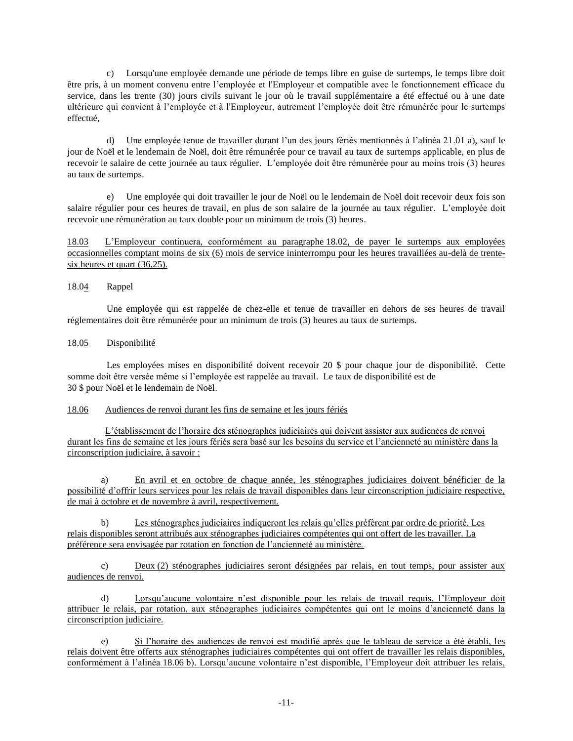c) Lorsqu'une employée demande une période de temps libre en guise de surtemps, le temps libre doit être pris, à un moment convenu entre l'employée et l'Employeur et compatible avec le fonctionnement efficace du service, dans les trente (30) jours civils suivant le jour où le travail supplémentaire a été effectué ou à une date ultérieure qui convient à l'employée et à l'Employeur, autrement l'employée doit être rémunérée pour le surtemps effectué,

d) Une employée tenue de travailler durant l'un des jours fériés mentionnés à l'alinéa 21.01 a), sauf le jour de Noël et le lendemain de Noël, doit être rémunérée pour ce travail au taux de surtemps applicable, en plus de recevoir le salaire de cette journée au taux régulier. L'employée doit être rémunérée pour au moins trois (3) heures au taux de surtemps.

e) Une employée qui doit travailler le jour de Noël ou le lendemain de Noël doit recevoir deux fois son salaire régulier pour ces heures de travail, en plus de son salaire de la journée au taux régulier. L'employée doit recevoir une rémunération au taux double pour un minimum de trois (3) heures.

18.03 L'Employeur continuera, conformément au paragraphe 18.02, de payer le surtemps aux employées occasionnelles comptant moins de six (6) mois de service ininterrompu pour les heures travaillées au-delà de trentesix heures et quart (36,25).

## 18.04 Rappel

Une employée qui est rappelée de chez-elle et tenue de travailler en dehors de ses heures de travail réglementaires doit être rémunérée pour un minimum de trois (3) heures au taux de surtemps.

## 18.05 Disponibilité

Les employées mises en disponibilité doivent recevoir 20 \$ pour chaque jour de disponibilité. Cette somme doit être versée même si l'employée est rappelée au travail. Le taux de disponibilité est de 30 \$ pour Noël et le lendemain de Noël.

## 18.06 Audiences de renvoi durant les fins de semaine et les jours fériés

L'établissement de l'horaire des sténographes judiciaires qui doivent assister aux audiences de renvoi durant les fins de semaine et les jours fériés sera basé sur les besoins du service et l'ancienneté au ministère dans la circonscription judiciaire, à savoir :

a) En avril et en octobre de chaque année, les sténographes judiciaires doivent bénéficier de la possibilité d'offrir leurs services pour les relais de travail disponibles dans leur circonscription judiciaire respective, de mai à octobre et de novembre à avril, respectivement.

b) Les sténographes judiciaires indiqueront les relais qu'elles préfèrent par ordre de priorité. Les relais disponibles seront attribués aux sténographes judiciaires compétentes qui ont offert de les travailler. La préférence sera envisagée par rotation en fonction de l'ancienneté au ministère.

c) Deux (2) sténographes judiciaires seront désignées par relais, en tout temps, pour assister aux audiences de renvoi.

d) Lorsqu'aucune volontaire n'est disponible pour les relais de travail requis, l'Employeur doit attribuer le relais, par rotation, aux sténographes judiciaires compétentes qui ont le moins d'ancienneté dans la circonscription judiciaire.

e) Si l'horaire des audiences de renvoi est modifié après que le tableau de service a été établi, les relais doivent être offerts aux sténographes judiciaires compétentes qui ont offert de travailler les relais disponibles, conformément à l'alinéa 18.06 b). Lorsqu'aucune volontaire n'est disponible, l'Employeur doit attribuer les relais,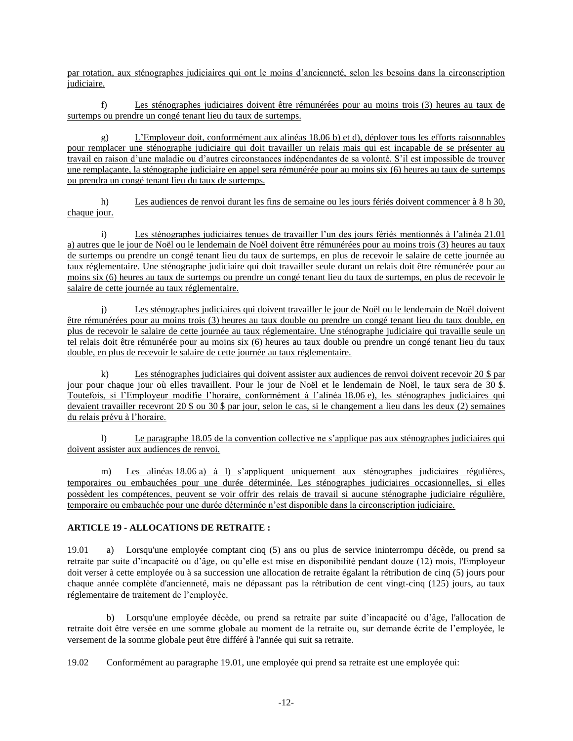par rotation, aux sténographes judiciaires qui ont le moins d'ancienneté, selon les besoins dans la circonscription judiciaire.

f) Les sténographes judiciaires doivent être rémunérées pour au moins trois (3) heures au taux de surtemps ou prendre un congé tenant lieu du taux de surtemps.

g) L'Employeur doit, conformément aux alinéas 18.06 b) et d), déployer tous les efforts raisonnables pour remplacer une sténographe judiciaire qui doit travailler un relais mais qui est incapable de se présenter au travail en raison d'une maladie ou d'autres circonstances indépendantes de sa volonté. S'il est impossible de trouver une remplaçante, la sténographe judiciaire en appel sera rémunérée pour au moins six (6) heures au taux de surtemps ou prendra un congé tenant lieu du taux de surtemps.

h) Les audiences de renvoi durant les fins de semaine ou les jours fériés doivent commencer à 8 h 30, chaque jour.

i) Les sténographes judiciaires tenues de travailler l'un des jours fériés mentionnés à l'alinéa 21.01 a) autres que le jour de Noël ou le lendemain de Noël doivent être rémunérées pour au moins trois (3) heures au taux de surtemps ou prendre un congé tenant lieu du taux de surtemps, en plus de recevoir le salaire de cette journée au taux réglementaire. Une sténographe judiciaire qui doit travailler seule durant un relais doit être rémunérée pour au moins six (6) heures au taux de surtemps ou prendre un congé tenant lieu du taux de surtemps, en plus de recevoir le salaire de cette journée au taux réglementaire.

j) Les sténographes judiciaires qui doivent travailler le jour de Noël ou le lendemain de Noël doivent être rémunérées pour au moins trois (3) heures au taux double ou prendre un congé tenant lieu du taux double, en plus de recevoir le salaire de cette journée au taux réglementaire. Une sténographe judiciaire qui travaille seule un tel relais doit être rémunérée pour au moins six (6) heures au taux double ou prendre un congé tenant lieu du taux double, en plus de recevoir le salaire de cette journée au taux réglementaire.

k) Les sténographes judiciaires qui doivent assister aux audiences de renvoi doivent recevoir 20 \$ par jour pour chaque jour où elles travaillent. Pour le jour de Noël et le lendemain de Noël, le taux sera de 30 \$. Toutefois, si l'Employeur modifie l'horaire, conformément à l'alinéa 18.06 e), les sténographes judiciaires qui devaient travailler recevront 20 \$ ou 30 \$ par jour, selon le cas, si le changement a lieu dans les deux (2) semaines du relais prévu à l'horaire.

l) Le paragraphe 18.05 de la convention collective ne s'applique pas aux sténographes judiciaires qui doivent assister aux audiences de renvoi.

Les alinéas 18.06 a) à l) s'appliquent uniquement aux sténographes judiciaires régulières, temporaires ou embauchées pour une durée déterminée. Les sténographes judiciaires occasionnelles, si elles possèdent les compétences, peuvent se voir offrir des relais de travail si aucune sténographe judiciaire régulière, temporaire ou embauchée pour une durée déterminée n'est disponible dans la circonscription judiciaire.

# **ARTICLE 19 - ALLOCATIONS DE RETRAITE :**

19.01 a) Lorsqu'une employée comptant cinq (5) ans ou plus de service ininterrompu décède, ou prend sa retraite par suite d'incapacité ou d'âge, ou qu'elle est mise en disponibilité pendant douze (12) mois, l'Employeur doit verser à cette employée ou à sa succession une allocation de retraite égalant la rétribution de cinq (5) jours pour chaque année complète d'ancienneté, mais ne dépassant pas la rétribution de cent vingt-cinq (125) jours, au taux réglementaire de traitement de l'employée.

b) Lorsqu'une employée décède, ou prend sa retraite par suite d'incapacité ou d'âge, l'allocation de retraite doit être versée en une somme globale au moment de la retraite ou, sur demande écrite de l'employée, le versement de la somme globale peut être différé à l'année qui suit sa retraite.

19.02 Conformément au paragraphe 19.01, une employée qui prend sa retraite est une employée qui: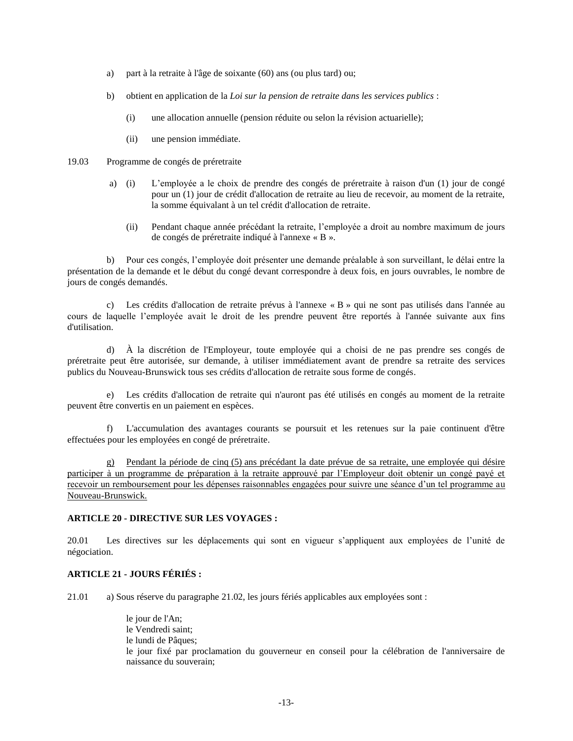- a) part à la retraite à l'âge de soixante (60) ans (ou plus tard) ou;
- b) obtient en application de la *Loi sur la pension de retraite dans les services publics* :
	- (i) une allocation annuelle (pension réduite ou selon la révision actuarielle);
	- (ii) une pension immédiate.
- 19.03 Programme de congés de préretraite
	- a) (i) L'employée a le choix de prendre des congés de préretraite à raison d'un (1) jour de congé pour un (1) jour de crédit d'allocation de retraite au lieu de recevoir, au moment de la retraite, la somme équivalant à un tel crédit d'allocation de retraite.
		- (ii) Pendant chaque année précédant la retraite, l'employée a droit au nombre maximum de jours de congés de préretraite indiqué à l'annexe « B ».

b) Pour ces congés, l'employée doit présenter une demande préalable à son surveillant, le délai entre la présentation de la demande et le début du congé devant correspondre à deux fois, en jours ouvrables, le nombre de jours de congés demandés.

c) Les crédits d'allocation de retraite prévus à l'annexe « B » qui ne sont pas utilisés dans l'année au cours de laquelle l'employée avait le droit de les prendre peuvent être reportés à l'année suivante aux fins d'utilisation.

d) À la discrétion de l'Employeur, toute employée qui a choisi de ne pas prendre ses congés de préretraite peut être autorisée, sur demande, à utiliser immédiatement avant de prendre sa retraite des services publics du Nouveau-Brunswick tous ses crédits d'allocation de retraite sous forme de congés.

e) Les crédits d'allocation de retraite qui n'auront pas été utilisés en congés au moment de la retraite peuvent être convertis en un paiement en espèces.

f) L'accumulation des avantages courants se poursuit et les retenues sur la paie continuent d'être effectuées pour les employées en congé de préretraite.

g) Pendant la période de cinq (5) ans précédant la date prévue de sa retraite, une employée qui désire participer à un programme de préparation à la retraite approuvé par l'Employeur doit obtenir un congé payé et recevoir un remboursement pour les dépenses raisonnables engagées pour suivre une séance d'un tel programme au Nouveau-Brunswick.

#### **ARTICLE 20 - DIRECTIVE SUR LES VOYAGES :**

20.01 Les directives sur les déplacements qui sont en vigueur s'appliquent aux employées de l'unité de négociation.

# **ARTICLE 21 - JOURS FÉRIÉS :**

21.01 a) Sous réserve du paragraphe 21.02, les jours fériés applicables aux employées sont :

le jour de l'An; le Vendredi saint; le lundi de Pâques: le jour fixé par proclamation du gouverneur en conseil pour la célébration de l'anniversaire de naissance du souverain;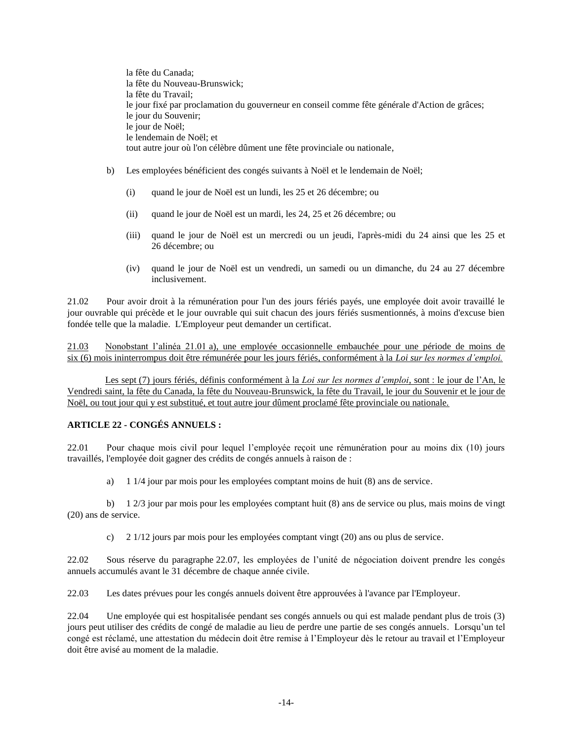la fête du Canada; la fête du Nouveau-Brunswick; la fête du Travail; le jour fixé par proclamation du gouverneur en conseil comme fête générale d'Action de grâces; le jour du Souvenir; le jour de Noël; le lendemain de Noël; et tout autre jour où l'on célèbre dûment une fête provinciale ou nationale,

- b) Les employées bénéficient des congés suivants à Noël et le lendemain de Noël;
	- (i) quand le jour de Noël est un lundi, les 25 et 26 décembre; ou
	- (ii) quand le jour de Noël est un mardi, les 24, 25 et 26 décembre; ou
	- (iii) quand le jour de Noël est un mercredi ou un jeudi, l'après-midi du 24 ainsi que les 25 et 26 décembre; ou
	- (iv) quand le jour de Noël est un vendredi, un samedi ou un dimanche, du 24 au 27 décembre inclusivement.

21.02 Pour avoir droit à la rémunération pour l'un des jours fériés payés, une employée doit avoir travaillé le jour ouvrable qui précède et le jour ouvrable qui suit chacun des jours fériés susmentionnés, à moins d'excuse bien fondée telle que la maladie. L'Employeur peut demander un certificat.

21.03 Nonobstant l'alinéa 21.01 a), une employée occasionnelle embauchée pour une période de moins de six (6) mois ininterrompus doit être rémunérée pour les jours fériés, conformément à la *Loi sur les normes d'emploi.*

Les sept (7) jours fériés, définis conformément à la *Loi sur les normes d'emploi*, sont : le jour de l'An, le Vendredi saint, la fête du Canada, la fête du Nouveau-Brunswick, la fête du Travail, le jour du Souvenir et le jour de Noël, ou tout jour qui y est substitué, et tout autre jour dûment proclamé fête provinciale ou nationale.

## **ARTICLE 22 - CONGÉS ANNUELS :**

22.01 Pour chaque mois civil pour lequel l'employée reçoit une rémunération pour au moins dix (10) jours travaillés, l'employée doit gagner des crédits de congés annuels à raison de :

a) 1 1/4 jour par mois pour les employées comptant moins de huit (8) ans de service.

b) 1 2/3 jour par mois pour les employées comptant huit (8) ans de service ou plus, mais moins de vingt (20) ans de service.

c) 2 1/12 jours par mois pour les employées comptant vingt (20) ans ou plus de service.

22.02 Sous réserve du paragraphe 22.07, les employées de l'unité de négociation doivent prendre les congés annuels accumulés avant le 31 décembre de chaque année civile.

22.03 Les dates prévues pour les congés annuels doivent être approuvées à l'avance par l'Employeur.

22.04 Une employée qui est hospitalisée pendant ses congés annuels ou qui est malade pendant plus de trois (3) jours peut utiliser des crédits de congé de maladie au lieu de perdre une partie de ses congés annuels. Lorsqu'un tel congé est réclamé, une attestation du médecin doit être remise à l'Employeur dès le retour au travail et l'Employeur doit être avisé au moment de la maladie.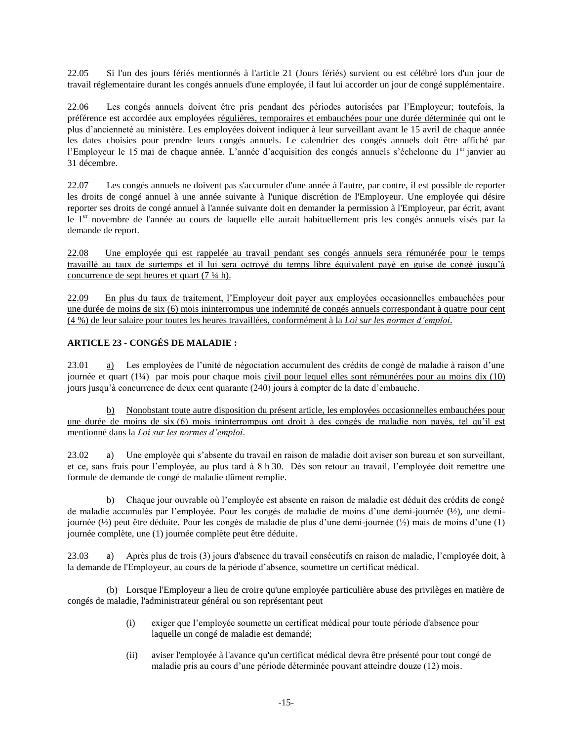22.05 Si l'un des jours fériés mentionnés à l'article 21 (Jours fériés) survient ou est célébré lors d'un jour de travail réglementaire durant les congés annuels d'une employée, il faut lui accorder un jour de congé supplémentaire.

22.06 Les congés annuels doivent être pris pendant des périodes autorisées par l'Employeur; toutefois, la préférence est accordée aux employées régulières, temporaires et embauchées pour une durée déterminée qui ont le plus d'ancienneté au ministère. Les employées doivent indiquer à leur surveillant avant le 15 avril de chaque année les dates choisies pour prendre leurs congés annuels. Le calendrier des congés annuels doit être affiché par l'Employeur le 15 mai de chaque année. L'année d'acquisition des congés annuels s'échelonne du 1<sup>er</sup> janvier au 31 décembre.

22.07 Les congés annuels ne doivent pas s'accumuler d'une année à l'autre, par contre, il est possible de reporter les droits de congé annuel à une année suivante à l'unique discrétion de l'Employeur. Une employée qui désire reporter ses droits de congé annuel à l'année suivante doit en demander la permission à l'Employeur, par écrit, avant le 1<sup>er</sup> novembre de l'année au cours de laquelle elle aurait habituellement pris les congés annuels visés par la demande de report.

22.08 Une employée qui est rappelée au travail pendant ses congés annuels sera rémunérée pour le temps travaillé au taux de surtemps et il lui sera octroyé du temps libre équivalent payé en guise de congé jusqu'à concurrence de sept heures et quart (7 ¼ h).

22.09 En plus du taux de traitement, l'Employeur doit payer aux employées occasionnelles embauchées pour une durée de moins de six (6) mois ininterrompus une indemnité de congés annuels correspondant à quatre pour cent (4 %) de leur salaire pour toutes les heures travaillées, conformément à la *Loi sur les normes d'emploi*.

# **ARTICLE 23 - CONGÉS DE MALADIE :**

23.01 a) Les employées de l'unité de négociation accumulent des crédits de congé de maladie à raison d'une journée et quart (1¼) par mois pour chaque mois civil pour lequel elles sont rémunérées pour au moins dix (10) jours jusqu'à concurrence de deux cent quarante (240) jours à compter de la date d'embauche.

b) Nonobstant toute autre disposition du présent article, les employées occasionnelles embauchées pour une durée de moins de six (6) mois ininterrompus ont droit à des congés de maladie non payés, tel qu'il est mentionné dans la *Loi sur les normes d'emploi*.

23.02 a) Une employée qui s'absente du travail en raison de maladie doit aviser son bureau et son surveillant, et ce, sans frais pour l'employée, au plus tard à 8 h 30. Dès son retour au travail, l'employée doit remettre une formule de demande de congé de maladie dûment remplie.

b) Chaque jour ouvrable où l'employée est absente en raison de maladie est déduit des crédits de congé de maladie accumulés par l'employée. Pour les congés de maladie de moins d'une demi-journée (½), une demijournée (½) peut être déduite. Pour les congés de maladie de plus d'une demi-journée (½) mais de moins d'une (1) journée complète, une (1) journée complète peut être déduite.

23.03 a) Après plus de trois (3) jours d'absence du travail consécutifs en raison de maladie, l'employée doit, à la demande de l'Employeur, au cours de la période d'absence, soumettre un certificat médical.

(b) Lorsque l'Employeur a lieu de croire qu'une employée particulière abuse des privilèges en matière de congés de maladie, l'administrateur général ou son représentant peut

- (i) exiger que l'employée soumette un certificat médical pour toute période d'absence pour laquelle un congé de maladie est demandé;
- (ii) aviser l'employée à l'avance qu'un certificat médical devra être présenté pour tout congé de maladie pris au cours d'une période déterminée pouvant atteindre douze (12) mois.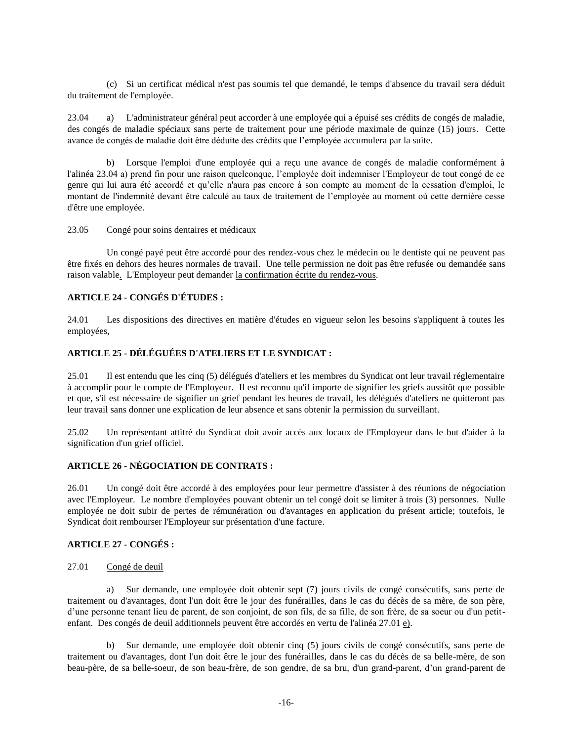(c) Si un certificat médical n'est pas soumis tel que demandé, le temps d'absence du travail sera déduit du traitement de l'employée.

23.04 a) L'administrateur général peut accorder à une employée qui a épuisé ses crédits de congés de maladie, des congés de maladie spéciaux sans perte de traitement pour une période maximale de quinze (15) jours. Cette avance de congés de maladie doit être déduite des crédits que l'employée accumulera par la suite.

b) Lorsque l'emploi d'une employée qui a reçu une avance de congés de maladie conformément à l'alinéa 23.04 a) prend fin pour une raison quelconque, l'employée doit indemniser l'Employeur de tout congé de ce genre qui lui aura été accordé et qu'elle n'aura pas encore à son compte au moment de la cessation d'emploi, le montant de l'indemnité devant être calculé au taux de traitement de l'employée au moment où cette dernière cesse d'être une employée.

23.05 Congé pour soins dentaires et médicaux

Un congé payé peut être accordé pour des rendez-vous chez le médecin ou le dentiste qui ne peuvent pas être fixés en dehors des heures normales de travail. Une telle permission ne doit pas être refusée ou demandée sans raison valable. L'Employeur peut demander la confirmation écrite du rendez-vous.

## **ARTICLE 24 - CONGÉS D'ÉTUDES :**

24.01 Les dispositions des directives en matière d'études en vigueur selon les besoins s'appliquent à toutes les employées,

## **ARTICLE 25 - DÉLÉGUÉES D'ATELIERS ET LE SYNDICAT :**

25.01 Il est entendu que les cinq (5) délégués d'ateliers et les membres du Syndicat ont leur travail réglementaire à accomplir pour le compte de l'Employeur. Il est reconnu qu'il importe de signifier les griefs aussitôt que possible et que, s'il est nécessaire de signifier un grief pendant les heures de travail, les délégués d'ateliers ne quitteront pas leur travail sans donner une explication de leur absence et sans obtenir la permission du surveillant.

25.02 Un représentant attitré du Syndicat doit avoir accès aux locaux de l'Employeur dans le but d'aider à la signification d'un grief officiel.

### **ARTICLE 26 - NÉGOCIATION DE CONTRATS :**

26.01 Un congé doit être accordé à des employées pour leur permettre d'assister à des réunions de négociation avec l'Employeur. Le nombre d'employées pouvant obtenir un tel congé doit se limiter à trois (3) personnes. Nulle employée ne doit subir de pertes de rémunération ou d'avantages en application du présent article; toutefois, le Syndicat doit rembourser l'Employeur sur présentation d'une facture.

### **ARTICLE 27 - CONGÉS :**

### 27.01 Congé de deuil

a) Sur demande, une employée doit obtenir sept (7) jours civils de congé consécutifs, sans perte de traitement ou d'avantages, dont l'un doit être le jour des funérailles, dans le cas du décès de sa mère, de son père, d'une personne tenant lieu de parent, de son conjoint, de son fils, de sa fille, de son frère, de sa soeur ou d'un petitenfant. Des congés de deuil additionnels peuvent être accordés en vertu de l'alinéa 27.01 e).

b) Sur demande, une employée doit obtenir cinq (5) jours civils de congé consécutifs, sans perte de traitement ou d'avantages, dont l'un doit être le jour des funérailles, dans le cas du décès de sa belle-mère, de son beau-père, de sa belle-soeur, de son beau-frère, de son gendre, de sa bru, d'un grand-parent, d'un grand-parent de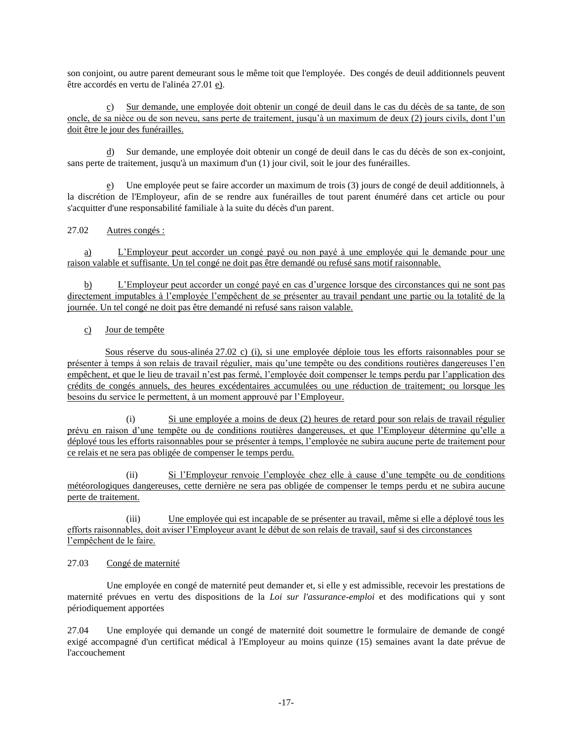son conjoint, ou autre parent demeurant sous le même toit que l'employée. Des congés de deuil additionnels peuvent être accordés en vertu de l'alinéa 27.01 e).

c) Sur demande, une employée doit obtenir un congé de deuil dans le cas du décès de sa tante, de son oncle, de sa nièce ou de son neveu, sans perte de traitement, jusqu'à un maximum de deux (2) jours civils, dont l'un doit être le jour des funérailles.

d) Sur demande, une employée doit obtenir un congé de deuil dans le cas du décès de son ex-conjoint, sans perte de traitement, jusqu'à un maximum d'un (1) jour civil, soit le jour des funérailles.

e) Une employée peut se faire accorder un maximum de trois (3) jours de congé de deuil additionnels, à la discrétion de l'Employeur, afin de se rendre aux funérailles de tout parent énuméré dans cet article ou pour s'acquitter d'une responsabilité familiale à la suite du décès d'un parent.

# 27.02 Autres congés :

a) L'Employeur peut accorder un congé payé ou non payé à une employée qui le demande pour une raison valable et suffisante. Un tel congé ne doit pas être demandé ou refusé sans motif raisonnable.

b) L'Employeur peut accorder un congé payé en cas d'urgence lorsque des circonstances qui ne sont pas directement imputables à l'employée l'empêchent de se présenter au travail pendant une partie ou la totalité de la journée. Un tel congé ne doit pas être demandé ni refusé sans raison valable.

# c) Jour de tempête

Sous réserve du sous-alinéa 27.02 c) (i), si une employée déploie tous les efforts raisonnables pour se présenter à temps à son relais de travail régulier, mais qu'une tempête ou des conditions routières dangereuses l'en empêchent, et que le lieu de travail n'est pas fermé, l'employée doit compenser le temps perdu par l'application des crédits de congés annuels, des heures excédentaires accumulées ou une réduction de traitement; ou lorsque les besoins du service le permettent, à un moment approuvé par l'Employeur.

(i) Si une employée a moins de deux (2) heures de retard pour son relais de travail régulier prévu en raison d'une tempête ou de conditions routières dangereuses, et que l'Employeur détermine qu'elle a déployé tous les efforts raisonnables pour se présenter à temps, l'employée ne subira aucune perte de traitement pour ce relais et ne sera pas obligée de compenser le temps perdu.

(ii) Si l'Employeur renvoie l'employée chez elle à cause d'une tempête ou de conditions météorologiques dangereuses, cette dernière ne sera pas obligée de compenser le temps perdu et ne subira aucune perte de traitement.

(iii) Une employée qui est incapable de se présenter au travail, même si elle a déployé tous les efforts raisonnables, doit aviser l'Employeur avant le début de son relais de travail, sauf si des circonstances l'empêchent de le faire.

## 27.03 Congé de maternité

Une employée en congé de maternité peut demander et, si elle y est admissible, recevoir les prestations de maternité prévues en vertu des dispositions de la *Loi sur l'assurance-emploi* et des modifications qui y sont périodiquement apportées

27.04 Une employée qui demande un congé de maternité doit soumettre le formulaire de demande de congé exigé accompagné d'un certificat médical à l'Employeur au moins quinze (15) semaines avant la date prévue de l'accouchement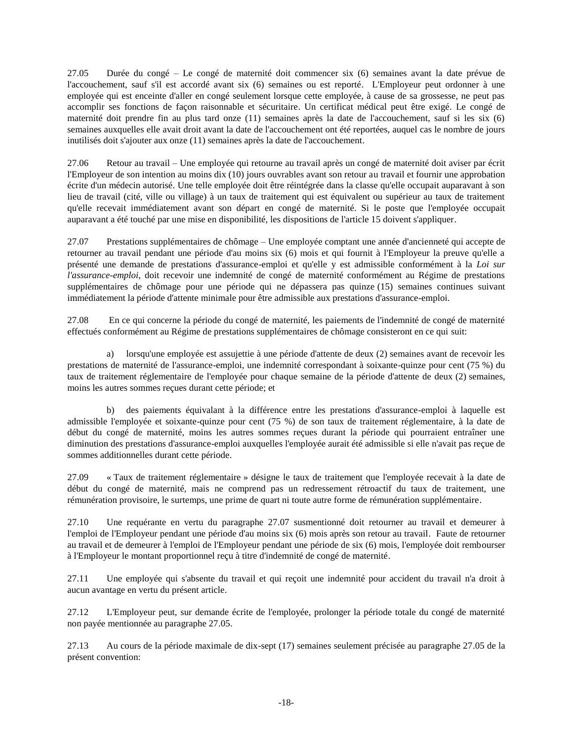27.05 Durée du congé – Le congé de maternité doit commencer six (6) semaines avant la date prévue de l'accouchement, sauf s'il est accordé avant six (6) semaines ou est reporté. L'Employeur peut ordonner à une employée qui est enceinte d'aller en congé seulement lorsque cette employée, à cause de sa grossesse, ne peut pas accomplir ses fonctions de façon raisonnable et sécuritaire. Un certificat médical peut être exigé. Le congé de maternité doit prendre fin au plus tard onze (11) semaines après la date de l'accouchement, sauf si les six (6) semaines auxquelles elle avait droit avant la date de l'accouchement ont été reportées, auquel cas le nombre de jours inutilisés doit s'ajouter aux onze (11) semaines après la date de l'accouchement.

27.06 Retour au travail – Une employée qui retourne au travail après un congé de maternité doit aviser par écrit l'Employeur de son intention au moins dix (10) jours ouvrables avant son retour au travail et fournir une approbation écrite d'un médecin autorisé. Une telle employée doit être réintégrée dans la classe qu'elle occupait auparavant à son lieu de travail (cité, ville ou village) à un taux de traitement qui est équivalent ou supérieur au taux de traitement qu'elle recevait immédiatement avant son départ en congé de maternité. Si le poste que l'employée occupait auparavant a été touché par une mise en disponibilité, les dispositions de l'article 15 doivent s'appliquer.

27.07 Prestations supplémentaires de chômage – Une employée comptant une année d'ancienneté qui accepte de retourner au travail pendant une période d'au moins six (6) mois et qui fournit à l'Employeur la preuve qu'elle a présenté une demande de prestations d'assurance-emploi et qu'elle y est admissible conformément à la *Loi sur l'assurance-emploi*, doit recevoir une indemnité de congé de maternité conformément au Régime de prestations supplémentaires de chômage pour une période qui ne dépassera pas quinze (15) semaines continues suivant immédiatement la période d'attente minimale pour être admissible aux prestations d'assurance-emploi.

27.08 En ce qui concerne la période du congé de maternité, les paiements de l'indemnité de congé de maternité effectués conformément au Régime de prestations supplémentaires de chômage consisteront en ce qui suit:

a) lorsqu'une employée est assujettie à une période d'attente de deux (2) semaines avant de recevoir les prestations de maternité de l'assurance-emploi, une indemnité correspondant à soixante-quinze pour cent (75 %) du taux de traitement réglementaire de l'employée pour chaque semaine de la période d'attente de deux (2) semaines, moins les autres sommes reçues durant cette période; et

b) des paiements équivalant à la différence entre les prestations d'assurance-emploi à laquelle est admissible l'employée et soixante-quinze pour cent (75 %) de son taux de traitement réglementaire, à la date de début du congé de maternité, moins les autres sommes reçues durant la période qui pourraient entraîner une diminution des prestations d'assurance-emploi auxquelles l'employée aurait été admissible si elle n'avait pas reçue de sommes additionnelles durant cette période.

27.09 « Taux de traitement réglementaire » désigne le taux de traitement que l'employée recevait à la date de début du congé de maternité, mais ne comprend pas un redressement rétroactif du taux de traitement, une rémunération provisoire, le surtemps, une prime de quart ni toute autre forme de rémunération supplémentaire.

27.10 Une requérante en vertu du paragraphe 27.07 susmentionné doit retourner au travail et demeurer à l'emploi de l'Employeur pendant une période d'au moins six (6) mois après son retour au travail. Faute de retourner au travail et de demeurer à l'emploi de l'Employeur pendant une période de six (6) mois, l'employée doit rembourser à l'Employeur le montant proportionnel reçu à titre d'indemnité de congé de maternité.

27.11 Une employée qui s'absente du travail et qui reçoit une indemnité pour accident du travail n'a droit à aucun avantage en vertu du présent article.

27.12 L'Employeur peut, sur demande écrite de l'employée, prolonger la période totale du congé de maternité non payée mentionnée au paragraphe 27.05.

27.13 Au cours de la période maximale de dix-sept (17) semaines seulement précisée au paragraphe 27.05 de la présent convention: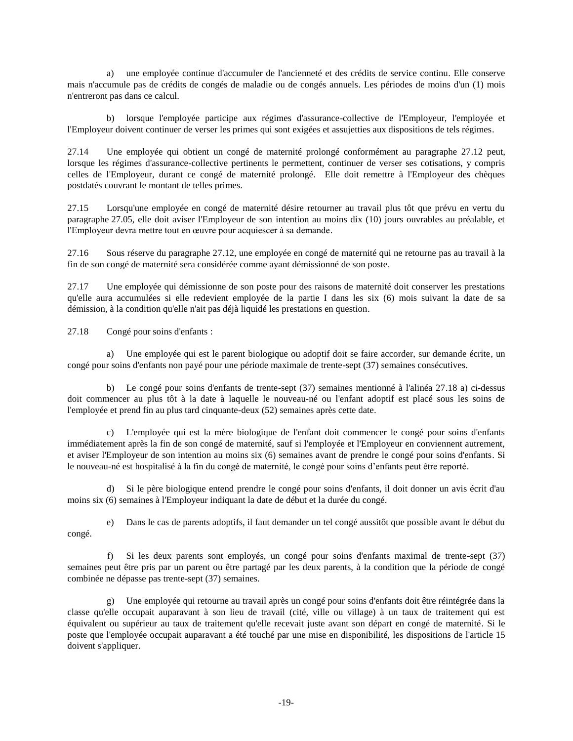a) une employée continue d'accumuler de l'ancienneté et des crédits de service continu. Elle conserve mais n'accumule pas de crédits de congés de maladie ou de congés annuels. Les périodes de moins d'un (1) mois n'entreront pas dans ce calcul.

b) lorsque l'employée participe aux régimes d'assurance-collective de l'Employeur, l'employée et l'Employeur doivent continuer de verser les primes qui sont exigées et assujetties aux dispositions de tels régimes.

27.14 Une employée qui obtient un congé de maternité prolongé conformément au paragraphe 27.12 peut, lorsque les régimes d'assurance-collective pertinents le permettent, continuer de verser ses cotisations, y compris celles de l'Employeur, durant ce congé de maternité prolongé. Elle doit remettre à l'Employeur des chèques postdatés couvrant le montant de telles primes.

27.15 Lorsqu'une employée en congé de maternité désire retourner au travail plus tôt que prévu en vertu du paragraphe 27.05, elle doit aviser l'Employeur de son intention au moins dix (10) jours ouvrables au préalable, et l'Employeur devra mettre tout en œuvre pour acquiescer à sa demande.

27.16 Sous réserve du paragraphe 27.12, une employée en congé de maternité qui ne retourne pas au travail à la fin de son congé de maternité sera considérée comme ayant démissionné de son poste.

27.17 Une employée qui démissionne de son poste pour des raisons de maternité doit conserver les prestations qu'elle aura accumulées si elle redevient employée de la partie I dans les six (6) mois suivant la date de sa démission, à la condition qu'elle n'ait pas déjà liquidé les prestations en question.

27.18 Congé pour soins d'enfants :

a) Une employée qui est le parent biologique ou adoptif doit se faire accorder, sur demande écrite, un congé pour soins d'enfants non payé pour une période maximale de trente-sept (37) semaines consécutives.

b) Le congé pour soins d'enfants de trente-sept (37) semaines mentionné à l'alinéa 27.18 a) ci-dessus doit commencer au plus tôt à la date à laquelle le nouveau-né ou l'enfant adoptif est placé sous les soins de l'employée et prend fin au plus tard cinquante-deux (52) semaines après cette date.

c) L'employée qui est la mère biologique de l'enfant doit commencer le congé pour soins d'enfants immédiatement après la fin de son congé de maternité, sauf si l'employée et l'Employeur en conviennent autrement, et aviser l'Employeur de son intention au moins six (6) semaines avant de prendre le congé pour soins d'enfants. Si le nouveau-né est hospitalisé à la fin du congé de maternité, le congé pour soins d'enfants peut être reporté.

d) Si le père biologique entend prendre le congé pour soins d'enfants, il doit donner un avis écrit d'au moins six (6) semaines à l'Employeur indiquant la date de début et la durée du congé.

e) Dans le cas de parents adoptifs, il faut demander un tel congé aussitôt que possible avant le début du congé.

f) Si les deux parents sont employés, un congé pour soins d'enfants maximal de trente-sept (37) semaines peut être pris par un parent ou être partagé par les deux parents, à la condition que la période de congé combinée ne dépasse pas trente-sept (37) semaines.

g) Une employée qui retourne au travail après un congé pour soins d'enfants doit être réintégrée dans la classe qu'elle occupait auparavant à son lieu de travail (cité, ville ou village) à un taux de traitement qui est équivalent ou supérieur au taux de traitement qu'elle recevait juste avant son départ en congé de maternité. Si le poste que l'employée occupait auparavant a été touché par une mise en disponibilité, les dispositions de l'article 15 doivent s'appliquer.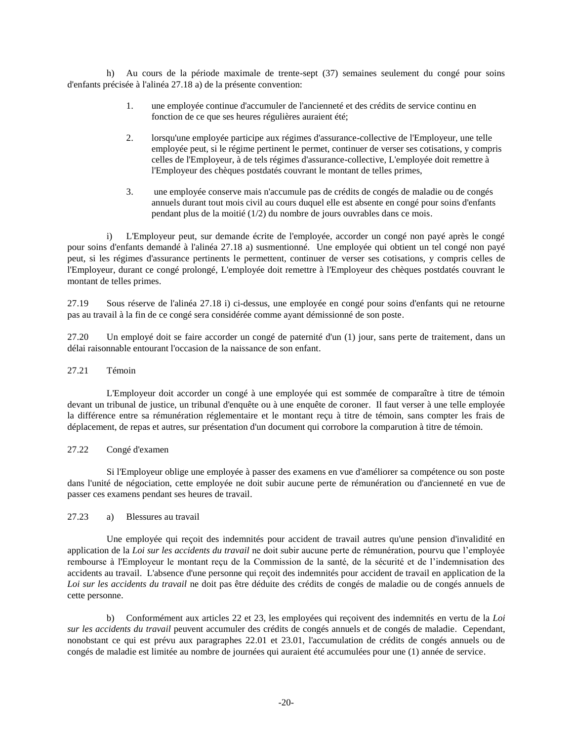h) Au cours de la période maximale de trente-sept (37) semaines seulement du congé pour soins d'enfants précisée à l'alinéa 27.18 a) de la présente convention:

- 1. une employée continue d'accumuler de l'ancienneté et des crédits de service continu en fonction de ce que ses heures régulières auraient été;
- 2. lorsqu'une employée participe aux régimes d'assurance-collective de l'Employeur, une telle employée peut, si le régime pertinent le permet, continuer de verser ses cotisations, y compris celles de l'Employeur, à de tels régimes d'assurance-collective, L'employée doit remettre à l'Employeur des chèques postdatés couvrant le montant de telles primes,
- 3. une employée conserve mais n'accumule pas de crédits de congés de maladie ou de congés annuels durant tout mois civil au cours duquel elle est absente en congé pour soins d'enfants pendant plus de la moitié (1/2) du nombre de jours ouvrables dans ce mois.

i) L'Employeur peut, sur demande écrite de l'employée, accorder un congé non payé après le congé pour soins d'enfants demandé à l'alinéa 27.18 a) susmentionné. Une employée qui obtient un tel congé non payé peut, si les régimes d'assurance pertinents le permettent, continuer de verser ses cotisations, y compris celles de l'Employeur, durant ce congé prolongé, L'employée doit remettre à l'Employeur des chèques postdatés couvrant le montant de telles primes.

27.19 Sous réserve de l'alinéa 27.18 i) ci-dessus, une employée en congé pour soins d'enfants qui ne retourne pas au travail à la fin de ce congé sera considérée comme ayant démissionné de son poste.

27.20 Un employé doit se faire accorder un congé de paternité d'un (1) jour, sans perte de traitement, dans un délai raisonnable entourant l'occasion de la naissance de son enfant.

### 27.21 Témoin

L'Employeur doit accorder un congé à une employée qui est sommée de comparaître à titre de témoin devant un tribunal de justice, un tribunal d'enquête ou à une enquête de coroner. Il faut verser à une telle employée la différence entre sa rémunération réglementaire et le montant reçu à titre de témoin, sans compter les frais de déplacement, de repas et autres, sur présentation d'un document qui corrobore la comparution à titre de témoin.

### 27.22 Congé d'examen

Si l'Employeur oblige une employée à passer des examens en vue d'améliorer sa compétence ou son poste dans l'unité de négociation, cette employée ne doit subir aucune perte de rémunération ou d'ancienneté en vue de passer ces examens pendant ses heures de travail.

### 27.23 a) Blessures au travail

Une employée qui reçoit des indemnités pour accident de travail autres qu'une pension d'invalidité en application de la *Loi sur les accidents du travail* ne doit subir aucune perte de rémunération, pourvu que l'employée rembourse à l'Employeur le montant reçu de la Commission de la santé, de la sécurité et de l'indemnisation des accidents au travail. L'absence d'une personne qui reçoit des indemnités pour accident de travail en application de la *Loi sur les accidents du travail* ne doit pas être déduite des crédits de congés de maladie ou de congés annuels de cette personne.

b) Conformément aux articles 22 et 23, les employées qui reçoivent des indemnités en vertu de la *Loi sur les accidents du travail* peuvent accumuler des crédits de congés annuels et de congés de maladie. Cependant, nonobstant ce qui est prévu aux paragraphes 22.01 et 23.01, l'accumulation de crédits de congés annuels ou de congés de maladie est limitée au nombre de journées qui auraient été accumulées pour une (1) année de service.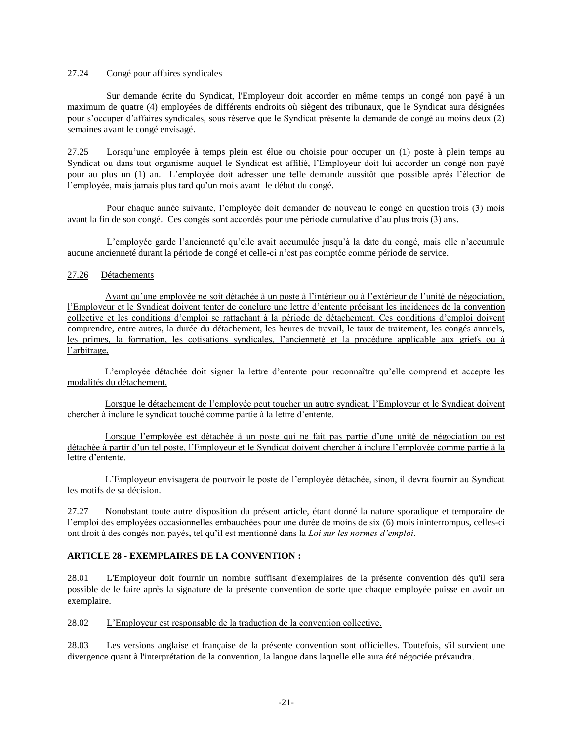### 27.24 Congé pour affaires syndicales

Sur demande écrite du Syndicat, l'Employeur doit accorder en même temps un congé non payé à un maximum de quatre (4) employées de différents endroits où siègent des tribunaux, que le Syndicat aura désignées pour s'occuper d'affaires syndicales, sous réserve que le Syndicat présente la demande de congé au moins deux (2) semaines avant le congé envisagé.

27.25 Lorsqu'une employée à temps plein est élue ou choisie pour occuper un (1) poste à plein temps au Syndicat ou dans tout organisme auquel le Syndicat est affilié, l'Employeur doit lui accorder un congé non payé pour au plus un (1) an. L'employée doit adresser une telle demande aussitôt que possible après l'élection de l'employée, mais jamais plus tard qu'un mois avant le début du congé.

Pour chaque année suivante, l'employée doit demander de nouveau le congé en question trois (3) mois avant la fin de son congé. Ces congés sont accordés pour une période cumulative d'au plus trois (3) ans.

L'employée garde l'ancienneté qu'elle avait accumulée jusqu'à la date du congé, mais elle n'accumule aucune ancienneté durant la période de congé et celle-ci n'est pas comptée comme période de service.

### 27.26 Détachements

Avant qu'une employée ne soit détachée à un poste à l'intérieur ou à l'extérieur de l'unité de négociation, l'Employeur et le Syndicat doivent tenter de conclure une lettre d'entente précisant les incidences de la convention collective et les conditions d'emploi se rattachant à la période de détachement. Ces conditions d'emploi doivent comprendre, entre autres, la durée du détachement, les heures de travail, le taux de traitement, les congés annuels, les primes, la formation, les cotisations syndicales, l'ancienneté et la procédure applicable aux griefs ou à l'arbitrage**.**

L'employée détachée doit signer la lettre d'entente pour reconnaître qu'elle comprend et accepte les modalités du détachement.

Lorsque le détachement de l'employée peut toucher un autre syndicat, l'Employeur et le Syndicat doivent chercher à inclure le syndicat touché comme partie à la lettre d'entente.

Lorsque l'employée est détachée à un poste qui ne fait pas partie d'une unité de négociation ou est détachée à partir d'un tel poste, l'Employeur et le Syndicat doivent chercher à inclure l'employée comme partie à la lettre d'entente.

L'Employeur envisagera de pourvoir le poste de l'employée détachée, sinon, il devra fournir au Syndicat les motifs de sa décision.

27.27 Nonobstant toute autre disposition du présent article, étant donné la nature sporadique et temporaire de l'emploi des employées occasionnelles embauchées pour une durée de moins de six (6) mois ininterrompus, celles-ci ont droit à des congés non payés, tel qu'il est mentionné dans la *Loi sur les normes d'emploi*.

## **ARTICLE 28 - EXEMPLAIRES DE LA CONVENTION :**

28.01 L'Employeur doit fournir un nombre suffisant d'exemplaires de la présente convention dès qu'il sera possible de le faire après la signature de la présente convention de sorte que chaque employée puisse en avoir un exemplaire.

28.02 L'Employeur est responsable de la traduction de la convention collective.

28.03 Les versions anglaise et française de la présente convention sont officielles. Toutefois, s'il survient une divergence quant à l'interprétation de la convention, la langue dans laquelle elle aura été négociée prévaudra.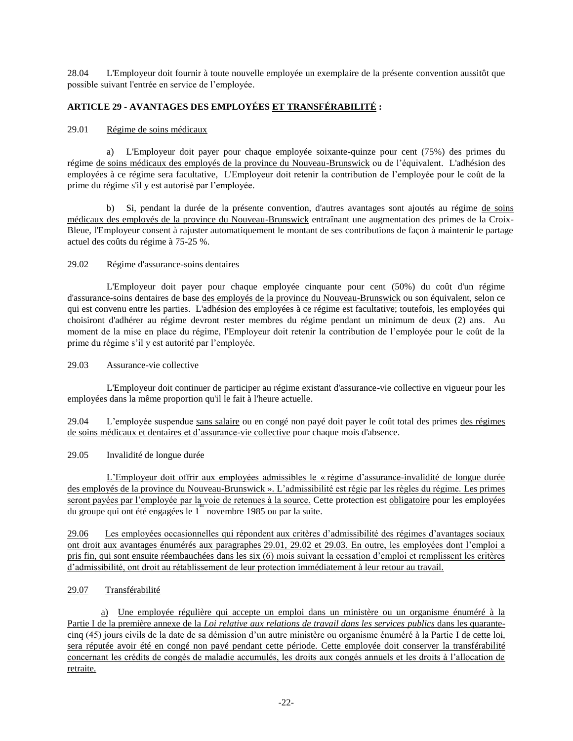28.04 L'Employeur doit fournir à toute nouvelle employée un exemplaire de la présente convention aussitôt que possible suivant l'entrée en service de l'employée.

# **ARTICLE 29 - AVANTAGES DES EMPLOYÉES ET TRANSFÉRABILITÉ :**

### 29.01 Régime de soins médicaux

a) L'Employeur doit payer pour chaque employée soixante-quinze pour cent (75%) des primes du régime de soins médicaux des employés de la province du Nouveau-Brunswick ou de l'équivalent. L'adhésion des employées à ce régime sera facultative, L'Employeur doit retenir la contribution de l'employée pour le coût de la prime du régime s'il y est autorisé par l'employée.

b) Si, pendant la durée de la présente convention, d'autres avantages sont ajoutés au régime de soins médicaux des employés de la province du Nouveau-Brunswick entraînant une augmentation des primes de la Croix-Bleue, l'Employeur consent à rajuster automatiquement le montant de ses contributions de façon à maintenir le partage actuel des coûts du régime à 75-25 %.

### 29.02 Régime d'assurance-soins dentaires

L'Employeur doit payer pour chaque employée cinquante pour cent (50%) du coût d'un régime d'assurance-soins dentaires de base des employés de la province du Nouveau-Brunswick ou son équivalent, selon ce qui est convenu entre les parties. L'adhésion des employées à ce régime est facultative; toutefois, les employées qui choisiront d'adhérer au régime devront rester membres du régime pendant un minimum de deux (2) ans. Au moment de la mise en place du régime, l'Employeur doit retenir la contribution de l'employée pour le coût de la prime du régime s'il y est autorité par l'employée.

## 29.03 Assurance-vie collective

L'Employeur doit continuer de participer au régime existant d'assurance-vie collective en vigueur pour les employées dans la même proportion qu'il le fait à l'heure actuelle.

29.04 L'employée suspendue sans salaire ou en congé non payé doit payer le coût total des primes des régimes de soins médicaux et dentaires et d'assurance-vie collective pour chaque mois d'absence.

## 29.05 Invalidité de longue durée

L'Employeur doit offrir aux employées admissibles le « régime d'assurance-invalidité de longue durée des employés de la province du Nouveau-Brunswick ». L'admissibilité est régie par les règles du régime. Les primes seront payées par l'employée par la voie de retenues à la source. Cette protection est obligatoire pour les employées du groupe qui ont été engagées le  $1^{\degree}$  novembre 1985 ou par la suite.

29.06 Les employées occasionnelles qui répondent aux critères d'admissibilité des régimes d'avantages sociaux ont droit aux avantages énumérés aux paragraphes 29.01, 29.02 et 29.03. En outre, les employées dont l'emploi a pris fin, qui sont ensuite réembauchées dans les six (6) mois suivant la cessation d'emploi et remplissent les critères d'admissibilité, ont droit au rétablissement de leur protection immédiatement à leur retour au travail.

## 29.07 Transférabilité

a) Une employée régulière qui accepte un emploi dans un ministère ou un organisme énuméré à la Partie I de la première annexe de la *Loi relative aux relations de travail dans les services publics* dans les quarantecinq (45) jours civils de la date de sa démission d'un autre ministère ou organisme énuméré à la Partie I de cette loi, sera réputée avoir été en congé non payé pendant cette période. Cette employée doit conserver la transférabilité concernant les crédits de congés de maladie accumulés, les droits aux congés annuels et les droits à l'allocation de retraite.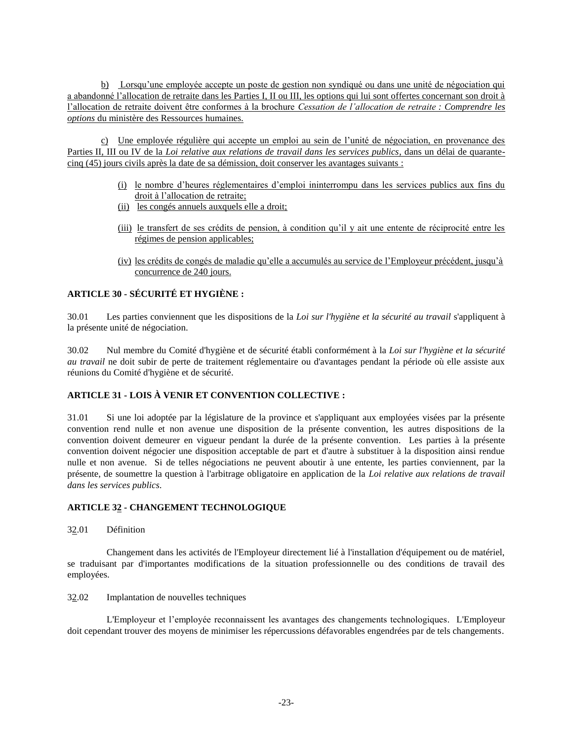b) Lorsqu'une employée accepte un poste de gestion non syndiqué ou dans une unité de négociation qui a abandonné l'allocation de retraite dans les Parties I, II ou III, les options qui lui sont offertes concernant son droit à l'allocation de retraite doivent être conformes à la brochure *Cessation de l'allocation de retraite : Comprendre les options* du ministère des Ressources humaines.

c) Une employée régulière qui accepte un emploi au sein de l'unité de négociation, en provenance des Parties II, III ou IV de la *Loi relative aux relations de travail dans les services publics*, dans un délai de quarantecinq (45) jours civils après la date de sa démission, doit conserver les avantages suivants :

- (i) le nombre d'heures réglementaires d'emploi ininterrompu dans les services publics aux fins du droit à l'allocation de retraite;
- (ii) les congés annuels auxquels elle a droit;
- (iii) le transfert de ses crédits de pension, à condition qu'il y ait une entente de réciprocité entre les régimes de pension applicables;
- (iv) les crédits de congés de maladie qu'elle a accumulés au service de l'Employeur précédent, jusqu'à concurrence de 240 jours.

# **ARTICLE 30 - SÉCURITÉ ET HYGIÈNE :**

30.01 Les parties conviennent que les dispositions de la *Loi sur l'hygiène et la sécurité au travail* s'appliquent à la présente unité de négociation.

30.02 Nul membre du Comité d'hygiène et de sécurité établi conformément à la *Loi sur l'hygiène et la sécurité au travail* ne doit subir de perte de traitement réglementaire ou d'avantages pendant la période où elle assiste aux réunions du Comité d'hygiène et de sécurité.

## **ARTICLE 31 - LOIS À VENIR ET CONVENTION COLLECTIVE :**

31.01 Si une loi adoptée par la législature de la province et s'appliquant aux employées visées par la présente convention rend nulle et non avenue une disposition de la présente convention, les autres dispositions de la convention doivent demeurer en vigueur pendant la durée de la présente convention. Les parties à la présente convention doivent négocier une disposition acceptable de part et d'autre à substituer à la disposition ainsi rendue nulle et non avenue. Si de telles négociations ne peuvent aboutir à une entente, les parties conviennent, par la présente, de soumettre la question à l'arbitrage obligatoire en application de la *Loi relative aux relations de travail dans les services publics*.

## **ARTICLE 32 - CHANGEMENT TECHNOLOGIQUE**

32.01 Définition

Changement dans les activités de l'Employeur directement lié à l'installation d'équipement ou de matériel, se traduisant par d'importantes modifications de la situation professionnelle ou des conditions de travail des employées.

### 32.02 Implantation de nouvelles techniques

L'Employeur et l'employée reconnaissent les avantages des changements technologiques. L'Employeur doit cependant trouver des moyens de minimiser les répercussions défavorables engendrées par de tels changements.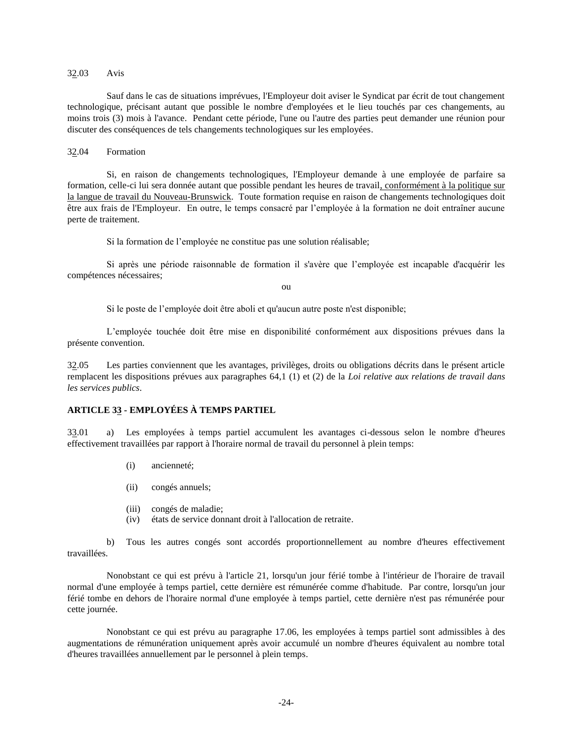### 32.03 Avis

Sauf dans le cas de situations imprévues, l'Employeur doit aviser le Syndicat par écrit de tout changement technologique, précisant autant que possible le nombre d'employées et le lieu touchés par ces changements, au moins trois (3) mois à l'avance. Pendant cette période, l'une ou l'autre des parties peut demander une réunion pour discuter des conséquences de tels changements technologiques sur les employées.

32.04 Formation

Si, en raison de changements technologiques, l'Employeur demande à une employée de parfaire sa formation, celle-ci lui sera donnée autant que possible pendant les heures de travail, conformément à la politique sur la langue de travail du Nouveau-Brunswick. Toute formation requise en raison de changements technologiques doit être aux frais de l'Employeur. En outre, le temps consacré par l'employée à la formation ne doit entraîner aucune perte de traitement.

Si la formation de l'employée ne constitue pas une solution réalisable;

Si après une période raisonnable de formation il s'avère que l'employée est incapable d'acquérir les compétences nécessaires;

ou

Si le poste de l'employée doit être aboli et qu'aucun autre poste n'est disponible;

L'employée touchée doit être mise en disponibilité conformément aux dispositions prévues dans la présente convention.

32.05 Les parties conviennent que les avantages, privilèges, droits ou obligations décrits dans le présent article remplacent les dispositions prévues aux paragraphes 64,1 (1) et (2) de la *Loi relative aux relations de travail dans les services publics*.

### **ARTICLE 33 - EMPLOYÉES À TEMPS PARTIEL**

33.01 a) Les employées à temps partiel accumulent les avantages ci-dessous selon le nombre d'heures effectivement travaillées par rapport à l'horaire normal de travail du personnel à plein temps:

- (i) ancienneté;
- (ii) congés annuels;
- (iii) congés de maladie;
- (iv) états de service donnant droit à l'allocation de retraite.

b) Tous les autres congés sont accordés proportionnellement au nombre d'heures effectivement travaillées.

Nonobstant ce qui est prévu à l'article 21, lorsqu'un jour férié tombe à l'intérieur de l'horaire de travail normal d'une employée à temps partiel, cette dernière est rémunérée comme d'habitude. Par contre, lorsqu'un jour férié tombe en dehors de l'horaire normal d'une employée à temps partiel, cette dernière n'est pas rémunérée pour cette journée.

Nonobstant ce qui est prévu au paragraphe 17.06, les employées à temps partiel sont admissibles à des augmentations de rémunération uniquement après avoir accumulé un nombre d'heures équivalent au nombre total d'heures travaillées annuellement par le personnel à plein temps.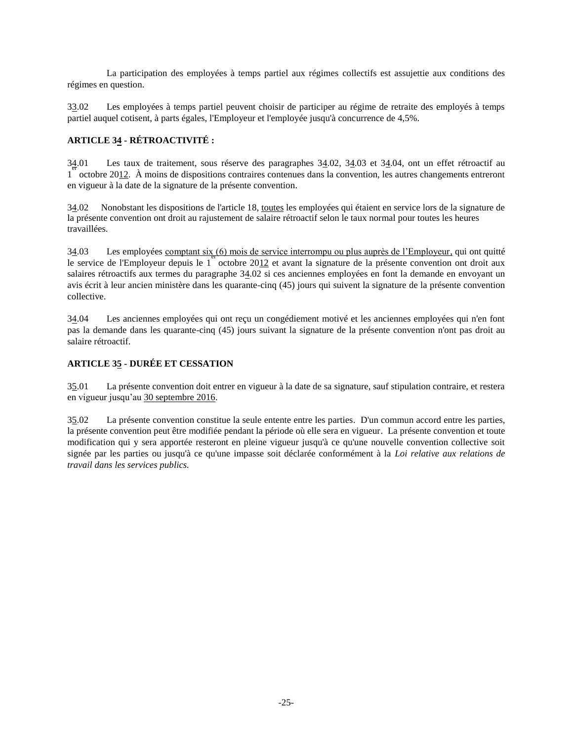La participation des employées à temps partiel aux régimes collectifs est assujettie aux conditions des régimes en question.

33.02 Les employées à temps partiel peuvent choisir de participer au régime de retraite des employés à temps partiel auquel cotisent, à parts égales, l'Employeur et l'employée jusqu'à concurrence de 4,5%.

# **ARTICLE 34 - RÉTROACTIVITÉ :**

Les taux de traitement, sous réserve des paragraphes 34.02, 34.03 et 34.04, ont un effet rétroactif au 1 octobre 2012. À moins de dispositions contraires contenues dans la convention, les autres changements entreront  $34.01$ en vigueur à la date de la signature de la présente convention.

34.02 Nonobstant les dispositions de l'article 18, toutes les employées qui étaient en service lors de la signature de la présente convention ont droit au rajustement de salaire rétroactif selon le taux normal pour toutes les heures travaillées.

34.03 Les employées comptant six (6) mois de service interrompu ou plus auprès de l'Employeur, qui ont quitté le service de l'Employeur depuis le 1<sup>er</sup>octobre 20<u>12</u> et avant la signature de la présente convention ont droit aux salaires rétroactifs aux termes du paragraphe 34.02 si ces anciennes employées en font la demande en envoyant un avis écrit à leur ancien ministère dans les quarante-cinq (45) jours qui suivent la signature de la présente convention collective.

34.04 Les anciennes employées qui ont reçu un congédiement motivé et les anciennes employées qui n'en font pas la demande dans les quarante-cinq (45) jours suivant la signature de la présente convention n'ont pas droit au salaire rétroactif.

# **ARTICLE 35 - DURÉE ET CESSATION**

35.01 La présente convention doit entrer en vigueur à la date de sa signature, sauf stipulation contraire, et restera en vigueur jusqu'au 30 septembre 2016.

35.02 La présente convention constitue la seule entente entre les parties. D'un commun accord entre les parties, la présente convention peut être modifiée pendant la période où elle sera en vigueur. La présente convention et toute modification qui y sera apportée resteront en pleine vigueur jusqu'à ce qu'une nouvelle convention collective soit signée par les parties ou jusqu'à ce qu'une impasse soit déclarée conformément à la *Loi relative aux relations de travail dans les services publics.*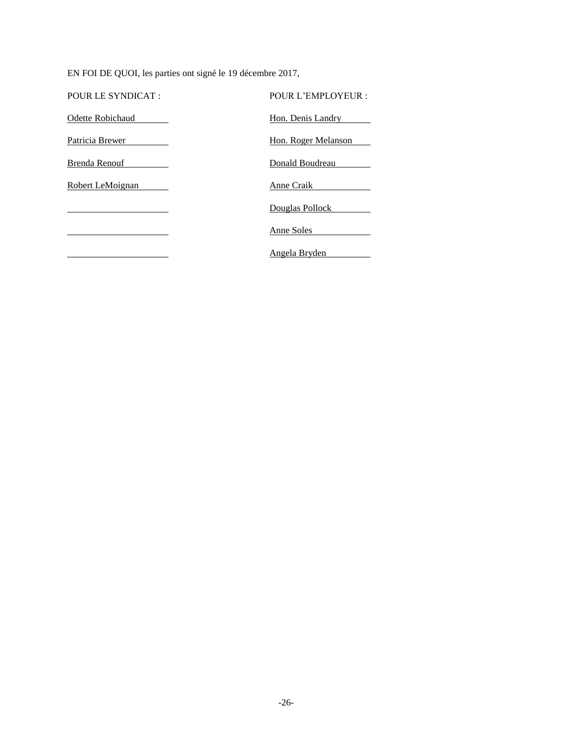EN FOI DE QUOI, les parties ont signé le 19 décembre 2017,

| POUR LE SYNDICAT : | POUR L'EMPLOYEUR :  |
|--------------------|---------------------|
| Odette Robichaud   | Hon. Denis Landry   |
| Patricia Brewer    | Hon. Roger Melanson |
| Brenda Renouf      | Donald Boudreau     |
| Robert LeMoignan   | Anne Craik          |
|                    | Douglas Pollock     |
|                    | Anne Soles          |
|                    | Angela Bryden       |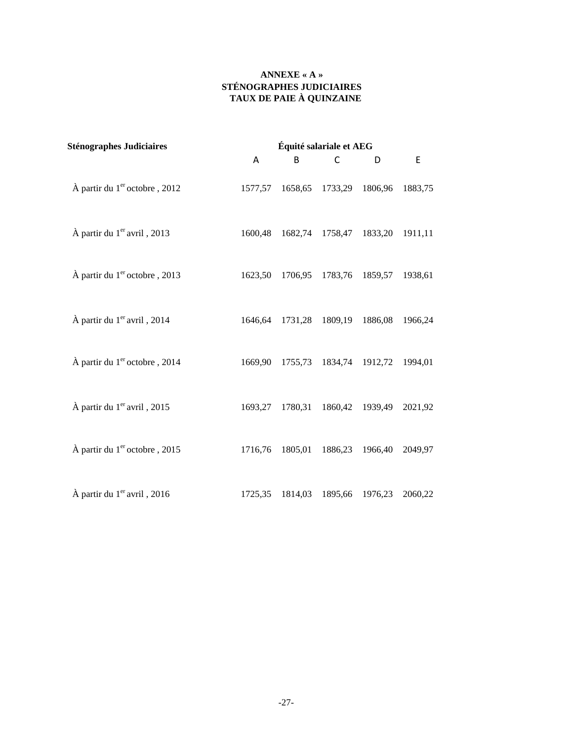# **ANNEXE « A » STÉNOGRAPHES JUDICIAIRES TAUX DE PAIE À QUINZAINE**

| <b>Sténographes Judiciaires</b>                   | Équité salariale et AEG |         |             |         |             |
|---------------------------------------------------|-------------------------|---------|-------------|---------|-------------|
|                                                   | A                       | B       | $\mathsf C$ | D       | $\mathsf E$ |
| $\hat{A}$ partir du 1 <sup>er</sup> octobre, 2012 | 1577,57                 | 1658,65 | 1733,29     | 1806,96 | 1883,75     |
| À partir du 1 <sup>er</sup> avril, 2013           | 1600,48                 | 1682,74 | 1758,47     | 1833,20 | 1911,11     |
| À partir du 1 <sup>er</sup> octobre, 2013         | 1623,50                 | 1706,95 | 1783,76     | 1859,57 | 1938,61     |
| À partir du 1er avril, 2014                       | 1646,64                 | 1731,28 | 1809,19     | 1886,08 | 1966,24     |
| À partir du 1 <sup>er</sup> octobre, 2014         | 1669,90                 | 1755,73 | 1834,74     | 1912,72 | 1994,01     |
| À partir du 1 <sup>er</sup> avril, 2015           | 1693,27                 | 1780,31 | 1860,42     | 1939,49 | 2021,92     |
| À partir du 1 <sup>er</sup> octobre, 2015         | 1716,76                 | 1805,01 | 1886,23     | 1966,40 | 2049,97     |
| À partir du 1 <sup>er</sup> avril, 2016           | 1725,35                 | 1814,03 | 1895,66     | 1976,23 | 2060,22     |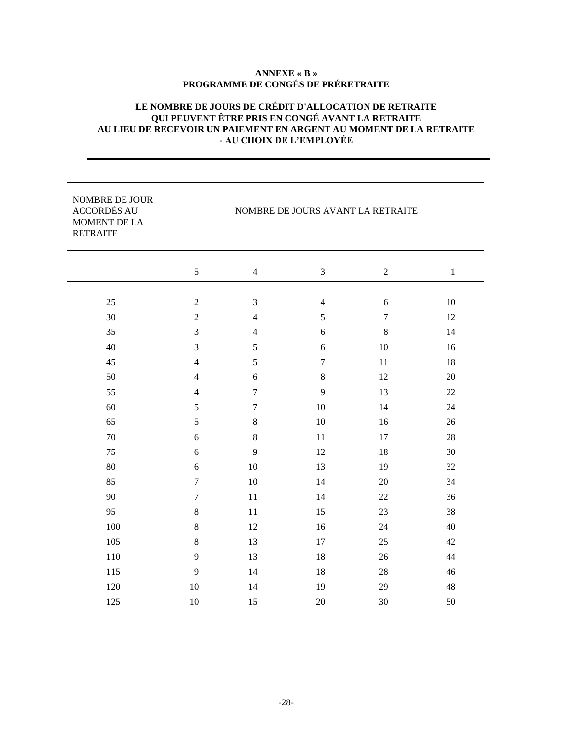# **ANNEXE « B » PROGRAMME DE CONGÉS DE PRÉRETRAITE**

# **LE NOMBRE DE JOURS DE CRÉDIT D'ALLOCATION DE RETRAITE QUI PEUVENT ÊTRE PRIS EN CONGÉ AVANT LA RETRAITE AU LIEU DE RECEVOIR UN PAIEMENT EN ARGENT AU MOMENT DE LA RETRAITE - AU CHOIX DE L'EMPLOYÉE**

| NOMBRE DE JOUR<br><b>ACCORDÉS AU</b><br>MOMENT DE LA<br><b>RETRAITE</b> |                  |                  | NOMBRE DE JOURS AVANT LA RETRAITE |                |              |
|-------------------------------------------------------------------------|------------------|------------------|-----------------------------------|----------------|--------------|
|                                                                         | 5                | $\overline{4}$   | 3                                 | $\overline{2}$ | $\mathbf{1}$ |
|                                                                         |                  |                  |                                   |                |              |
| 25                                                                      | $\overline{2}$   | 3                | $\overline{4}$                    | $6\,$          | 10           |
| 30                                                                      | $\overline{2}$   | $\overline{4}$   | 5                                 | $\overline{7}$ | 12           |
| 35                                                                      | 3                | $\overline{4}$   | 6                                 | $\,8\,$        | 14           |
| 40                                                                      | 3                | 5                | 6                                 | 10             | 16           |
| 45                                                                      | $\overline{4}$   | 5                | $\overline{7}$                    | 11             | 18           |
| 50                                                                      | $\overline{4}$   | 6                | $\,8\,$                           | 12             | 20           |
| 55                                                                      | $\overline{4}$   | $\overline{7}$   | 9                                 | 13             | 22           |
| 60                                                                      | 5                | $\boldsymbol{7}$ | 10                                | 14             | 24           |
| 65                                                                      | 5                | $\,8\,$          | 10                                | 16             | 26           |
| 70                                                                      | 6                | $\,8\,$          | 11                                | 17             | 28           |
| 75                                                                      | 6                | 9                | 12                                | 18             | 30           |
| 80                                                                      | 6                | 10               | 13                                | 19             | 32           |
| 85                                                                      | $\tau$           | 10               | 14                                | 20             | 34           |
| 90                                                                      | $\boldsymbol{7}$ | 11               | 14                                | 22             | 36           |
| 95                                                                      | $\,8\,$          | 11               | 15                                | 23             | 38           |
| 100                                                                     | $\,8\,$          | 12               | 16                                | 24             | 40           |
| 105                                                                     | $\,8\,$          | 13               | 17                                | 25             | 42           |
| 110                                                                     | 9                | 13               | 18                                | 26             | 44           |
| 115                                                                     | 9                | 14               | $18\,$                            | $28\,$         | 46           |
| 120                                                                     | $10\,$           | 14               | 19                                | 29             | 48           |
| 125                                                                     | 10               | 15               | 20                                | 30             | 50           |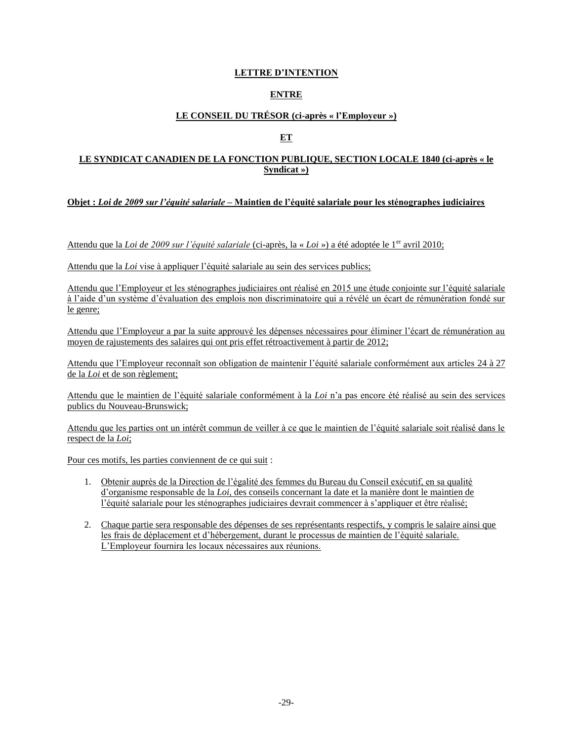# **LETTRE D'INTENTION**

# **ENTRE**

# **LE CONSEIL DU TRÉSOR (ci-après « l'Employeur »)**

# **ET**

## **LE SYNDICAT CANADIEN DE LA FONCTION PUBLIQUE, SECTION LOCALE 1840 (ci-après « le Syndicat »)**

## **Objet :** *Loi de 2009 sur l'équité salariale* **– Maintien de l'équité salariale pour les sténographes judiciaires**

Attendu que la *Loi de 2009 sur l'équité salariale* (ci-après, la « *Loi* ») a été adoptée le 1<sup>er</sup> avril 2010;

Attendu que la *Loi* vise à appliquer l'équité salariale au sein des services publics;

Attendu que l'Employeur et les sténographes judiciaires ont réalisé en 2015 une étude conjointe sur l'équité salariale à l'aide d'un système d'évaluation des emplois non discriminatoire qui a révélé un écart de rémunération fondé sur le genre;

Attendu que l'Employeur a par la suite approuvé les dépenses nécessaires pour éliminer l'écart de rémunération au moyen de rajustements des salaires qui ont pris effet rétroactivement à partir de 2012;

Attendu que l'Employeur reconnaît son obligation de maintenir l'équité salariale conformément aux articles 24 à 27 de la *Loi* et de son règlement;

Attendu que le maintien de l'équité salariale conformément à la *Loi* n'a pas encore été réalisé au sein des services publics du Nouveau-Brunswick;

Attendu que les parties ont un intérêt commun de veiller à ce que le maintien de l'équité salariale soit réalisé dans le respect de la *Loi*;

Pour ces motifs, les parties conviennent de ce qui suit :

- 1. Obtenir auprès de la Direction de l'égalité des femmes du Bureau du Conseil exécutif, en sa qualité d'organisme responsable de la *Loi*, des conseils concernant la date et la manière dont le maintien de l'équité salariale pour les sténographes judiciaires devrait commencer à s'appliquer et être réalisé;
- 2. Chaque partie sera responsable des dépenses de ses représentants respectifs, y compris le salaire ainsi que les frais de déplacement et d'hébergement, durant le processus de maintien de l'équité salariale. L'Employeur fournira les locaux nécessaires aux réunions.